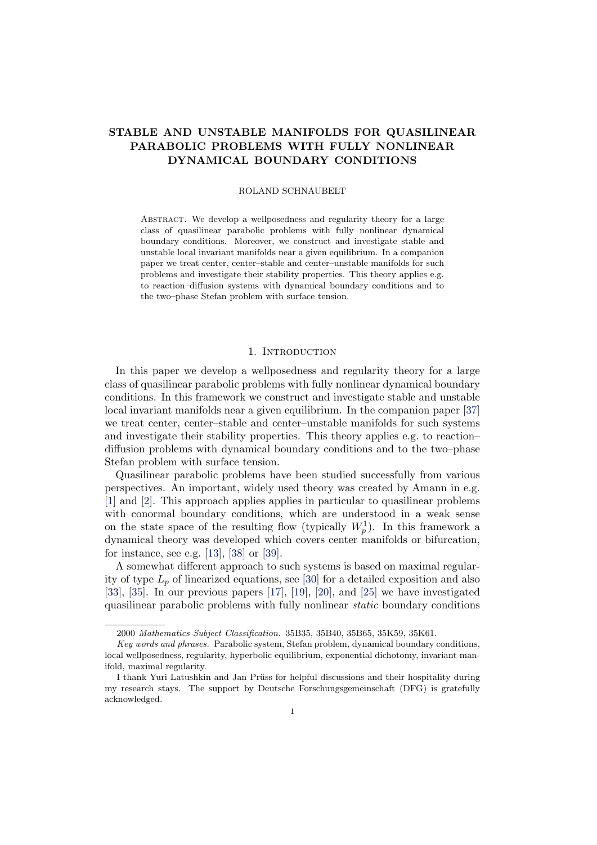# STABLE AND UNSTABLE MANIFOLDS FOR QUASILINEAR PARABOLIC PROBLEMS WITH FULLY NONLINEAR DYNAMICAL BOUNDARY CONDITIONS

#### ROLAND SCHNAUBELT

Abstract. We develop a wellposedness and regularity theory for a large class of quasilinear parabolic problems with fully nonlinear dynamical boundary conditions. Moreover, we construct and investigate stable and unstable local invariant manifolds near a given equilibrium. In a companion paper we treat center, center–stable and center–unstable manifolds for such problems and investigate their stability properties. This theory applies e.g. to reaction–diffusion systems with dynamical boundary conditions and to the two–phase Stefan problem with surface tension.

#### 1. INTRODUCTION

In this paper we develop a wellposedness and regularity theory for a large class of quasilinear parabolic problems with fully nonlinear dynamical boundary conditions. In this framework we construct and investigate stable and unstable local invariant manifolds near a given equilibrium. In the companion paper [\[37\]](#page-42-0) we treat center, center–stable and center–unstable manifolds for such systems and investigate their stability properties. This theory applies e.g. to reaction– diffusion problems with dynamical boundary conditions and to the two–phase Stefan problem with surface tension.

Quasilinear parabolic problems have been studied successfully from various perspectives. An important, widely used theory was created by Amann in e.g. [\[1\]](#page-41-0) and [\[2\]](#page-41-1). This approach applies applies in particular to quasilinear problems with conormal boundary conditions, which are understood in a weak sense on the state space of the resulting flow (typically  $W_p^1$ ). In this framework a dynamical theory was developed which covers center manifolds or bifurcation, for instance, see e.g. [\[13\]](#page-41-2), [\[38\]](#page-42-1) or [\[39\]](#page-42-2).

A somewhat different approach to such systems is based on maximal regularity of type  $L_p$  of linearized equations, see [\[30\]](#page-42-3) for a detailed exposition and also [\[33\]](#page-42-4), [\[35\]](#page-42-5). In our previous papers [\[17\]](#page-41-3), [\[19\]](#page-41-4), [\[20\]](#page-41-5), and [\[25\]](#page-42-6) we have investigated quasilinear parabolic problems with fully nonlinear static boundary conditions

<sup>2000</sup> Mathematics Subject Classification. 35B35, 35B40, 35B65, 35K59, 35K61.

Key words and phrases. Parabolic system, Stefan problem, dynamical boundary conditions, local wellposedness, regularity, hyperbolic equilibrium, exponential dichotomy, invariant manifold, maximal regularity.

I thank Yuri Latushkin and Jan Prüss for helpful discussions and their hospitality during my research stays. The support by Deutsche Forschungsgemeinschaft (DFG) is gratefully acknowledged.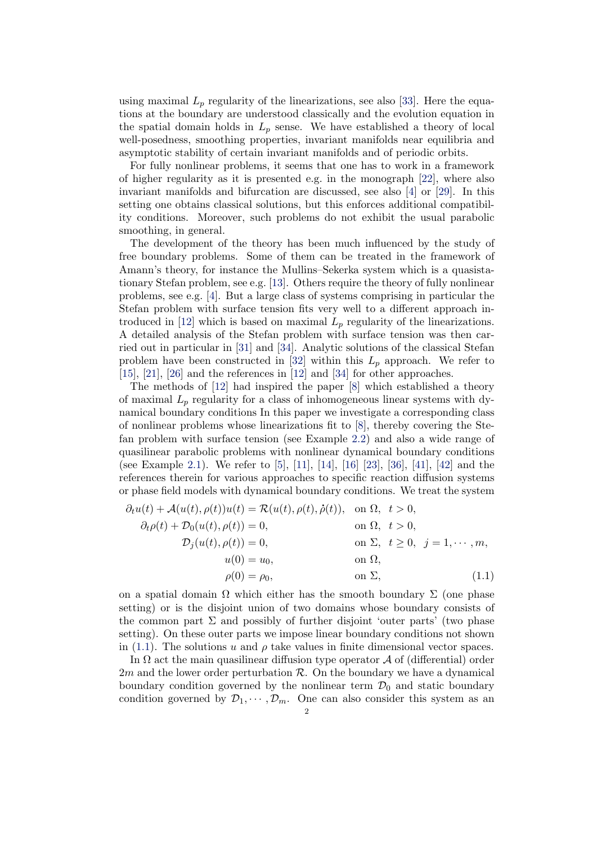using maximal  $L_p$  regularity of the linearizations, see also [\[33\]](#page-42-4). Here the equations at the boundary are understood classically and the evolution equation in the spatial domain holds in  $L_p$  sense. We have established a theory of local well-posedness, smoothing properties, invariant manifolds near equilibria and asymptotic stability of certain invariant manifolds and of periodic orbits.

For fully nonlinear problems, it seems that one has to work in a framework of higher regularity as it is presented e.g. in the monograph [\[22\]](#page-42-7), where also invariant manifolds and bifurcation are discussed, see also [\[4\]](#page-41-6) or [\[29\]](#page-42-8). In this setting one obtains classical solutions, but this enforces additional compatibility conditions. Moreover, such problems do not exhibit the usual parabolic smoothing, in general.

The development of the theory has been much influenced by the study of free boundary problems. Some of them can be treated in the framework of Amann's theory, for instance the Mullins–Sekerka system which is a quasistationary Stefan problem, see e.g. [\[13\]](#page-41-2). Others require the theory of fully nonlinear problems, see e.g. [\[4\]](#page-41-6). But a large class of systems comprising in particular the Stefan problem with surface tension fits very well to a different approach in-troduced in [\[12\]](#page-41-7) which is based on maximal  $L_p$  regularity of the linearizations. A detailed analysis of the Stefan problem with surface tension was then carried out in particular in [\[31\]](#page-42-9) and [\[34\]](#page-42-10). Analytic solutions of the classical Stefan problem have been constructed in [\[32\]](#page-42-11) within this  $L_p$  approach. We refer to [\[15\]](#page-41-8), [\[21\]](#page-41-9), [\[26\]](#page-42-12) and the references in [\[12\]](#page-41-7) and [\[34\]](#page-42-10) for other approaches.

The methods of [\[12\]](#page-41-7) had inspired the paper [\[8\]](#page-41-10) which established a theory of maximal  $L_p$  regularity for a class of inhomogeneous linear systems with dynamical boundary conditions In this paper we investigate a corresponding class of nonlinear problems whose linearizations fit to [\[8\]](#page-41-10), thereby covering the Stefan problem with surface tension (see Example [2.2\)](#page-8-0) and also a wide range of quasilinear parabolic problems with nonlinear dynamical boundary conditions (see Example [2.1\)](#page-8-1). We refer to [\[5\]](#page-41-11), [\[11\]](#page-41-12), [\[14\]](#page-41-13), [\[16\]](#page-41-14) [\[23\]](#page-42-13), [\[36\]](#page-42-14), [\[41\]](#page-42-15), [\[42\]](#page-42-16) and the references therein for various approaches to specific reaction diffusion systems or phase field models with dynamical boundary conditions. We treat the system

<span id="page-1-0"></span>
$$
\partial_t u(t) + \mathcal{A}(u(t), \rho(t))u(t) = \mathcal{R}(u(t), \rho(t), \dot{\rho}(t)), \text{ on } \Omega, t > 0,
$$
  
\n
$$
\partial_t \rho(t) + \mathcal{D}_0(u(t), \rho(t)) = 0, \text{ on } \Omega, t > 0,
$$
  
\n
$$
\mathcal{D}_j(u(t), \rho(t)) = 0, \text{ on } \Sigma, t \ge 0, j = 1, \dots, m,
$$
  
\n
$$
u(0) = u_0, \text{ on } \Omega,
$$
  
\n
$$
\rho(0) = \rho_0, \text{ on } \Sigma, \qquad (1.1)
$$

on a spatial domain  $\Omega$  which either has the smooth boundary  $\Sigma$  (one phase setting) or is the disjoint union of two domains whose boundary consists of the common part  $\Sigma$  and possibly of further disjoint 'outer parts' (two phase setting). On these outer parts we impose linear boundary conditions not shown in [\(1.1\)](#page-1-0). The solutions u and  $\rho$  take values in finite dimensional vector spaces.

In  $\Omega$  act the main quasilinear diffusion type operator  $\mathcal A$  of (differential) order  $2m$  and the lower order perturbation  $\mathcal{R}$ . On the boundary we have a dynamical boundary condition governed by the nonlinear term  $\mathcal{D}_0$  and static boundary condition governed by  $\mathcal{D}_1, \cdots, \mathcal{D}_m$ . One can also consider this system as an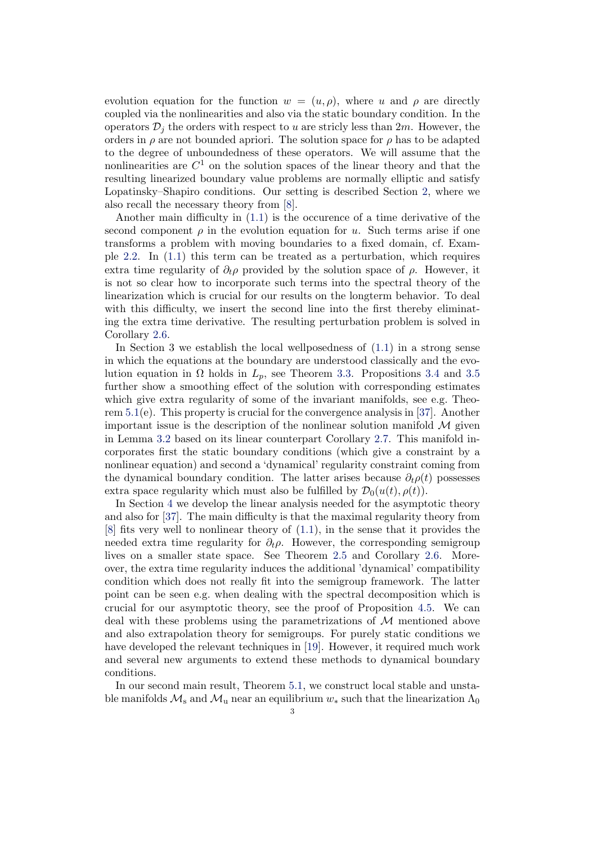evolution equation for the function  $w = (u, \rho)$ , where u and  $\rho$  are directly coupled via the nonlinearities and also via the static boundary condition. In the operators  $\mathcal{D}_i$  the orders with respect to u are stricly less than 2m. However, the orders in  $\rho$  are not bounded apriori. The solution space for  $\rho$  has to be adapted to the degree of unboundedness of these operators. We will assume that the nonlinearities are  $C^1$  on the solution spaces of the linear theory and that the resulting linearized boundary value problems are normally elliptic and satisfy Lopatinsky–Shapiro conditions. Our setting is described Section [2,](#page-3-0) where we also recall the necessary theory from [\[8\]](#page-41-10).

Another main difficulty in [\(1.1\)](#page-1-0) is the occurence of a time derivative of the second component  $\rho$  in the evolution equation for u. Such terms arise if one transforms a problem with moving boundaries to a fixed domain, cf. Example [2.2.](#page-8-0) In [\(1.1\)](#page-1-0) this term can be treated as a perturbation, which requires extra time regularity of  $\partial_t \rho$  provided by the solution space of  $\rho$ . However, it is not so clear how to incorporate such terms into the spectral theory of the linearization which is crucial for our results on the longterm behavior. To deal with this difficulty, we insert the second line into the first thereby eliminating the extra time derivative. The resulting perturbation problem is solved in Corollary [2.6.](#page-15-0)

In Section 3 we establish the local wellposedness of [\(1.1\)](#page-1-0) in a strong sense in which the equations at the boundary are understood classically and the evolution equation in  $\Omega$  holds in  $L_p$ , see Theorem [3.3.](#page-21-0) Propositions [3.4](#page-23-0) and [3.5](#page-24-0) further show a smoothing effect of the solution with corresponding estimates which give extra regularity of some of the invariant manifolds, see e.g. Theorem [5.1\(](#page-36-0)e). This property is crucial for the convergence analysis in [\[37\]](#page-42-0). Another important issue is the description of the nonlinear solution manifold  $\mathcal M$  given in Lemma [3.2](#page-20-0) based on its linear counterpart Corollary [2.7.](#page-16-0) This manifold incorporates first the static boundary conditions (which give a constraint by a nonlinear equation) and second a 'dynamical' regularity constraint coming from the dynamical boundary condition. The latter arises because  $\partial_t \rho(t)$  possesses extra space regularity which must also be fulfilled by  $\mathcal{D}_0(u(t), \rho(t))$ .

In Section [4](#page-27-0) we develop the linear analysis needed for the asymptotic theory and also for [\[37\]](#page-42-0). The main difficulty is that the maximal regularity theory from [\[8\]](#page-41-10) fits very well to nonlinear theory of [\(1.1\)](#page-1-0), in the sense that it provides the needed extra time regularity for  $\partial_t \rho$ . However, the corresponding semigroup lives on a smaller state space. See Theorem [2.5](#page-14-0) and Corollary [2.6.](#page-15-0) Moreover, the extra time regularity induces the additional 'dynamical' compatibility condition which does not really fit into the semigroup framework. The latter point can be seen e.g. when dealing with the spectral decomposition which is crucial for our asymptotic theory, see the proof of Proposition [4.5.](#page-31-0) We can deal with these problems using the parametrizations of  $\mathcal M$  mentioned above and also extrapolation theory for semigroups. For purely static conditions we have developed the relevant techniques in [\[19\]](#page-41-4). However, it required much work and several new arguments to extend these methods to dynamical boundary conditions.

In our second main result, Theorem [5.1,](#page-36-0) we construct local stable and unstable manifolds  $\mathcal{M}_s$  and  $\mathcal{M}_u$  near an equilibrium  $w_*$  such that the linearization  $\Lambda_0$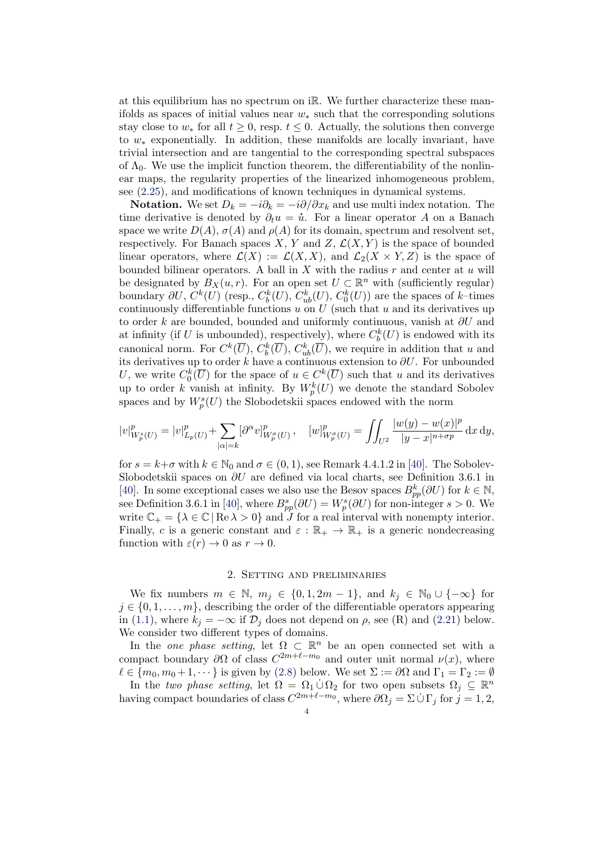at this equilibrium has no spectrum on iR. We further characterize these manifolds as spaces of initial values near  $w_*$  such that the corresponding solutions stay close to  $w_*$  for all  $t \geq 0$ , resp.  $t \leq 0$ . Actually, the solutions then converge to  $w_*$  exponentially. In addition, these manifolds are locally invariant, have trivial intersection and are tangential to the corresponding spectral subspaces of  $\Lambda_0$ . We use the implicit function theorem, the differentiability of the nonlinear maps, the regularity properties of the linearized inhomogeneous problem, see [\(2.25\)](#page-15-1), and modifications of known techniques in dynamical systems.

**Notation.** We set  $D_k = -i\partial_k = -i\partial/\partial x_k$  and use multi index notation. The time derivative is denoted by  $\partial_t u = \dot{u}$ . For a linear operator A on a Banach space we write  $D(A)$ ,  $\sigma(A)$  and  $\rho(A)$  for its domain, spectrum and resolvent set, respectively. For Banach spaces X, Y and Z,  $\mathcal{L}(X, Y)$  is the space of bounded linear operators, where  $\mathcal{L}(X) := \mathcal{L}(X, X)$ , and  $\mathcal{L}_2(X \times Y, Z)$  is the space of bounded bilinear operators. A ball in  $X$  with the radius  $r$  and center at  $u$  will be designated by  $B_X(u,r)$ . For an open set  $U \subset \mathbb{R}^n$  with (sufficiently regular) boundary  $\partial U, C^k(U)$  (resp.,  $C_b^k(U), C_{ub}^k(U), C_0^k(U)$ ) are the spaces of k-times continuously differentiable functions  $u$  on  $U$  (such that  $u$  and its derivatives up to order k are bounded, bounded and uniformly continuous, vanish at  $\partial U$  and at infinity (if U is unbounded), respectively), where  $C_b^k(U)$  is endowed with its canonical norm. For  $C^k(\overline{U}), C^k_b(\overline{U}), C^k_{ub}(\overline{U}),$  we require in addition that u and its derivatives up to order k have a continuous extension to  $\partial U$ . For unbounded U, we write  $C_0^k(\overline{U})$  for the space of  $u \in C^k(\overline{U})$  such that u and its derivatives up to order k vanish at infinity. By  $W_p^k(U)$  we denote the standard Sobolev spaces and by  $W_p^s(U)$  the Slobodetskii spaces endowed with the norm

$$
|v|_{W_p^s(U)}^p = |v|_{L_p(U)}^p + \sum_{|\alpha|=k} [\partial^\alpha v]_{W_p^\sigma(U)}^p \,, \quad [w]_{W_p^\sigma(U)}^p = \iint_{U^2} \frac{|w(y)-w(x)|^p}{|y-x|^{n+\sigma p}} \,\mathrm{d}x \,\mathrm{d}y,
$$

for  $s = k+\sigma$  with  $k \in \mathbb{N}_0$  and  $\sigma \in (0,1)$ , see Remark 4.4.1.2 in [\[40\]](#page-42-17). The Sobolev-Slobodetskii spaces on  $\partial U$  are defined via local charts, see Definition 3.6.1 in [\[40\]](#page-42-17). In some exceptional cases we also use the Besov spaces  $B_{pp}^k(\partial U)$  for  $k \in \mathbb{N}$ , see Definition 3.6.1 in [\[40\]](#page-42-17), where  $B_{pp}^s(\partial U) = W_p^s(\partial U)$  for non-integer  $s > 0$ . We write  $\mathbb{C}_+ = {\lambda \in \mathbb{C} | \text{Re }\lambda > 0}$  and  $J$  for a real interval with nonempty interior. Finally, c is a generic constant and  $\varepsilon : \mathbb{R}_+ \to \mathbb{R}_+$  is a generic nondecreasing function with  $\varepsilon(r) \to 0$  as  $r \to 0$ .

# 2. Setting and preliminaries

<span id="page-3-0"></span>We fix numbers  $m \in \mathbb{N}$ ,  $m_j \in \{0, 1, 2m - 1\}$ , and  $k_j \in \mathbb{N}_0 \cup \{-\infty\}$  for  $j \in \{0, 1, \ldots, m\}$ , describing the order of the differentiable operators appearing in [\(1.1\)](#page-1-0), where  $k_j = -\infty$  if  $\mathcal{D}_j$  does not depend on  $\rho$ , see (R) and [\(2.21\)](#page-11-0) below. We consider two different types of domains.

In the *one phase setting*, let  $\Omega \subset \mathbb{R}^n$  be an open connected set with a compact boundary  $\partial\Omega$  of class  $C^{2m+\ell-m_0}$  and outer unit normal  $\nu(x)$ , where  $\ell \in \{m_0, m_0 + 1, \dots\}$  is given by [\(2.8\)](#page-6-0) below. We set  $\Sigma := \partial\Omega$  and  $\Gamma_1 = \Gamma_2 := \emptyset$ 

In the two phase setting, let  $\Omega = \Omega_1 \cup \Omega_2$  for two open subsets  $\Omega_j \subseteq \mathbb{R}^n$ having compact boundaries of class  $C^{2m+\ell-m_0}$ , where  $\partial\Omega_j = \Sigma \dot{\cup} \Gamma_j$  for  $j = 1, 2,$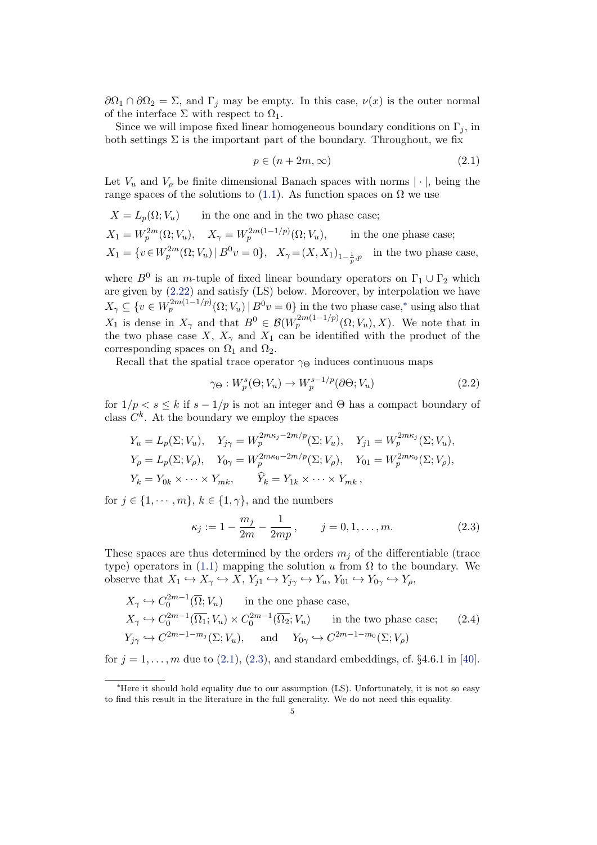$\partial\Omega_1 \cap \partial\Omega_2 = \Sigma$ , and  $\Gamma_j$  may be empty. In this case,  $\nu(x)$  is the outer normal of the interface  $\Sigma$  with respect to  $\Omega_1$ .

Since we will impose fixed linear homogeneous boundary conditions on  $\Gamma_i$ , in both settings  $\Sigma$  is the important part of the boundary. Throughout, we fix

<span id="page-4-1"></span>
$$
p \in (n+2m,\infty) \tag{2.1}
$$

Let  $V_u$  and  $V_\rho$  be finite dimensional Banach spaces with norms  $|\cdot|$ , being the range spaces of the solutions to [\(1.1\)](#page-1-0). As function spaces on  $\Omega$  we use

$$
X = L_p(\Omega; V_u)
$$
 in the one and in the two phase case;  
\n
$$
X_1 = W_p^{2m}(\Omega; V_u), \quad X_\gamma = W_p^{2m(1-1/p)}(\Omega; V_u),
$$
 in the one phase case;  
\n
$$
X_1 = \{v \in W_p^{2m}(\Omega; V_u) \mid B^0 v = 0\}, \quad X_\gamma = (X, X_1)_{1-\frac{1}{p}, p}
$$
 in the two phase case,

where  $B^0$  is an *m*-tuple of fixed linear boundary operators on  $\Gamma_1 \cup \Gamma_2$  which are given by [\(2.22\)](#page-11-1) and satisfy (LS) below. Moreover, by interpolation we have  $X_{\gamma} \subseteq \{v \in W_p^{2m(1-1/p)}(\Omega; V_u) \mid B^0 v = 0\}$  in the two phase case,<sup>\*</sup> using also that  $X_1$  is dense in  $X_\gamma$  and that  $B^0 \in \mathcal{B}(W_p^{2m(1-1/p)}(\Omega;V_u),X)$ . We note that in the two phase case X,  $X_{\gamma}$  and  $X_1$  can be identified with the product of the corresponding spaces on  $\Omega_1$  and  $\Omega_2$ .

Recall that the spatial trace operator  $\gamma_{\Theta}$  induces continuous maps

$$
\gamma_{\Theta}: W_p^s(\Theta; V_u) \to W_p^{s-1/p}(\partial \Theta; V_u)
$$
\n(2.2)

for  $1/p < s \leq k$  if  $s - 1/p$  is not an integer and  $\Theta$  has a compact boundary of class  $C^k$ . At the boundary we employ the spaces

$$
Y_u = L_p(\Sigma; V_u), \quad Y_{j\gamma} = W_p^{2m\kappa_j - 2m/p}(\Sigma; V_u), \quad Y_{j1} = W_p^{2m\kappa_j}(\Sigma; V_u),
$$
  
\n
$$
Y_\rho = L_p(\Sigma; V_\rho), \quad Y_{0\gamma} = W_p^{2m\kappa_0 - 2m/p}(\Sigma; V_\rho), \quad Y_{01} = W_p^{2m\kappa_0}(\Sigma; V_\rho),
$$
  
\n
$$
Y_k = Y_{0k} \times \cdots \times Y_{mk}, \quad \widehat{Y}_k = Y_{1k} \times \cdots \times Y_{mk},
$$

for  $j \in \{1, \dots, m\}, k \in \{1, \gamma\},\$  and the numbers

<span id="page-4-2"></span>
$$
\kappa_j := 1 - \frac{m_j}{2m} - \frac{1}{2mp}, \qquad j = 0, 1, \dots, m.
$$
 (2.3)

These spaces are thus determined by the orders  $m_j$  of the differentiable (trace type) operators in [\(1.1\)](#page-1-0) mapping the solution u from  $\Omega$  to the boundary. We observe that  $X_1 \hookrightarrow X_\gamma \hookrightarrow X$ ,  $Y_{j1} \hookrightarrow Y_{j\gamma} \hookrightarrow Y_u$ ,  $Y_{01} \hookrightarrow Y_{0\gamma} \hookrightarrow Y_\rho$ ,

<span id="page-4-3"></span>
$$
X_{\gamma} \hookrightarrow C_0^{2m-1}(\overline{\Omega}; V_u) \quad \text{in the one phase case,}
$$
  
\n
$$
X_{\gamma} \hookrightarrow C_0^{2m-1}(\overline{\Omega}_1; V_u) \times C_0^{2m-1}(\overline{\Omega}_2; V_u) \quad \text{in the two phase case;}
$$
  
\n
$$
Y_{j\gamma} \hookrightarrow C^{2m-1-m_j}(\Sigma; V_u), \quad \text{and} \quad Y_{0\gamma} \hookrightarrow C^{2m-1-m_0}(\Sigma; V_{\rho})
$$
  
\n(2.4)

for  $j = 1, ..., m$  due to  $(2.1), (2.3),$  $(2.1), (2.3),$  $(2.1), (2.3),$  and standard embeddings, cf. §4.6.1 in [\[40\]](#page-42-17).

<span id="page-4-0"></span><sup>∗</sup>Here it should hold equality due to our assumption (LS). Unfortunately, it is not so easy to find this result in the literature in the full generality. We do not need this equality.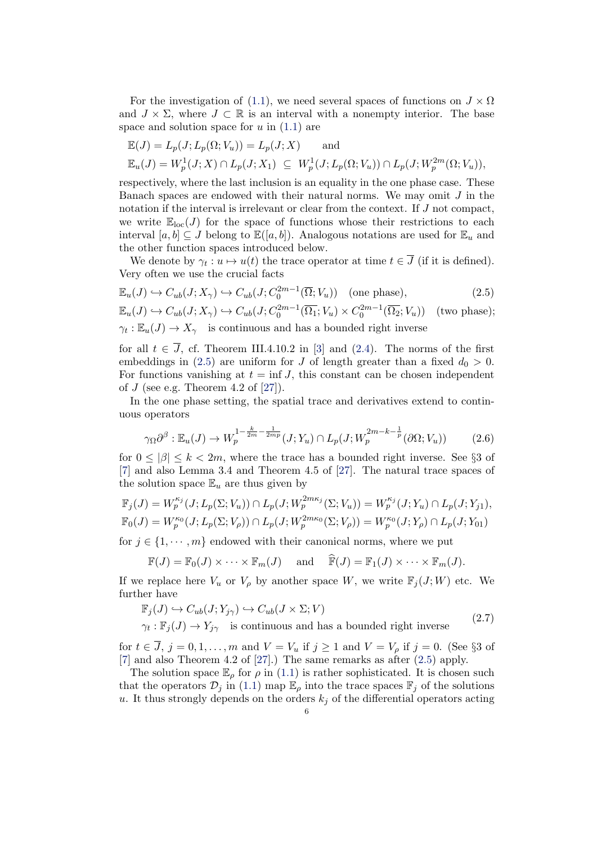For the investigation of [\(1.1\)](#page-1-0), we need several spaces of functions on  $J \times \Omega$ and  $J \times \Sigma$ , where  $J \subset \mathbb{R}$  is an interval with a nonempty interior. The base space and solution space for  $u$  in  $(1.1)$  are

$$
\mathbb{E}(J) = L_p(J; L_p(\Omega; V_u)) = L_p(J; X) \quad \text{and}
$$
  

$$
\mathbb{E}_u(J) = W_p^1(J; X) \cap L_p(J; X_1) \subseteq W_p^1(J; L_p(\Omega; V_u)) \cap L_p(J; W_p^{2m}(\Omega; V_u)),
$$

respectively, where the last inclusion is an equality in the one phase case. These Banach spaces are endowed with their natural norms. We may omit  $J$  in the notation if the interval is irrelevant or clear from the context. If J not compact, we write  $\mathbb{E}_{\text{loc}}(J)$  for the space of functions whose their restrictions to each interval  $[a, b] \subseteq J$  belong to  $\mathbb{E}([a, b])$ . Analogous notations are used for  $\mathbb{E}_u$  and the other function spaces introduced below.

<span id="page-5-0"></span>We denote by  $\gamma_t: u \mapsto u(t)$  the trace operator at time  $t \in \overline{J}$  (if it is defined). Very often we use the crucial facts

$$
\mathbb{E}_u(J) \hookrightarrow C_{ub}(J; X_\gamma) \hookrightarrow C_{ub}(J; C_0^{2m-1}(\overline{\Omega}; V_u)) \quad \text{(one phase)},\tag{2.5}
$$

$$
\mathbb{E}_u(J) \hookrightarrow C_{ub}(J; X_{\gamma}) \hookrightarrow C_{ub}(J; C_0^{2m-1}(\overline{\Omega_1}; V_u) \times C_0^{2m-1}(\overline{\Omega_2}; V_u)) \text{ (two phase)};
$$
  

$$
\gamma_t : \mathbb{E}_u(J) \to X_{\gamma} \text{ is continuous and has a bounded right inverse}
$$

for all  $t \in \overline{J}$ , cf. Theorem III.4.10.2 in [\[3\]](#page-41-15) and [\(2.4\)](#page-4-3). The norms of the first embeddings in [\(2.5\)](#page-5-0) are uniform for J of length greater than a fixed  $d_0 > 0$ . For functions vanishing at  $t = \inf J$ , this constant can be chosen independent of  $J$  (see e.g. Theorem 4.2 of [\[27\]](#page-42-18)).

In the one phase setting, the spatial trace and derivatives extend to continuous operators

<span id="page-5-2"></span>
$$
\gamma_{\Omega}\partial^{\beta} : \mathbb{E}_{u}(J) \to W_p^{1-\frac{k}{2m}-\frac{1}{2mp}}(J;Y_u) \cap L_p(J;W_p^{2m-k-\frac{1}{p}}(\partial\Omega;V_u))
$$
(2.6)

for  $0 \leq |\beta| \leq k < 2m$ , where the trace has a bounded right inverse. See §3 of [\[7\]](#page-41-16) and also Lemma 3.4 and Theorem 4.5 of [\[27\]](#page-42-18). The natural trace spaces of the solution space  $\mathbb{E}_u$  are thus given by

$$
\mathbb{F}_j(J) = W_p^{\kappa_j}(J; L_p(\Sigma; V_u)) \cap L_p(J; W_p^{2m\kappa_j}(\Sigma; V_u)) = W_p^{\kappa_j}(J; Y_u) \cap L_p(J; Y_{j1}),
$$
  

$$
\mathbb{F}_0(J) = W_p^{\kappa_0}(J; L_p(\Sigma; V_\rho)) \cap L_p(J; W_p^{2m\kappa_0}(\Sigma; V_\rho)) = W_p^{\kappa_0}(J; Y_\rho) \cap L_p(J; Y_{01})
$$

for  $j \in \{1, \dots, m\}$  endowed with their canonical norms, where we put

$$
\mathbb{F}(J) = \mathbb{F}_0(J) \times \cdots \times \mathbb{F}_m(J) \quad \text{and} \quad \widehat{\mathbb{F}}(J) = \mathbb{F}_1(J) \times \cdots \times \mathbb{F}_m(J).
$$

If we replace here  $V_u$  or  $V_\rho$  by another space W, we write  $\mathbb{F}_j(J;W)$  etc. We further have

$$
\mathbb{F}_j(J) \hookrightarrow C_{ub}(J; Y_{j\gamma}) \hookrightarrow C_{ub}(J \times \Sigma; V)
$$

<span id="page-5-1"></span>
$$
\gamma_t: \mathbb{F}_j(J) \to Y_{j\gamma} \quad \text{is continuous and has a bounded right inverse} \tag{2.7}
$$

for  $t \in \overline{J}$ ,  $j = 0, 1, \ldots, m$  and  $V = V_u$  if  $j \ge 1$  and  $V = V_o$  if  $j = 0$ . (See §3 of [\[7\]](#page-41-16) and also Theorem 4.2 of [\[27\]](#page-42-18).) The same remarks as after [\(2.5\)](#page-5-0) apply.

The solution space  $\mathbb{E}_{\rho}$  for  $\rho$  in [\(1.1\)](#page-1-0) is rather sophisticated. It is chosen such that the operators  $\mathcal{D}_i$  in [\(1.1\)](#page-1-0) map  $\mathbb{E}_{\rho}$  into the trace spaces  $\mathbb{F}_i$  of the solutions u. It thus strongly depends on the orders  $k_j$  of the differential operators acting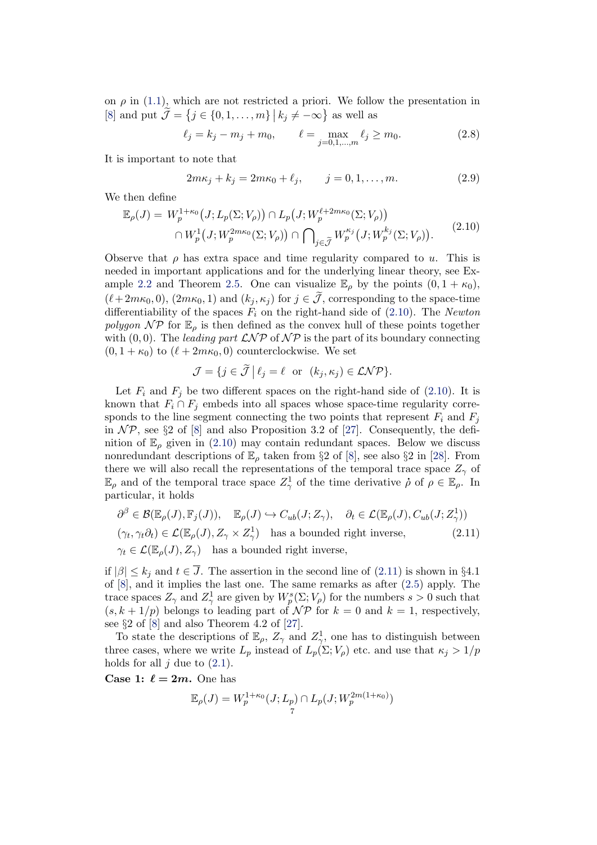on  $\rho$  in [\(1.1\)](#page-1-0), which are not restricted a priori. We follow the presentation in [\[8\]](#page-41-10) and put  $\tilde{\mathcal{J}} = \{j \in \{0, 1, \ldots, m\} \mid k_j \neq -\infty\}$  as well as

$$
\ell_j = k_j - m_j + m_0, \qquad \ell = \max_{j=0,1,\dots,m} \ell_j \ge m_0. \tag{2.8}
$$

It is important to note that

<span id="page-6-3"></span><span id="page-6-0"></span>
$$
2m\kappa_j + k_j = 2m\kappa_0 + \ell_j, \qquad j = 0, 1, \dots, m.
$$
 (2.9)

We then define

<span id="page-6-1"></span>
$$
\mathbb{E}_{\rho}(J) = W_p^{1+\kappa_0}(J; L_p(\Sigma; V_\rho)) \cap L_p(J; W_p^{\ell+2m\kappa_0}(\Sigma; V_\rho))
$$
  

$$
\cap W_p^1(J; W_p^{2m\kappa_0}(\Sigma; V_\rho)) \cap \bigcap_{j \in \widetilde{\mathcal{J}}} W_p^{\kappa_j}(J; W_p^{k_j}(\Sigma; V_\rho)).
$$
  
(2.10)

Observe that  $\rho$  has extra space and time regularity compared to u. This is needed in important applications and for the underlying linear theory, see Ex-ample [2.2](#page-8-0) and Theorem [2.5.](#page-14-0) One can visualize  $\mathbb{E}_{\rho}$  by the points  $(0, 1 + \kappa_0)$ ,  $(\ell + 2m\kappa_0, 0), (2m\kappa_0, 1)$  and  $(k_j, \kappa_j)$  for  $j \in \tilde{J}$ , corresponding to the space-time differentiability of the spaces  $F_i$  on the right-hand side of [\(2.10\)](#page-6-1). The Newton polygon  $\mathcal{NP}$  for  $\mathbb{E}_{\rho}$  is then defined as the convex hull of these points together with  $(0, 0)$ . The leading part  $\mathcal{L} \mathcal{N} \mathcal{P}$  of  $\mathcal{N} \mathcal{P}$  is the part of its boundary connecting  $(0, 1 + \kappa_0)$  to  $(\ell + 2m\kappa_0, 0)$  counterclockwise. We set

<span id="page-6-2"></span>
$$
\mathcal{J} = \{ j \in \widetilde{\mathcal{J}} \mid \ell_j = \ell \text{ or } (k_j, \kappa_j) \in \mathcal{LNP} \}.
$$

Let  $F_i$  and  $F_j$  be two different spaces on the right-hand side of [\(2.10\)](#page-6-1). It is known that  $F_i \cap F_j$  embeds into all spaces whose space-time regularity corresponds to the line segment connecting the two points that represent  $F_i$  and  $F_j$ in  $\mathcal{NP}$ , see §2 of [\[8\]](#page-41-10) and also Proposition 3.2 of [\[27\]](#page-42-18). Consequently, the definition of  $\mathbb{E}_{\rho}$  given in [\(2.10\)](#page-6-1) may contain redundant spaces. Below we discuss nonredundant descriptions of  $\mathbb{E}_{\rho}$  taken from §2 of [\[8\]](#page-41-10), see also §2 in [\[28\]](#page-42-19). From there we will also recall the representations of the temporal trace space  $Z_{\gamma}$  of  $\mathbb{E}_{\rho}$  and of the temporal trace space  $Z_{\gamma}^1$  of the time derivative  $\rho$  of  $\rho \in \mathbb{E}_{\rho}$ . In particular, it holds

$$
\partial^{\beta} \in \mathcal{B}(\mathbb{E}_{\rho}(J), \mathbb{F}_{j}(J)), \quad \mathbb{E}_{\rho}(J) \hookrightarrow C_{ub}(J; Z_{\gamma}), \quad \partial_{t} \in \mathcal{L}(\mathbb{E}_{\rho}(J), C_{ub}(J; Z_{\gamma}^{1}))
$$
  

$$
(\gamma_{t}, \gamma_{t}\partial_{t}) \in \mathcal{L}(\mathbb{E}_{\rho}(J), Z_{\gamma} \times Z_{\gamma}^{1}) \quad \text{has a bounded right inverse,}
$$
  

$$
\gamma_{t} \in \mathcal{L}(\mathbb{E}_{\rho}(J), Z_{\gamma}) \quad \text{has a bounded right inverse,}
$$
  
(2.11)

if  $|\beta| \leq k_j$  and  $t \in \overline{J}$ . The assertion in the second line of  $(2.11)$  is shown in §4.1 of [\[8\]](#page-41-10), and it implies the last one. The same remarks as after [\(2.5\)](#page-5-0) apply. The trace spaces  $Z_{\gamma}$  and  $Z_{\gamma}^1$  are given by  $W_p^s(\Sigma; V_{\rho})$  for the numbers  $s > 0$  such that  $(s, k + 1/p)$  belongs to leading part of  $\mathcal{NP}$  for  $k = 0$  and  $k = 1$ , respectively, see §2 of [\[8\]](#page-41-10) and also Theorem 4.2 of [\[27\]](#page-42-18).

To state the descriptions of  $\mathbb{E}_{\rho}$ ,  $Z_{\gamma}$  and  $Z_{\gamma}^{1}$ , one has to distinguish between three cases, where we write  $L_p$  instead of  $L_p(\Sigma; V_\rho)$  etc. and use that  $\kappa_j > 1/p$ holds for all  $j$  due to  $(2.1)$ .

Case 1:  $\ell = 2m$ . One has

$$
\mathbb{E}_{\rho}(J) = W_p^{1+\kappa_0}(J; L_p) \cap L_p(J; W_p^{2m(1+\kappa_0)})
$$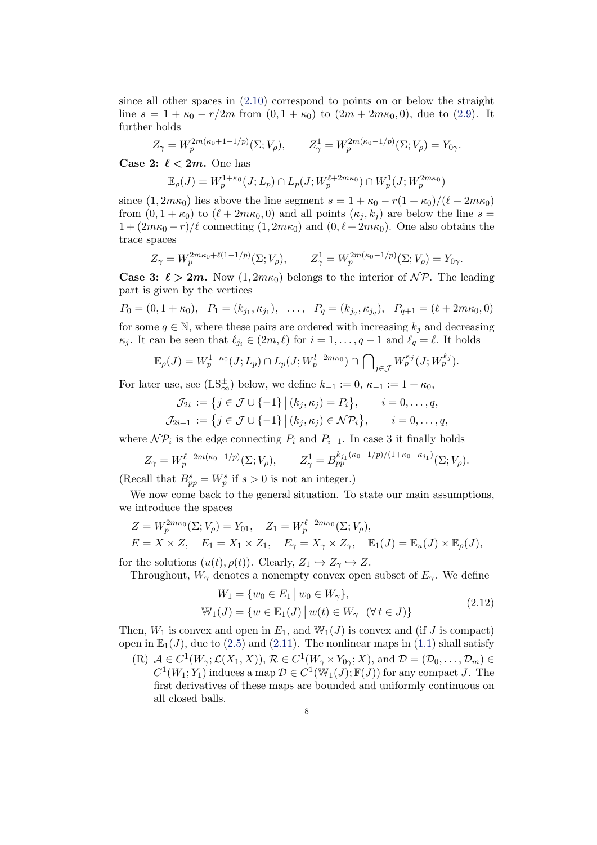since all other spaces in [\(2.10\)](#page-6-1) correspond to points on or below the straight line  $s = 1 + \kappa_0 - r/2m$  from  $(0, 1 + \kappa_0)$  to  $(2m + 2m\kappa_0, 0)$ , due to  $(2.9)$ . It further holds

$$
Z_{\gamma} = W_p^{2m(\kappa_0 + 1 - 1/p)}(\Sigma; V_{\rho}), \qquad Z_{\gamma}^1 = W_p^{2m(\kappa_0 - 1/p)}(\Sigma; V_{\rho}) = Y_{0\gamma}.
$$

Case 2:  $\ell < 2m$ . One has

$$
\mathbb{E}_{\rho}(J) = W_p^{1+\kappa_0}(J; L_p) \cap L_p(J; W_p^{\ell+2m\kappa_0}) \cap W_p^1(J; W_p^{2m\kappa_0})
$$

since  $(1, 2m\kappa_0)$  lies above the line segment  $s = 1 + \kappa_0 - r(1 + \kappa_0)/(\ell + 2m\kappa_0)$ from  $(0, 1 + \kappa_0)$  to  $(\ell + 2m\kappa_0, 0)$  and all points  $(\kappa_i, k_i)$  are below the line  $s =$  $1 + (2m\kappa_0 - r)/\ell$  connecting  $(1, 2m\kappa_0)$  and  $(0, \ell + 2m\kappa_0)$ . One also obtains the trace spaces

$$
Z_{\gamma} = W_p^{2m\kappa_0 + \ell(1 - 1/p)}(\Sigma; V_{\rho}), \qquad Z_{\gamma}^1 = W_p^{2m(\kappa_0 - 1/p)}(\Sigma; V_{\rho}) = Y_{0\gamma}.
$$

**Case 3:**  $\ell > 2m$ . Now  $(1, 2m\kappa_0)$  belongs to the interior of  $N\mathcal{P}$ . The leading part is given by the vertices

 $P_0 = (0, 1 + \kappa_0), \quad P_1 = (k_{j_1}, \kappa_{j_1}), \quad \dots, \quad P_q = (k_{j_q}, \kappa_{j_q}), \quad P_{q+1} = (\ell + 2m\kappa_0, 0)$ for some  $q \in \mathbb{N}$ , where these pairs are ordered with increasing  $k_j$  and decreasing  $\kappa_j$ . It can be seen that  $\ell_{j_i} \in (2m, \ell)$  for  $i = 1, \ldots, q - 1$  and  $\ell_q = \ell$ . It holds

$$
\mathbb{E}_{\rho}(J) = W_p^{1+\kappa_0}(J;L_p) \cap L_p(J;W_p^{l+2m\kappa_0}) \cap \bigcap_{j \in \mathcal{J}} W_p^{\kappa_j}(J;W_p^{k_j}).
$$

For later use, see  $(LS_{\infty}^{\pm})$  below, we define  $k_{-1} := 0, \, \kappa_{-1} := 1 + \kappa_0$ ,

$$
\mathcal{J}_{2i} := \{j \in \mathcal{J} \cup \{-1\} \mid (k_j, \kappa_j) = P_i\}, \qquad i = 0, \dots, q,
$$
  

$$
\mathcal{J}_{2i+1} := \{j \in \mathcal{J} \cup \{-1\} \mid (k_j, \kappa_j) \in \mathcal{NP}_i\}, \qquad i = 0, \dots, q,
$$

where  $\mathcal{NP}_i$  is the edge connecting  $P_i$  and  $P_{i+1}$ . In case 3 it finally holds

$$
Z_{\gamma} = W_p^{\ell+2m(\kappa_0-1/p)}(\Sigma; V_{\rho}), \qquad Z_{\gamma}^1 = B_{pp}^{k_{j_1}(\kappa_0-1/p)/(1+\kappa_0-\kappa_{j_1})}(\Sigma; V_{\rho}).
$$

(Recall that  $B_{pp}^s = W_p^s$  if  $s > 0$  is not an integer.)

We now come back to the general situation. To state our main assumptions, we introduce the spaces

$$
Z = W_p^{2m\kappa_0}(\Sigma; V_\rho) = Y_{01}, \quad Z_1 = W_p^{\ell+2m\kappa_0}(\Sigma; V_\rho),
$$
  
\n
$$
E = X \times Z, \quad E_1 = X_1 \times Z_1, \quad E_\gamma = X_\gamma \times Z_\gamma, \quad \mathbb{E}_1(J) = \mathbb{E}_u(J) \times \mathbb{E}_\rho(J),
$$

for the solutions  $(u(t), \rho(t))$ . Clearly,  $Z_1 \hookrightarrow Z_\gamma \hookrightarrow Z$ .

<span id="page-7-0"></span>Throughout,  $W_{\gamma}$  denotes a nonempty convex open subset of  $E_{\gamma}$ . We define

$$
W_1 = \{w_0 \in E_1 \mid w_0 \in W_\gamma\},\
$$
  

$$
\mathbb{W}_1(J) = \{w \in \mathbb{E}_1(J) \mid w(t) \in W_\gamma \quad (\forall t \in J)\}
$$
 (2.12)

Then,  $W_1$  is convex and open in  $E_1$ , and  $W_1(J)$  is convex and (if J is compact) open in  $\mathbb{E}_1(J)$ , due to [\(2.5\)](#page-5-0) and [\(2.11\)](#page-6-2). The nonlinear maps in [\(1.1\)](#page-1-0) shall satisfy

(R)  $A \in C^1(W_\gamma; \mathcal{L}(X_1, X)), \mathcal{R} \in C^1(W_\gamma \times Y_{0\gamma}; X)$ , and  $\mathcal{D} = (\mathcal{D}_0, \dots, \mathcal{D}_m) \in$  $C^1(W_1; Y_1)$  induces a map  $\mathcal{D} \in C^1(\mathbb{W}_1(J); \mathbb{F}(J))$  for any compact J. The first derivatives of these maps are bounded and uniformly continuous on all closed balls.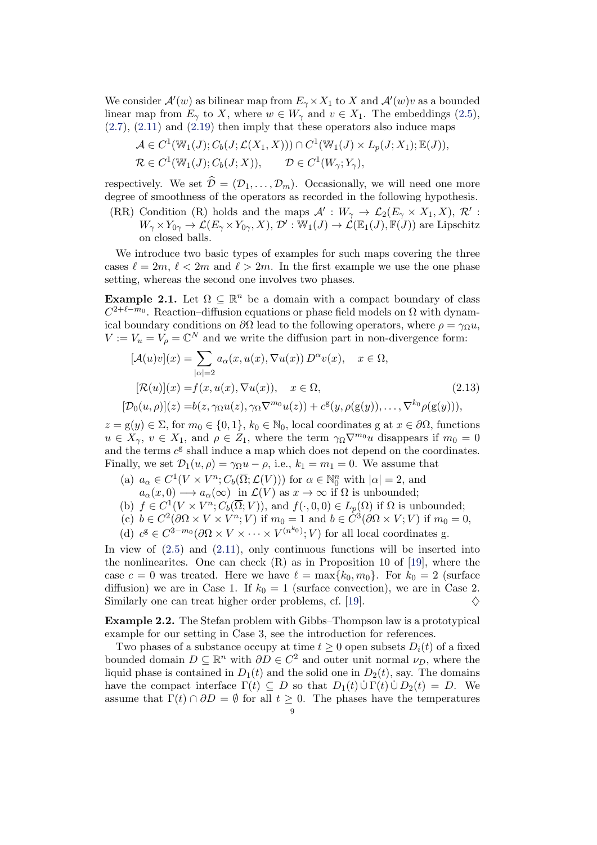We consider  $\mathcal{A}'(w)$  as bilinear map from  $E_\gamma \times X_1$  to X and  $\mathcal{A}'(w)v$  as a bounded linear map from  $E_\gamma$  to X, where  $w \in W_\gamma$  and  $v \in X_1$ . The embeddings [\(2.5\)](#page-5-0),  $(2.7)$ ,  $(2.11)$  and  $(2.19)$  then imply that these operators also induce maps

$$
\mathcal{A} \in C^1(\mathbb{W}_1(J); C_b(J; \mathcal{L}(X_1, X))) \cap C^1(\mathbb{W}_1(J) \times L_p(J; X_1); \mathbb{E}(J)),
$$
  

$$
\mathcal{R} \in C^1(\mathbb{W}_1(J); C_b(J; X)), \qquad \mathcal{D} \in C^1(W_\gamma; Y_\gamma),
$$

respectively. We set  $\hat{\mathcal{D}} = (\mathcal{D}_1, \dots, \mathcal{D}_m)$ . Occasionally, we will need one more degree of smoothness of the operators as recorded in the following hypothesis.

(RR) Condition (R) holds and the maps  $\mathcal{A}' : W_\gamma \to \mathcal{L}_2(E_\gamma \times X_1, X), \mathcal{R}'$ :  $W_\gamma \times Y_{0\gamma} \to \mathcal{L}(E_\gamma \times Y_{0\gamma}, X),$   $\mathcal{D}': \overline{\mathbb{W}}_1(J) \to \mathcal{L}(\mathbb{E}_1(J), \overline{\mathbb{F}}(J))$  are Lipschitz on closed balls.

We introduce two basic types of examples for such maps covering the three cases  $\ell = 2m, \ell < 2m$  and  $\ell > 2m$ . In the first example we use the one phase setting, whereas the second one involves two phases.

<span id="page-8-1"></span>**Example 2.1.** Let  $\Omega \subseteq \mathbb{R}^n$  be a domain with a compact boundary of class  $C^{2+\ell-m_0}$ . Reaction–diffusion equations or phase field models on  $\Omega$  with dynamical boundary conditions on  $\partial\Omega$  lead to the following operators, where  $\rho = \gamma_{\Omega} u$ ,  $V := V_u = V_\rho = \mathbb{C}^N$  and we write the diffusion part in non-divergence form:

$$
[\mathcal{A}(u)v](x) = \sum_{|\alpha|=2} a_{\alpha}(x, u(x), \nabla u(x)) D^{\alpha}v(x), \quad x \in \Omega,
$$
  
\n
$$
[\mathcal{R}(u)](x) = f(x, u(x), \nabla u(x)), \quad x \in \Omega,
$$
  
\n
$$
[\mathcal{D}_0(u, \rho)](z) = b(z, \gamma_{\Omega}u(z), \gamma_{\Omega} \nabla^{m_0}u(z)) + c^{\mathcal{E}}(y, \rho(g(y)), \dots, \nabla^{k_0} \rho(g(y))),
$$
\n(2.13)

 $z = g(y) \in \Sigma$ , for  $m_0 \in \{0, 1\}$ ,  $k_0 \in \mathbb{N}_0$ , local coordinates g at  $x \in \partial\Omega$ , functions  $u \in X_{\gamma}, v \in X_1$ , and  $\rho \in Z_1$ , where the term  $\gamma_{\Omega} \nabla^{m_0} u$  disappears if  $m_0 = 0$ and the terms  $c^{\mathsf{g}}$  shall induce a map which does not depend on the coordinates. Finally, we set  $\mathcal{D}_1(u, \rho) = \gamma_{\Omega} u - \rho$ , i.e.,  $k_1 = m_1 = 0$ . We assume that

- (a)  $a_{\alpha} \in C^1(V \times V^n; C_b(\overline{\Omega}; \mathcal{L}(V)))$  for  $\alpha \in \mathbb{N}_0^n$  with  $|\alpha| = 2$ , and  $a_{\alpha}(x,0) \longrightarrow a_{\alpha}(\infty)$  in  $\mathcal{L}(V)$  as  $x \to \infty$  if  $\Omega$  is unbounded;
- (b)  $f \in C^1(V \times V^n; C_b(\overline{\Omega}; V))$ , and  $f(\cdot, 0, 0) \in L_p(\Omega)$  if  $\Omega$  is unbounded;
- (c)  $b \in C^2(\partial\Omega \times V \times V^n; V)$  if  $m_0 = 1$  and  $b \in C^3(\partial\Omega \times V; V)$  if  $m_0 = 0$ ,
- (d)  $c^{g} \in C^{3-m_0}(\partial \Omega \times V \times \cdots \times V^{(n^{k_0})}; V)$  for all local coordinates g.

In view of  $(2.5)$  and  $(2.11)$ , only continuous functions will be inserted into the nonlinearites. One can check  $(R)$  as in Proposition 10 of [\[19\]](#page-41-4), where the case  $c = 0$  was treated. Here we have  $\ell = \max\{k_0, m_0\}$ . For  $k_0 = 2$  (surface diffusion) we are in Case 1. If  $k_0 = 1$  (surface convection), we are in Case 2. Similarly one can treat higher order problems, cf. [\[19\]](#page-41-4).  $\diamondsuit$ 

<span id="page-8-0"></span>Example 2.2. The Stefan problem with Gibbs–Thompson law is a prototypical example for our setting in Case 3, see the introduction for references.

Two phases of a substance occupy at time  $t \geq 0$  open subsets  $D_i(t)$  of a fixed bounded domain  $D \subseteq \mathbb{R}^n$  with  $\partial D \in C^2$  and outer unit normal  $\nu_D$ , where the liquid phase is contained in  $D_1(t)$  and the solid one in  $D_2(t)$ , say. The domains have the compact interface  $\Gamma(t) \subseteq D$  so that  $D_1(t) \cup \Gamma(t) \cup D_2(t) = D$ . We assume that  $\Gamma(t) \cap \partial D = \emptyset$  for all  $t \geq 0$ . The phases have the temperatures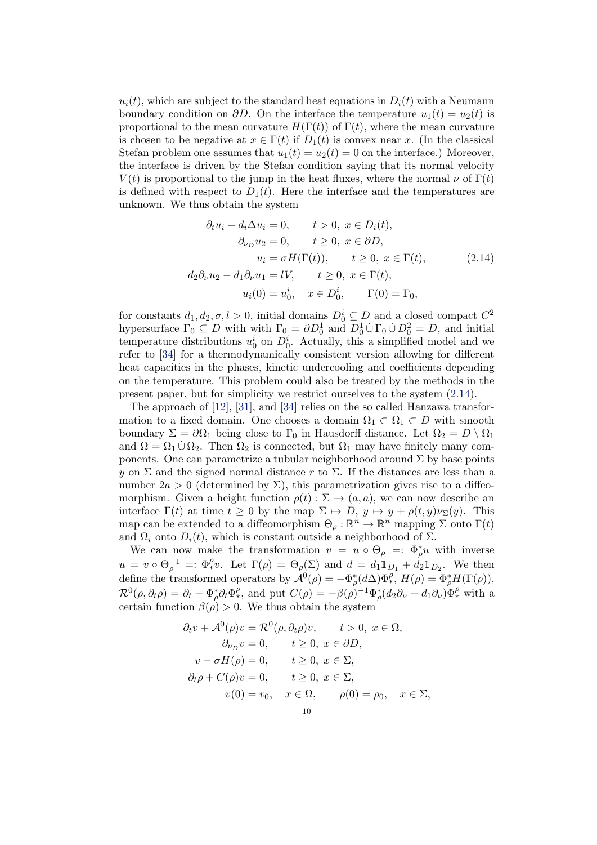$u_i(t)$ , which are subject to the standard heat equations in  $D_i(t)$  with a Neumann boundary condition on  $\partial D$ . On the interface the temperature  $u_1(t) = u_2(t)$  is proportional to the mean curvature  $H(\Gamma(t))$  of  $\Gamma(t)$ , where the mean curvature is chosen to be negative at  $x \in \Gamma(t)$  if  $D_1(t)$  is convex near x. (In the classical Stefan problem one assumes that  $u_1(t) = u_2(t) = 0$  on the interface.) Moreover, the interface is driven by the Stefan condition saying that its normal velocity  $V(t)$  is proportional to the jump in the heat fluxes, where the normal  $\nu$  of  $\Gamma(t)$ is defined with respect to  $D_1(t)$ . Here the interface and the temperatures are unknown. We thus obtain the system

<span id="page-9-0"></span>
$$
\partial_t u_i - d_i \Delta u_i = 0, \qquad t > 0, \ x \in D_i(t),
$$
  
\n
$$
\partial_{\nu_D} u_2 = 0, \qquad t \ge 0, \ x \in \partial D,
$$
  
\n
$$
u_i = \sigma H(\Gamma(t)), \qquad t \ge 0, \ x \in \Gamma(t),
$$
  
\n
$$
d_2 \partial_{\nu} u_2 - d_1 \partial_{\nu} u_1 = lV, \qquad t \ge 0, \ x \in \Gamma(t),
$$
  
\n
$$
u_i(0) = u_0^i, \quad x \in D_0^i, \qquad \Gamma(0) = \Gamma_0,
$$
  
\n(2.14)

for constants  $d_1, d_2, \sigma, l > 0$ , initial domains  $D_0^i \subseteq D$  and a closed compact  $C^2$ hypersurface  $\Gamma_0 \subseteq D$  with with  $\Gamma_0 = \partial D_0^1$  and  $D_0^1 \cup \Gamma_0 \cup D_0^2 = D$ , and initial temperature distributions  $u_0^i$  on  $D_0^i$ . Actually, this a simplified model and we refer to [\[34\]](#page-42-10) for a thermodynamically consistent version allowing for different heat capacities in the phases, kinetic undercooling and coefficients depending on the temperature. This problem could also be treated by the methods in the present paper, but for simplicity we restrict ourselves to the system [\(2.14\)](#page-9-0).

The approach of [\[12\]](#page-41-7), [\[31\]](#page-42-9), and [\[34\]](#page-42-10) relies on the so called Hanzawa transformation to a fixed domain. One chooses a domain  $\Omega_1 \subset \overline{\Omega_1} \subset D$  with smooth boundary  $\Sigma = \partial \Omega_1$  being close to  $\Gamma_0$  in Hausdorff distance. Let  $\Omega_2 = D \setminus \overline{\Omega_1}$ and  $\Omega = \Omega_1 \cup \Omega_2$ . Then  $\Omega_2$  is connected, but  $\Omega_1$  may have finitely many components. One can parametrize a tubular neighborhood around  $\Sigma$  by base points y on  $\Sigma$  and the signed normal distance r to  $\Sigma$ . If the distances are less than a number  $2a > 0$  (determined by  $\Sigma$ ), this parametrization gives rise to a diffeomorphism. Given a height function  $\rho(t): \Sigma \to (a, a)$ , we can now describe an interface  $\Gamma(t)$  at time  $t \geq 0$  by the map  $\Sigma \mapsto D, y \mapsto y + \rho(t, y)\nu_{\Sigma}(y)$ . This map can be extended to a diffeomorphism  $\Theta_{\rho}: \mathbb{R}^n \to \mathbb{R}^n$  mapping  $\Sigma$  onto  $\Gamma(t)$ and  $\Omega_i$  onto  $D_i(t)$ , which is constant outside a neighborhood of  $\Sigma$ .

We can now make the transformation  $v = u \circ \Theta_{\rho} =: \Phi_{\rho}^{*} u$  with inverse  $u = v \circ \Theta_{\rho}^{-1} =: \Phi_{*}^{\rho}v.$  Let  $\Gamma(\rho) = \Theta_{\rho}(\Sigma)$  and  $d = d_1 \mathbb{1}_{D_1} + d_2 \mathbb{1}_{D_2}.$  We then define the transformed operators by  $\mathcal{A}^0(\rho) = -\Phi_{\rho}^*(d\Delta)\Phi_*^{\rho}, H(\rho) = \Phi_{\rho}^*H(\Gamma(\rho)),$  $\mathcal{R}^0(\rho,\partial_t\rho) = \partial_t - \Phi_\rho^* \partial_t \Phi_\star^{\rho}$ , and put  $C(\rho) = -\beta(\rho)^{-1} \Phi_\rho^* (d_2 \partial_\nu - d_1 \partial_\nu) \Phi_\star^{\rho}$  with a certain function  $\beta(\rho) > 0$ . We thus obtain the system

$$
\partial_t v + \mathcal{A}^0(\rho)v = \mathcal{R}^0(\rho, \partial_t \rho)v, \qquad t > 0, \ x \in \Omega, \n\partial_{\nu_D} v = 0, \qquad t \ge 0, \ x \in \partial D, \nv - \sigma H(\rho) = 0, \qquad t \ge 0, \ x \in \Sigma, \n\partial_t \rho + C(\rho)v = 0, \qquad t \ge 0, \ x \in \Sigma, \nv(0) = v_0, \quad x \in \Omega, \qquad \rho(0) = \rho_0, \quad x \in \Sigma,
$$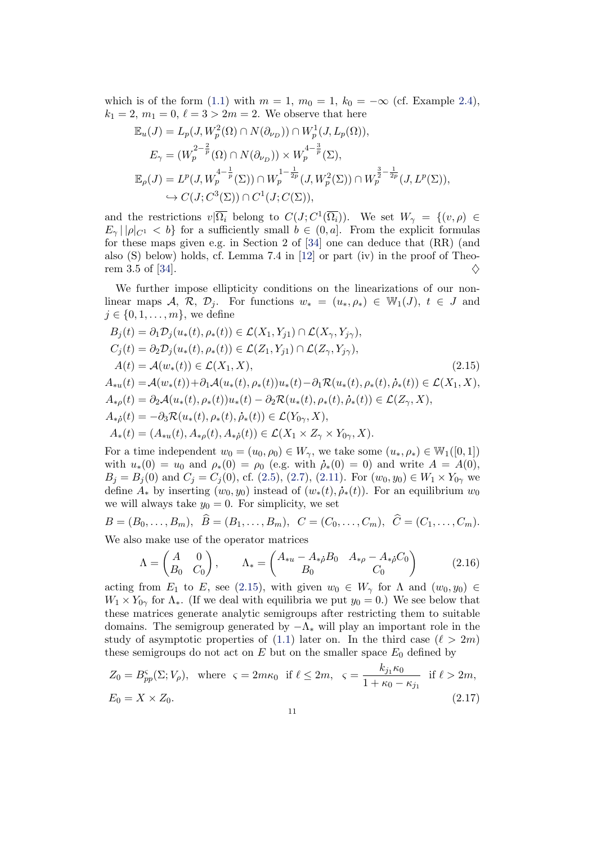which is of the form [\(1.1\)](#page-1-0) with  $m = 1$ ,  $m_0 = 1$ ,  $k_0 = -\infty$  (cf. Example [2.4\)](#page-13-0),  $k_1 = 2, m_1 = 0, \ell = 3 > 2m = 2.$  We observe that here

$$
\mathbb{E}_u(J) = L_p(J, W_p^2(\Omega) \cap N(\partial_{\nu_D})) \cap W_p^1(J, L_p(\Omega)),
$$
  
\n
$$
E_\gamma = (W_p^{2-\frac{2}{p}}(\Omega) \cap N(\partial_{\nu_D})) \times W_p^{4-\frac{3}{p}}(\Sigma),
$$
  
\n
$$
\mathbb{E}_\rho(J) = L^p(J, W_p^{4-\frac{1}{p}}(\Sigma)) \cap W_p^{1-\frac{1}{2p}}(J, W_p^2(\Sigma)) \cap W_p^{\frac{3}{2-\frac{1}{2p}}}(J, L^p(\Sigma)),
$$
  
\n
$$
\hookrightarrow C(J; C^3(\Sigma)) \cap C^1(J; C(\Sigma)),
$$

and the restrictions  $v|\overline{\Omega_i}$  belong to  $C(J; C^1(\overline{\Omega_i}))$ . We set  $W_\gamma = \{(v, \rho) \in$  $E_{\gamma} || \rho |_{C^1} < b$  for a sufficiently small  $b \in (0, a]$ . From the explicit formulas for these maps given e.g. in Section 2 of [\[34\]](#page-42-10) one can deduce that (RR) (and also (S) below) holds, cf. Lemma 7.4 in [\[12\]](#page-41-7) or part (iv) in the proof of Theo-rem 3.5 of [\[34\]](#page-42-10).  $\diamondsuit$ 

We further impose ellipticity conditions on the linearizations of our nonlinear maps A, R, D<sub>j</sub>. For functions  $w_* = (u_*, \rho_*) \in \mathbb{W}_1(J), t \in J$  and  $j \in \{0, 1, \ldots, m\}$ , we define

<span id="page-10-0"></span>
$$
B_{j}(t) = \partial_{1}D_{j}(u_{*}(t), \rho_{*}(t)) \in \mathcal{L}(X_{1}, Y_{j1}) \cap \mathcal{L}(X_{\gamma}, Y_{j\gamma}),
$$
  
\n
$$
C_{j}(t) = \partial_{2}D_{j}(u_{*}(t), \rho_{*}(t)) \in \mathcal{L}(Z_{1}, Y_{j1}) \cap \mathcal{L}(Z_{\gamma}, Y_{j\gamma}),
$$
  
\n
$$
A(t) = \mathcal{A}(w_{*}(t)) \in \mathcal{L}(X_{1}, X),
$$
  
\n
$$
A_{*u}(t) = \mathcal{A}(w_{*}(t)) + \partial_{1}\mathcal{A}(u_{*}(t), \rho_{*}(t))u_{*}(t) - \partial_{1}\mathcal{R}(u_{*}(t), \rho_{*}(t), \dot{\rho}_{*}(t)) \in \mathcal{L}(X_{1}, X),
$$
  
\n
$$
A_{*{\rho}}(t) = \partial_{2}\mathcal{A}(u_{*}(t), \rho_{*}(t))u_{*}(t) - \partial_{2}\mathcal{R}(u_{*}(t), \rho_{*}(t), \dot{\rho}_{*}(t)) \in \mathcal{L}(Z_{\gamma}, X),
$$
  
\n
$$
A_{*{\rho}}(t) = -\partial_{3}\mathcal{R}(u_{*}(t), \rho_{*}(t), \dot{\rho}_{*}(t)) \in \mathcal{L}(Y_{0\gamma}, X),
$$
  
\n
$$
A_{*}(t) = (A_{*u}(t), A_{*{\rho}}(t), A_{*{\rho}}(t)) \in \mathcal{L}(X_{1} \times Z_{\gamma} \times Y_{0\gamma}, X).
$$
  
\n(2.15)

For a time independent  $w_0 = (u_0, \rho_0) \in W_\gamma$ , we take some  $(u_*, \rho_*) \in W_1([0, 1])$ with  $u_*(0) = u_0$  and  $\rho_*(0) = \rho_0$  (e.g. with  $\dot{\rho}_*(0) = 0$ ) and write  $A = A(0)$ ,  $B_j = B_j(0)$  and  $C_j = C_j(0)$ , cf. [\(2.5\)](#page-5-0), [\(2.7\)](#page-5-1), [\(2.11\)](#page-6-2). For  $(w_0, y_0) \in W_1 \times Y_{0\gamma}$  we define  $A_*$  by inserting  $(w_0, y_0)$  instead of  $(w_*(t), \dot{\rho}_*(t))$ . For an equilibrium  $w_0$ we will always take  $y_0 = 0$ . For simplicity, we set

$$
B = (B_0, \dots, B_m), \quad \widehat{B} = (B_1, \dots, B_m), \quad C = (C_0, \dots, C_m), \quad \widehat{C} = (C_1, \dots, C_m).
$$
  
We also make use of the operator matrices

 $A \quad 0)$  $\int A_{*u} - A_{*\rho} B_0 \quad A_{*\rho} - A_{*\rho} C_0$ 

<span id="page-10-2"></span><span id="page-10-1"></span>
$$
\Lambda = \begin{pmatrix} A & 0 \\ B_0 & C_0 \end{pmatrix}, \qquad \Lambda_* = \begin{pmatrix} A_{*u} - A_{*\dot{\rho}} B_0 & A_{*\rho} - A_{*\dot{\rho}} C_0 \\ B_0 & C_0 \end{pmatrix}
$$
(2.16)

acting from  $E_1$  to E, see [\(2.15\)](#page-10-0), with given  $w_0 \in W_\gamma$  for  $\Lambda$  and  $(w_0, y_0) \in$  $W_1 \times Y_{0\gamma}$  for  $\Lambda_*$ . (If we deal with equilibria we put  $y_0 = 0$ .) We see below that these matrices generate analytic semigroups after restricting them to suitable domains. The semigroup generated by  $-\Lambda_*$  will play an important role in the study of asymptotic properties of [\(1.1\)](#page-1-0) later on. In the third case  $(\ell > 2m)$ these semigroups do not act on  $E$  but on the smaller space  $E_0$  defined by

$$
Z_0 = B_{pp}^{\varsigma}(\Sigma; V_{\rho}), \text{ where } \varsigma = 2m\kappa_0 \text{ if } \ell \le 2m, \ \varsigma = \frac{k_{j_1}\kappa_0}{1 + \kappa_0 - \kappa_{j_1}} \text{ if } \ell > 2m,
$$
  

$$
E_0 = X \times Z_0.
$$
 (2.17)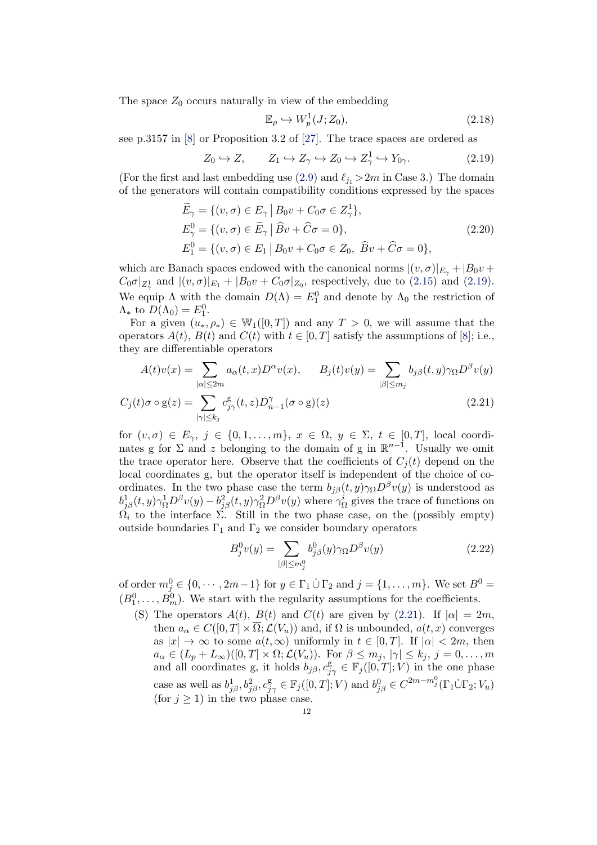The space  $Z_0$  occurs naturally in view of the embedding

<span id="page-11-4"></span><span id="page-11-3"></span>
$$
\mathbb{E}_{\rho} \hookrightarrow W_p^1(J; Z_0),\tag{2.18}
$$

see p.3157 in [\[8\]](#page-41-10) or Proposition 3.2 of [\[27\]](#page-42-18). The trace spaces are ordered as

<span id="page-11-2"></span>
$$
Z_0 \hookrightarrow Z, \qquad Z_1 \hookrightarrow Z_\gamma \hookrightarrow Z_0 \hookrightarrow Z_\gamma^1 \hookrightarrow Y_{0\gamma}.
$$
 (2.19)

(For the first and last embedding use [\(2.9\)](#page-6-3) and  $\ell_{j1} > 2m$  in Case 3.) The domain of the generators will contain compatibility conditions expressed by the spaces

$$
\widetilde{E}_{\gamma} = \{ (v, \sigma) \in E_{\gamma} \mid B_0 v + C_0 \sigma \in Z_{\gamma}^1 \},
$$
\n
$$
E_{\gamma}^0 = \{ (v, \sigma) \in \widetilde{E}_{\gamma} \mid \widehat{B}v + \widehat{C}\sigma = 0 \},
$$
\n
$$
E_1^0 = \{ (v, \sigma) \in E_1 \mid B_0 v + C_0 \sigma \in Z_0, \ \widehat{B}v + \widehat{C}\sigma = 0 \},
$$
\n(2.20)

which are Banach spaces endowed with the canonical norms  $|(v, \sigma)|_{E_{\gamma}} + |B_0v + \sigma|^2$  $C_0 \sigma|_{Z^1_\gamma}$  and  $|(v,\sigma)|_{E_1} + |B_0 v + C_0 \sigma|_{Z_0}$ , respectively, due to [\(2.15\)](#page-10-0) and [\(2.19\)](#page-11-2). We equip  $\Lambda$  with the domain  $D(\Lambda) = E_1^0$  and denote by  $\Lambda_0$  the restriction of  $\Lambda_*$  to  $D(\Lambda_0) = E_1^0$ .

For a given  $(u_*, \rho_*) \in W_1([0,T])$  and any  $T > 0$ , we will assume that the operators  $A(t)$ ,  $B(t)$  and  $C(t)$  with  $t \in [0, T]$  satisfy the assumptions of [\[8\]](#page-41-10); i.e., they are differentiable operators

$$
A(t)v(x) = \sum_{|\alpha| \le 2m} a_{\alpha}(t, x)D^{\alpha}v(x), \qquad B_j(t)v(y) = \sum_{|\beta| \le m_j} b_{j\beta}(t, y)\gamma_{\Omega}D^{\beta}v(y)
$$
  

$$
B_j(t)v(y) = \sum_{|\beta| \le m_j} b_{j\beta}(t, y)\gamma_{\Omega}D^{\beta}v(y)
$$

$$
C_j(t)\sigma \circ \mathbf{g}(z) = \sum_{|\gamma| \le k_j} c_{j\gamma}^{\mathbf{g}}(t, z) D_{n-1}^{\gamma}(\sigma \circ \mathbf{g})(z)
$$
\n(2.21)

for  $(v, \sigma) \in E_{\gamma}, j \in \{0, 1, \ldots, m\}, x \in \Omega, y \in \Sigma, t \in [0, T],$  local coordinates g for  $\Sigma$  and z belonging to the domain of g in  $\mathbb{R}^{n-1}$ . Usually we omit the trace operator here. Observe that the coefficients of  $C_i(t)$  depend on the local coordinates g, but the operator itself is independent of the choice of coordinates. In the two phase case the term  $b_{j\beta}(t, y)\gamma_{\Omega}D^{\beta}v(y)$  is understood as  $b_{j\beta}^1(t, y)\gamma_{\Omega}^1 D^{\beta}v(y) - b_{j\beta}^2(t, y)\gamma_{\Omega}^2 D^{\beta}v(y)$  where  $\gamma_{\Omega}^i$  gives the trace of functions on  $\tilde{\Omega}_i$  to the interface  $\Sigma$ . Still in the two phase case, on the (possibly empty) outside boundaries  $\Gamma_1$  and  $\Gamma_2$  we consider boundary operators

<span id="page-11-1"></span><span id="page-11-0"></span>
$$
B_j^0 v(y) = \sum_{|\beta| \le m_j^0} b_{j\beta}^0(y) \gamma_\Omega D^\beta v(y) \tag{2.22}
$$

of order  $m_j^0 \in \{0, \dots, 2m-1\}$  for  $y \in \Gamma_1 \cup \Gamma_2$  and  $j = \{1, \dots, m\}$ . We set  $B^0 =$  $(B_1^0, \ldots, B_m^0)$ . We start with the regularity assumptions for the coefficients.

(S) The operators  $A(t)$ ,  $B(t)$  and  $C(t)$  are given by [\(2.21\)](#page-11-0). If  $|\alpha| = 2m$ , then  $a_{\alpha} \in C([0, T] \times \overline{\Omega}; \mathcal{L}(V_u))$  and, if  $\Omega$  is unbounded,  $a(t, x)$  converges as  $|x| \to \infty$  to some  $a(t, \infty)$  uniformly in  $t \in [0, T]$ . If  $|\alpha| < 2m$ , then  $a_{\alpha} \in (L_p + L_{\infty})([0, T] \times \Omega; \mathcal{L}(V_u)).$  For  $\beta \leq m_j, |\gamma| \leq k_j, j = 0, \ldots, m$ and all coordinates g, it holds  $b_{j\beta}, c_{j\gamma}^g \in \mathbb{F}_j([0,T];V)$  in the one phase case as well as  $b_{j\beta}^1, b_{j\beta}^2, c_{j\gamma}^{\mathcal{g}} \in \mathbb{F}_j([0,T]; V)$  and  $b_{j\beta}^0 \in C^{2m-m_j^0}(\Gamma_1 \dot{\cup} \Gamma_2; V_u)$ (for  $j \geq 1$ ) in the two phase case.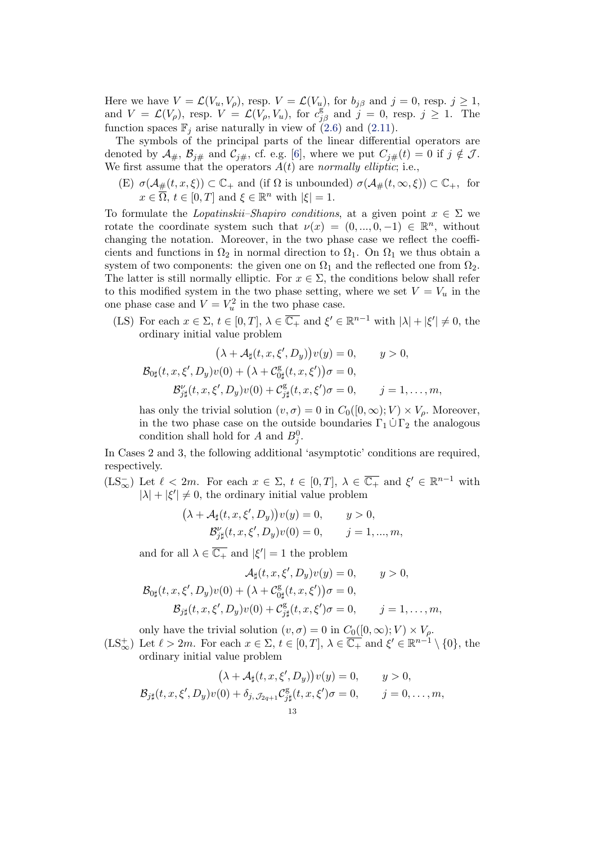Here we have  $V = \mathcal{L}(V_u, V_\rho)$ , resp.  $V = \mathcal{L}(V_u)$ , for  $b_{j\beta}$  and  $j = 0$ , resp.  $j \ge 1$ , and  $V = \mathcal{L}(V_{\rho}),$  resp.  $V = \mathcal{L}(V_{\rho}, V_u)$ , for  $c_{j\beta}^g$  and  $j = 0$ , resp.  $j \ge 1$ . The function spaces  $\mathbb{F}_i$  arise naturally in view of [\(2.6\)](#page-5-2) and [\(2.11\)](#page-6-2).

The symbols of the principal parts of the linear differential operators are denoted by  $\mathcal{A}_{\#}, \mathcal{B}_{j\#}$  and  $\mathcal{C}_{j\#},$  cf. e.g. [\[6\]](#page-41-17), where we put  $C_{j\#}(t) = 0$  if  $j \notin \mathcal{J}$ . We first assume that the operators  $A(t)$  are normally elliptic; i.e.,

(E)  $\sigma(\mathcal{A}_{\#}(t,x,\xi)) \subset \mathbb{C}_{+}$  and (if  $\Omega$  is unbounded)  $\sigma(\mathcal{A}_{\#}(t,\infty,\xi)) \subset \mathbb{C}_{+}$ , for  $x \in \overline{\Omega}$ ,  $t \in [0, T]$  and  $\xi \in \mathbb{R}^n$  with  $|\xi| = 1$ .

To formulate the *Lopatinskii–Shapiro conditions*, at a given point  $x \in \Sigma$  we rotate the coordinate system such that  $\nu(x) = (0, ..., 0, -1) \in \mathbb{R}^n$ , without changing the notation. Moreover, in the two phase case we reflect the coefficients and functions in  $\Omega_2$  in normal direction to  $\Omega_1$ . On  $\Omega_1$  we thus obtain a system of two components: the given one on  $\Omega_1$  and the reflected one from  $\Omega_2$ . The latter is still normally elliptic. For  $x \in \Sigma$ , the conditions below shall refer to this modified system in the two phase setting, where we set  $V = V_u$  in the one phase case and  $V = V_u^2$  in the two phase case.

(LS) For each  $x \in \Sigma$ ,  $t \in [0, T]$ ,  $\lambda \in \overline{\mathbb{C}_+}$  and  $\xi' \in \mathbb{R}^{n-1}$  with  $|\lambda| + |\xi'| \neq 0$ , the ordinary initial value problem

$$
(\lambda + \mathcal{A}_{\sharp}(t, x, \xi', D_y))v(y) = 0, \qquad y > 0,
$$
  

$$
\mathcal{B}_{0\sharp}(t, x, \xi', D_y)v(0) + (\lambda + \mathcal{C}_{0\sharp}^{\mathcal{S}}(t, x, \xi'))\sigma = 0,
$$
  

$$
\mathcal{B}'_{\sharp}(t, x, \xi', D_y)v(0) + \mathcal{C}_{\sharp}^{\mathcal{S}}(t, x, \xi')\sigma = 0, \qquad j = 1, ..., m,
$$

has only the trivial solution  $(v, \sigma) = 0$  in  $C_0([0, \infty); V) \times V_\rho$ . Moreover, in the two phase case on the outside boundaries  $\Gamma_1 \cup \Gamma_2$  the analogous condition shall hold for A and  $B_j^0$ .

In Cases 2 and 3, the following additional 'asymptotic' conditions are required, respectively.

 $(LS_{\infty}^-)$  Let  $\ell < 2m$ . For each  $x \in \Sigma$ ,  $t \in [0,T]$ ,  $\lambda \in \overline{\mathbb{C}_+}$  and  $\xi' \in \mathbb{R}^{n-1}$  with  $|\lambda| + |\xi'| \neq 0$ , the ordinary initial value problem

$$
(\lambda + \mathcal{A}_{\sharp}(t, x, \xi', D_y))v(y) = 0, \qquad y > 0,
$$
  

$$
\mathcal{B}_{j\sharp}^{\nu}(t, x, \xi', D_y)v(0) = 0, \qquad j = 1, ..., m,
$$

and for all  $\lambda \in \overline{\mathbb{C}_+}$  and  $|\xi'| = 1$  the problem

$$
\mathcal{A}_{\sharp}(t,x,\xi',D_y)v(y) = 0, \qquad y > 0,
$$
  

$$
\mathcal{B}_{0\sharp}(t,x,\xi',D_y)v(0) + (\lambda + C_{0\sharp}^{\mathcal{S}}(t,x,\xi'))\sigma = 0,
$$
  

$$
\mathcal{B}_{j\sharp}(t,x,\xi',D_y)v(0) + C_{j\sharp}^{\mathcal{S}}(t,x,\xi')\sigma = 0, \qquad j = 1,\ldots,m,
$$

only have the trivial solution  $(v, \sigma) = 0$  in  $C_0([0, \infty); V) \times V_\rho$ .

 $(LS_{\infty}^+)$  Let  $\ell > 2m$ . For each  $x \in \Sigma$ ,  $t \in [0, T]$ ,  $\lambda \in \overline{\mathbb{C}_+}$  and  $\xi' \in \mathbb{R}^{n-1} \setminus \{0\}$ , the ordinary initial value problem

$$
(\lambda + \mathcal{A}_{\sharp}(t, x, \xi', D_y))v(y) = 0, \qquad y > 0,
$$
  

$$
\mathcal{B}_{j\sharp}(t, x, \xi', D_y)v(0) + \delta_{j, \mathcal{J}_{2q+1}}\mathcal{C}_{j\sharp}^{\mathsf{g}}(t, x, \xi')\sigma = 0, \qquad j = 0, \dots, m,
$$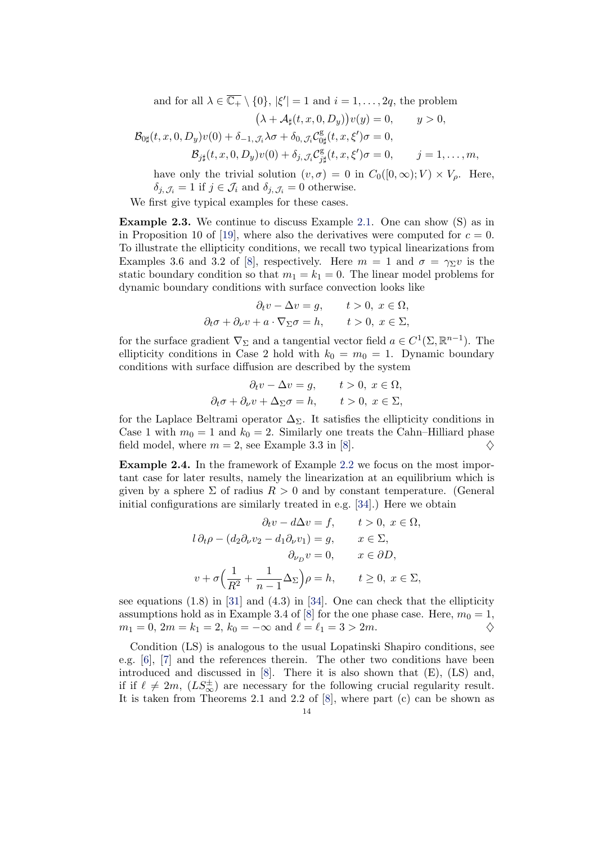and for all  $\lambda \in \overline{\mathbb{C}_+} \setminus \{0\}$ ,  $|\xi'| = 1$  and  $i = 1, \ldots, 2q$ , the problem

$$
(\lambda + \mathcal{A}_{\sharp}(t, x, 0, D_y))v(y) = 0, \qquad y > 0,
$$
  

$$
\mathcal{B}_{0\sharp}(t, x, 0, D_y)v(0) + \delta_{-1, \mathcal{J}_i}\lambda\sigma + \delta_{0, \mathcal{J}_i}\mathcal{C}_{0\sharp}^{\mathcal{S}}(t, x, \xi')\sigma = 0,
$$
  

$$
\mathcal{B}_{j\sharp}(t, x, 0, D_y)v(0) + \delta_{j, \mathcal{J}_i}\mathcal{C}_{j\sharp}^{\mathcal{S}}(t, x, \xi')\sigma = 0, \qquad j = 1, ..., m,
$$

have only the trivial solution  $(v, \sigma) = 0$  in  $C_0([0, \infty); V) \times V_\rho$ . Here,  $\delta_{j, \mathcal{J}_i} = 1$  if  $j \in \mathcal{J}_i$  and  $\delta_{j, \mathcal{J}_i} = 0$  otherwise.

We first give typical examples for these cases.

Example 2.3. We continue to discuss Example [2.1.](#page-8-1) One can show (S) as in in Proposition 10 of [\[19\]](#page-41-4), where also the derivatives were computed for  $c = 0$ . To illustrate the ellipticity conditions, we recall two typical linearizations from Examples 3.6 and 3.2 of [\[8\]](#page-41-10), respectively. Here  $m = 1$  and  $\sigma = \gamma_{\Sigma} v$  is the static boundary condition so that  $m_1 = k_1 = 0$ . The linear model problems for dynamic boundary conditions with surface convection looks like

$$
\partial_t v - \Delta v = g, \qquad t > 0, \ x \in \Omega,
$$
  

$$
\partial_t \sigma + \partial_\nu v + a \cdot \nabla_\Sigma \sigma = h, \qquad t > 0, \ x \in \Sigma,
$$

for the surface gradient  $\nabla_{\Sigma}$  and a tangential vector field  $a \in C^1(\Sigma, \mathbb{R}^{n-1})$ . The ellipticity conditions in Case 2 hold with  $k_0 = m_0 = 1$ . Dynamic boundary conditions with surface diffusion are described by the system

$$
\partial_t v - \Delta v = g, \qquad t > 0, \ x \in \Omega,
$$
  

$$
\partial_t \sigma + \partial_\nu v + \Delta_\Sigma \sigma = h, \qquad t > 0, \ x \in \Sigma,
$$

for the Laplace Beltrami operator  $\Delta_{\Sigma}$ . It satisfies the ellipticity conditions in Case 1 with  $m_0 = 1$  and  $k_0 = 2$ . Similarly one treats the Cahn–Hilliard phase field model, where  $m = 2$ , see Example 3.3 in [\[8\]](#page-41-10).

<span id="page-13-0"></span>Example 2.4. In the framework of Example [2.2](#page-8-0) we focus on the most important case for later results, namely the linearization at an equilibrium which is given by a sphere  $\Sigma$  of radius  $R > 0$  and by constant temperature. (General initial configurations are similarly treated in e.g. [\[34\]](#page-42-10).) Here we obtain

$$
\partial_t v - d\Delta v = f, \qquad t > 0, \ x \in \Omega,
$$
  

$$
l \partial_t \rho - (d_2 \partial_\nu v_2 - d_1 \partial_\nu v_1) = g, \qquad x \in \Sigma,
$$
  

$$
\partial_{\nu_D} v = 0, \qquad x \in \partial D,
$$
  

$$
v + \sigma \Big( \frac{1}{R^2} + \frac{1}{n-1} \Delta_\Sigma \Big) \rho = h, \qquad t \ge 0, \ x \in \Sigma,
$$

see equations (1.8) in [\[31\]](#page-42-9) and (4.3) in [\[34\]](#page-42-10). One can check that the ellipticity assumptions hold as in Example 3.4 of [\[8\]](#page-41-10) for the one phase case. Here,  $m_0 = 1$ ,  $m_1 = 0, 2m = k_1 = 2, k_0 = -\infty \text{ and } \ell = \ell_1 = 3 > 2m.$ 

Condition (LS) is analogous to the usual Lopatinski Shapiro conditions, see e.g. [\[6\]](#page-41-17), [\[7\]](#page-41-16) and the references therein. The other two conditions have been introduced and discussed in [\[8\]](#page-41-10). There it is also shown that (E), (LS) and, if if  $\ell \neq 2m$ ,  $(LS_{\infty}^{\pm})$  are necessary for the following crucial regularity result. It is taken from Theorems 2.1 and 2.2 of [\[8\]](#page-41-10), where part (c) can be shown as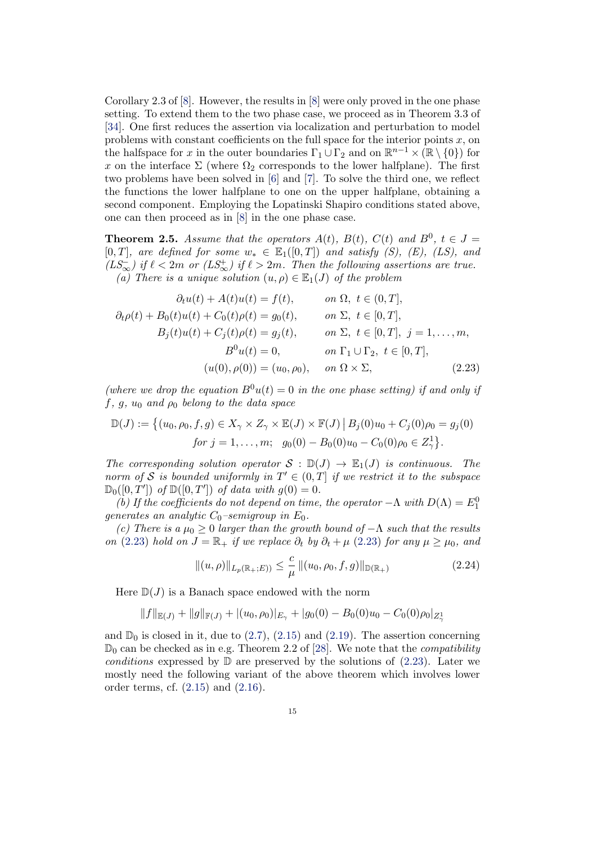Corollary 2.3 of [\[8\]](#page-41-10). However, the results in [\[8\]](#page-41-10) were only proved in the one phase setting. To extend them to the two phase case, we proceed as in Theorem 3.3 of [\[34\]](#page-42-10). One first reduces the assertion via localization and perturbation to model problems with constant coefficients on the full space for the interior points  $x$ , on the halfspace for x in the outer boundaries  $\Gamma_1 \cup \Gamma_2$  and on  $\mathbb{R}^{n-1} \times (\mathbb{R} \setminus \{0\})$  for x on the interface  $\Sigma$  (where  $\Omega_2$  corresponds to the lower halfplane). The first two problems have been solved in [\[6\]](#page-41-17) and [\[7\]](#page-41-16). To solve the third one, we reflect the functions the lower halfplane to one on the upper halfplane, obtaining a second component. Employing the Lopatinski Shapiro conditions stated above, one can then proceed as in [\[8\]](#page-41-10) in the one phase case.

<span id="page-14-0"></span>**Theorem 2.5.** Assume that the operators  $A(t)$ ,  $B(t)$ ,  $C(t)$  and  $B^0$ ,  $t \in J =$ [0, T], are defined for some  $w_* \in \mathbb{E}_1([0,T])$  and satisfy (S), (E), (LS), and  $(LS_{\infty}^-)$  if  $\ell < 2m$  or  $(LS_{\infty}^+)$  if  $\ell > 2m$ . Then the following assertions are true. (a) There is a unique solution  $(u, \rho) \in \mathbb{E}_1(J)$  of the problem

$$
\partial_t u(t) + A(t)u(t) = f(t), \qquad on \ \Omega, \ t \in (0, T],
$$
  
\n
$$
\partial_t \rho(t) + B_0(t)u(t) + C_0(t)\rho(t) = g_0(t), \qquad on \ \Sigma, \ t \in [0, T],
$$
  
\n
$$
B_j(t)u(t) + C_j(t)\rho(t) = g_j(t), \qquad on \ \Sigma, \ t \in [0, T], \ j = 1, ..., m,
$$
  
\n
$$
B^0 u(t) = 0, \qquad on \ \Gamma_1 \cup \Gamma_2, \ t \in [0, T],
$$
  
\n
$$
(u(0), \rho(0)) = (u_0, \rho_0), \qquad on \ \Omega \times \Sigma, \tag{2.23}
$$

(where we drop the equation  $B^0u(t)=0$  in the one phase setting) if and only if  $f, g, u_0$  and  $\rho_0$  belong to the data space

$$
\mathbb{D}(J) := \left\{ (u_0, \rho_0, f, g) \in X_{\gamma} \times Z_{\gamma} \times \mathbb{E}(J) \times \mathbb{F}(J) \, \middle| \, B_j(0)u_0 + C_j(0)\rho_0 = g_j(0) \, \right\}
$$
\n
$$
for \, j = 1, \dots, m; \, g_0(0) - B_0(0)u_0 - C_0(0)\rho_0 \in Z_{\gamma}^1 \right\}.
$$

The corresponding solution operator  $S : \mathbb{D}(J) \to \mathbb{E}_1(J)$  is continuous. The norm of S is bounded uniformly in  $T' \in (0,T]$  if we restrict it to the subspace  $\mathbb{D}_0([0,T'])$  of  $\mathbb{D}([0,T'])$  of data with  $g(0) = 0$ .

(b) If the coefficients do not depend on time, the operator  $-\Lambda$  with  $D(\Lambda) = E_1^0$ generates an analytic  $C_0$ -semigroup in  $E_0$ .

(c) There is a  $\mu_0 \geq 0$  larger than the growth bound of  $-\Lambda$  such that the results on [\(2.23\)](#page-14-1) hold on  $J = \mathbb{R}_+$  if we replace  $\partial_t$  by  $\partial_t + \mu$  (2.23) for any  $\mu \ge \mu_0$ , and

<span id="page-14-2"></span><span id="page-14-1"></span>
$$
||(u,\rho)||_{L_p(\mathbb{R}_+;E))} \leq \frac{c}{\mu} ||(u_0,\rho_0,f,g)||_{\mathbb{D}(\mathbb{R}_+)} \tag{2.24}
$$

Here  $\mathbb{D}(J)$  is a Banach space endowed with the norm

$$
||f||_{\mathbb{E}(J)} + ||g||_{\mathbb{F}(J)} + |(u_0, \rho_0)|_{E_{\gamma}} + |g_0(0) - B_0(0)u_0 - C_0(0)\rho_0|_{Z_{\gamma}^1}
$$

and  $\mathbb{D}_0$  is closed in it, due to  $(2.7)$ ,  $(2.15)$  and  $(2.19)$ . The assertion concerning  $\mathbb{D}_0$  can be checked as in e.g. Theorem 2.2 of [\[28\]](#page-42-19). We note that the *compatibility* conditions expressed by  $\mathbb D$  are preserved by the solutions of [\(2.23\)](#page-14-1). Later we mostly need the following variant of the above theorem which involves lower order terms, cf. [\(2.15\)](#page-10-0) and [\(2.16\)](#page-10-1).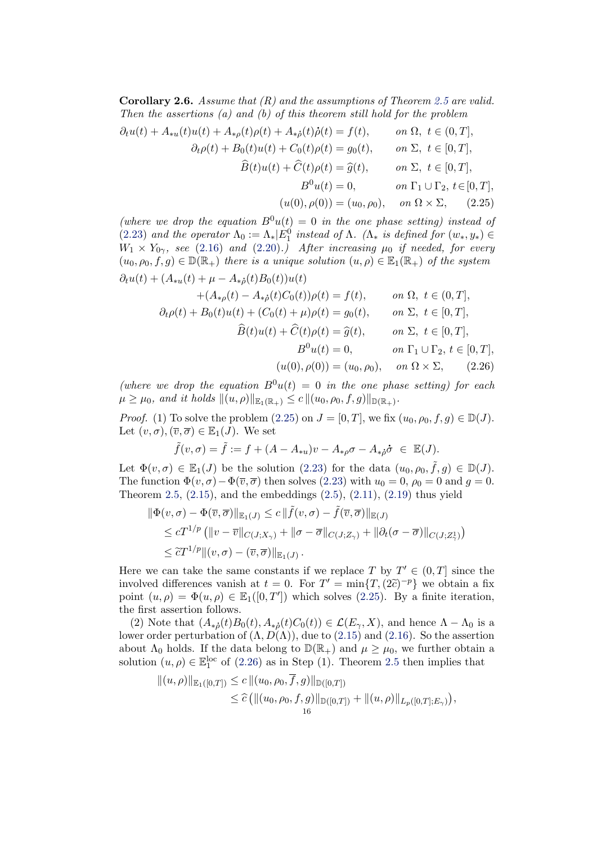<span id="page-15-0"></span>**Corollary 2.6.** Assume that  $(R)$  and the assumptions of Theorem [2.5](#page-14-0) are valid. Then the assertions (a) and (b) of this theorem still hold for the problem

$$
\partial_t u(t) + A_{*u}(t)u(t) + A_{*\rho}(t)\rho(t) + A_{*\rho}(t)\dot{\rho}(t) = f(t), \qquad on \ \Omega, \ t \in (0, T],
$$
  

$$
\partial_t \rho(t) + B_0(t)u(t) + C_0(t)\rho(t) = g_0(t), \qquad on \ \Sigma, \ t \in [0, T],
$$
  

$$
\widehat{B}(t)u(t) + \widehat{C}(t)\rho(t) = \widehat{g}(t), \qquad on \ \Sigma, \ t \in [0, T],
$$
  

$$
B^0 u(t) = 0, \qquad on \ \Gamma_1 \cup \Gamma_2, \ t \in [0, T],
$$
  

$$
(u(0), \rho(0)) = (u_0, \rho_0), \qquad on \ \Omega \times \Sigma, \tag{2.25}
$$

(where we drop the equation  $B^0u(t) = 0$  in the one phase setting) instead of [\(2.23\)](#page-14-1) and the operator  $\Lambda_0 := \Lambda_* |E_1^0$  instead of  $\Lambda$ . ( $\Lambda_*$  is defined for  $(w_*, y_*) \in$  $W_1 \times Y_{0\gamma}$ , see [\(2.16\)](#page-10-1) and [\(2.20\)](#page-11-3).) After increasing  $\mu_0$  if needed, for every  $(u_0, \rho_0, f, g) \in \mathbb{D}(\mathbb{R}_+)$  there is a unique solution  $(u, \rho) \in \mathbb{E}_1(\mathbb{R}_+)$  of the system  $\partial_t u(t) + (A_{**}(t) + \mu - A_{**}(t)B_0(t))u(t)$ 

<span id="page-15-1"></span>
$$
+ (A_{*\rho}(t) - A_{*\rho}(t)D_0(t))u(t) = f(t), \t on \Omega, t \in (0, T],
$$
  
\n
$$
\partial_t \rho(t) + B_0(t)u(t) + (C_0(t) + \mu)\rho(t) = g_0(t), \t on \Sigma, t \in [0, T],
$$
  
\n
$$
\widehat{B}(t)u(t) + \widehat{C}(t)\rho(t) = \widehat{g}(t), \t on \Sigma, t \in [0, T],
$$
  
\n
$$
B^0 u(t) = 0, \t on \Gamma_1 \cup \Gamma_2, t \in [0, T],
$$
  
\n
$$
(u(0), \rho(0)) = (u_0, \rho_0), \t on \Omega \times \Sigma, \t (2.26)
$$

(where we drop the equation  $B^0u(t) = 0$  in the one phase setting) for each  $\mu \ge \mu_0$ , and it holds  $\|(u, \rho)\|_{\mathbb{E}_1(\mathbb{R}_+)} \le c \|(u_0, \rho_0, f, g)\|_{\mathbb{D}(\mathbb{R}_+)}.$ 

*Proof.* (1) To solve the problem [\(2.25\)](#page-15-1) on  $J = [0, T]$ , we fix  $(u_0, \rho_0, f, g) \in \mathbb{D}(J)$ . Let  $(v, \sigma), (\overline{v}, \overline{\sigma}) \in \mathbb{E}_1(J)$ . We set

<span id="page-15-2"></span>
$$
\tilde{f}(v,\sigma) = \tilde{f} := f + (A - A_{*u})v - A_{*\rho}\sigma - A_{*\dot{\rho}}\dot{\sigma} \in \mathbb{E}(J).
$$

Let  $\Phi(v,\sigma) \in \mathbb{E}_1(J)$  be the solution [\(2.23\)](#page-14-1) for the data  $(u_0, \rho_0, \tilde{f}, g) \in \mathbb{D}(J)$ . The function  $\Phi(v, \sigma) - \Phi(\overline{v}, \overline{\sigma})$  then solves [\(2.23\)](#page-14-1) with  $u_0 = 0$ ,  $\rho_0 = 0$  and  $g = 0$ . Theorem [2.5,](#page-14-0)  $(2.15)$ , and the embeddings  $(2.5)$ ,  $(2.11)$ ,  $(2.19)$  thus yield

$$
\begin{aligned} \|\Phi(v,\sigma)-\Phi(\overline{v},\overline{\sigma})\|_{\mathbb{E}_1(J)} &\leq c \|\widetilde{f}(v,\sigma)-\widetilde{f}(\overline{v},\overline{\sigma})\|_{\mathbb{E}(J)} \\ &\leq cT^{1/p} \left( \|v-\overline{v}\|_{C(J;X_\gamma)} + \|\sigma-\overline{\sigma}\|_{C(J;Z_\gamma)} + \|\partial_t(\sigma-\overline{\sigma})\|_{C(J;Z_\gamma^1)} \right) \\ &\leq \widetilde{c}T^{1/p} \|(v,\sigma)-(\overline{v},\overline{\sigma})\|_{\mathbb{E}_1(J)} \,. \end{aligned}
$$

Here we can take the same constants if we replace T by  $T' \in (0, T]$  since the involved differences vanish at  $t = 0$ . For  $T' = \min\{T, (2\tilde{c})^{-p}\}\$  we obtain a fix point  $(u, \rho) = \Phi(u, \rho) \in \mathbb{E}_1([0, T'])$  which solves  $(2.25)$ . By a finite iteration, the first assertion follows.

(2) Note that  $(A_{\ast\delta}(t)B_0(t), A_{\ast\delta}(t)C_0(t)) \in \mathcal{L}(E_{\gamma}, X)$ , and hence  $\Lambda - \Lambda_0$  is a lower order perturbation of  $(\Lambda, D(\Lambda))$ , due to [\(2.15\)](#page-10-0) and [\(2.16\)](#page-10-1). So the assertion about  $\Lambda_0$  holds. If the data belong to  $\mathbb{D}(\mathbb{R}_+)$  and  $\mu \geq \mu_0$ , we further obtain a solution  $(u, \rho) \in \mathbb{E}_1^{\text{loc}}$  of  $(2.26)$  as in Step  $(1)$ . Theorem [2.5](#page-14-0) then implies that

$$
||(u, \rho)||_{\mathbb{E}_1([0,T])} \le c ||(u_0, \rho_0, f, g)||_{\mathbb{D}([0,T])}
$$
  
\n
$$
\le \widehat{c} (||(u_0, \rho_0, f, g)||_{\mathbb{D}([0,T])} + ||(u, \rho)||_{L_p([0,T]; E_\gamma)}),
$$
  
\n
$$
\le \widehat{c} (||(u_0, \rho_0, f, g)||_{\mathbb{D}([0,T])} + ||(u, \rho)||_{L_p([0,T]; E_\gamma)}),
$$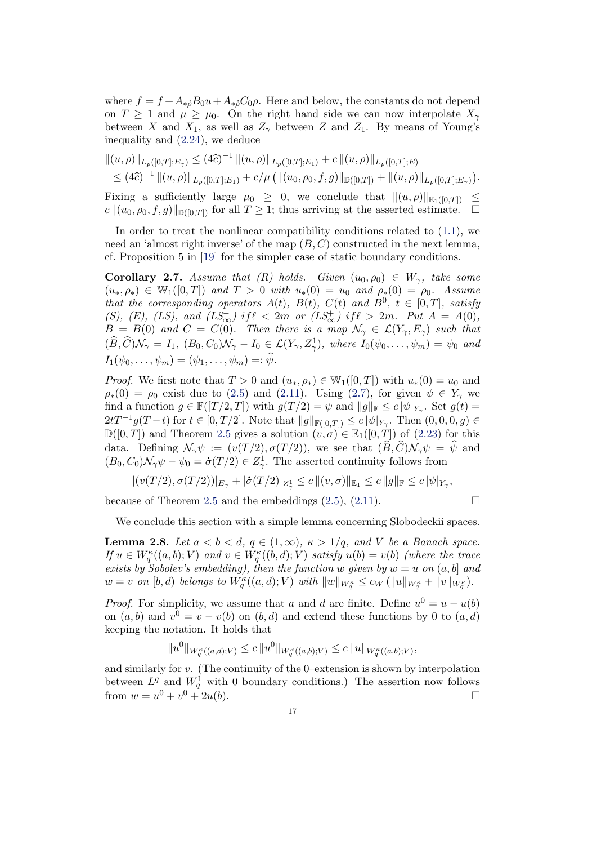where  $\overline{f} = f + A_{\ast}{}_{\rho} B_0 u + A_{\ast}{}_{\rho} C_0 \rho$ . Here and below, the constants do not depend on  $T \geq 1$  and  $\mu \geq \mu_0$ . On the right hand side we can now interpolate  $X_\gamma$ between X and  $X_1$ , as well as  $Z_\gamma$  between Z and  $Z_1$ . By means of Young's inequality and [\(2.24\)](#page-14-2), we deduce

$$
\|(u,\rho)\|_{L_p([0,T];E_\gamma)} \leq (4\widehat{c})^{-1} \| (u,\rho) \|_{L_p([0,T];E_1)} + c \| (u,\rho) \|_{L_p([0,T];E)}
$$
  

$$
\leq (4\widehat{c})^{-1} \| (u,\rho) \|_{L_p([0,T];E_1)} + c/\mu \left( \| (u_0,\rho_0,f,g) \|_{\mathbb{D}([0,T])} + \| (u,\rho) \|_{L_p([0,T];E_\gamma)} \right).
$$

Fixing a sufficiently large  $\mu_0 \geq 0$ , we conclude that  $\|(u, \rho)\|_{\mathbb{E}_1([0,T])} \leq$  $c \| (u_0, \rho_0, f, g) \|_{\mathbb{D}([0,T])}$  for all  $T \geq 1$ ; thus arriving at the asserted estimate.  $\Box$ 

In order to treat the nonlinear compatibility conditions related to [\(1.1\)](#page-1-0), we need an 'almost right inverse' of the map  $(B, C)$  constructed in the next lemma, cf. Proposition 5 in [\[19\]](#page-41-4) for the simpler case of static boundary conditions.

<span id="page-16-0"></span>**Corollary 2.7.** Assume that  $(R)$  holds. Given  $(u_0, \rho_0) \in W_\gamma$ , take some  $(u_*, \rho_*) \in \mathbb{W}_1([0,T])$  and  $T > 0$  with  $u_*(0) = u_0$  and  $\rho_*(0) = \rho_0$ . Assume that the corresponding operators  $A(t)$ ,  $B(t)$ ,  $C(t)$  and  $B^0$ ,  $t \in [0,T]$ , satisfy (S), (E), (LS), and  $(LS_{\infty}^-)$  if  $\ell < 2m$  or  $(LS_{\infty}^+)$  if  $\ell > 2m$ . Put  $A = A(0)$ ,  $B = B(0)$  and  $C = C(0)$ . Then there is a map  $\mathcal{N}_{\gamma} \in \mathcal{L}(Y_{\gamma}, E_{\gamma})$  such that  $(\widehat{B},\widehat{C})\mathcal{N}_{\gamma}=I_1, (B_0,C_0)\mathcal{N}_{\gamma}-I_0\in \mathcal{L}(Y_{\gamma},Z_{\gamma}^1),$  where  $I_0(\psi_0,\ldots,\psi_m)=\psi_0$  and  $I_1(\psi_0, \ldots, \psi_m) = (\psi_1, \ldots, \psi_m) =: \hat{\psi}.$ 

*Proof.* We first note that  $T > 0$  and  $(u_*, \rho_*) \in \mathbb{W}_1([0,T])$  with  $u_*(0) = u_0$  and  $\rho_*(0) = \rho_0$  exist due to [\(2.5\)](#page-5-0) and [\(2.11\)](#page-6-2). Using [\(2.7\)](#page-5-1), for given  $\psi \in Y_\gamma$  we find a function  $g \in \mathbb{F}([T/2,T])$  with  $g(T/2) = \psi$  and  $||g||_{\mathbb{F}} \le c |\psi|_{Y_{\gamma}}$ . Set  $g(t) =$  $2tT^{-1}g(T-t)$  for  $t \in [0, T/2]$ . Note that  $||g||_{\mathbb{F}([0,T])} \leq c |\psi|_{Y_{\gamma}}$ . Then  $(0, 0, 0, g) \in$  $\mathbb{D}([0,T])$  and Theorem [2.5](#page-14-0) gives a solution  $(v,\sigma) \in \mathbb{E}_1([0,T])$  of [\(2.23\)](#page-14-1) for this data. Defining  $\mathcal{N}_{\gamma}\psi := (v(T/2), \sigma(T/2)),$  we see that  $(\widehat{B}, \widehat{C})\mathcal{N}_{\gamma}\psi = \widehat{\psi}$  and  $(B_0, C_0) \mathcal{N}_{\gamma} \psi - \psi_0 = \dot{\sigma}(T/2) \in Z_{\gamma}^1$ . The asserted continuity follows from

$$
|(v(T/2),\sigma(T/2))|_{E_{\gamma}}+|\dot{\sigma}(T/2)|_{Z_{\gamma}^1}\leq c\, \|(v,\sigma)\|_{\mathbb{E}_1}\leq c\,\|g\|_{\mathbb{F}}\leq c\,|\psi|_{Y_{\gamma}},
$$

because of Theorem [2.5](#page-14-0) and the embeddings  $(2.5)$ ,  $(2.11)$ .

$$
\Box
$$

We conclude this section with a simple lemma concerning Slobodeckii spaces.

<span id="page-16-1"></span>**Lemma 2.8.** Let  $a < b < d$ ,  $q \in (1, \infty)$ ,  $\kappa > 1/q$ , and V be a Banach space. If  $u \in W^{\kappa}_q((a, b); V)$  and  $v \in W^{\kappa}_q((b, d); V)$  satisfy  $u(b) = v(b)$  (where the trace exists by Sobolev's embedding), then the function  $w$  given by  $w = u$  on  $(a, b]$  and  $w = v$  on  $[b, d)$  belongs to  $W^{\kappa}_q((a, d); V)$  with  $||w||_{W^{\kappa}_q} \leq c_W (||u||_{W^{\kappa}_q} + ||v||_{W^{\kappa}_q}).$ 

*Proof.* For simplicity, we assume that a and d are finite. Define  $u^0 = u - u(b)$ on  $(a, b)$  and  $v^0 = v - v(b)$  on  $(b, d)$  and extend these functions by 0 to  $(a, d)$ keeping the notation. It holds that

$$
||u^0||_{W_q^{\kappa}((a,d);V)} \leq c ||u^0||_{W_q^{\kappa}((a,b);V)} \leq c ||u||_{W_q^{\kappa}((a,b);V)},
$$

and similarly for v. (The continuity of the 0–extension is shown by interpolation between  $L^q$  and  $W_q^1$  with 0 boundary conditions.) The assertion now follows from  $w = u^0 + v^0 + 2u(b)$ .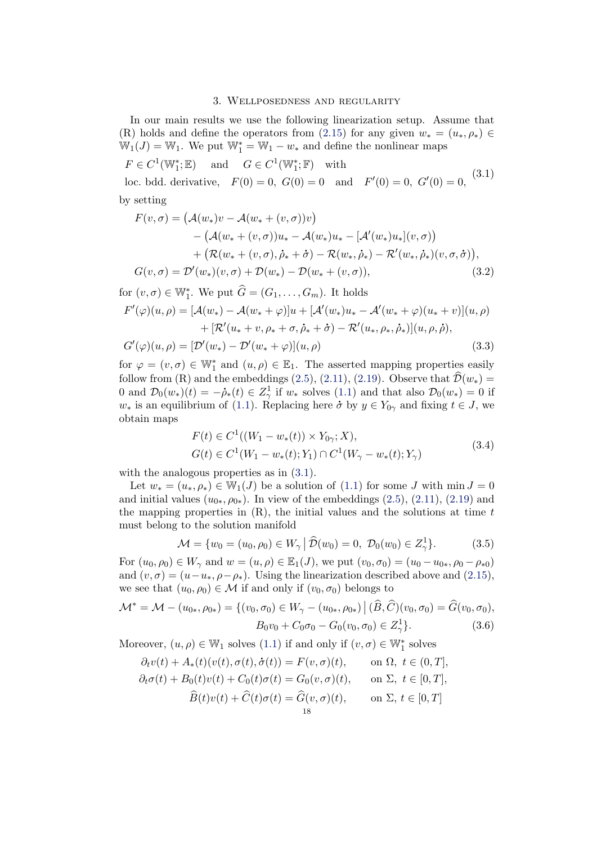#### <span id="page-17-1"></span>3. Wellposedness and regularity

In our main results we use the following linearization setup. Assume that (R) holds and define the operators from [\(2.15\)](#page-10-0) for any given  $w_* = (u_*, \rho_*) \in$  $\mathbb{W}_1(J) = \mathbb{W}_1$ . We put  $\mathbb{W}_1^* = \mathbb{W}_1 - w_*$  and define the nonlinear maps

<span id="page-17-0"></span> $F \in C^1(\mathbb{W}_1^*;\mathbb{E})$  and  $G \in C^1(\mathbb{W}_1^*;\mathbb{F})$  with loc. bdd. derivative,  $F(0) = 0$ ,  $G(0) = 0$  and  $F'(0) = 0$ ,  $G'(0) = 0$ , (3.1) by setting

$$
F(v, \sigma) = (A(w_*)v - A(w_* + (v, \sigma))v)
$$
  
–  $(A(w_* + (v, \sigma))u_* - A(w_*)u_* - [A'(w_*)u_*](v, \sigma))$   
 +  $(R(w_* + (v, \sigma), \dot{\rho}_* + \dot{\sigma}) - R(w_*, \dot{\rho}_*) - R'(w_*, \dot{\rho}_*)(v, \sigma, \dot{\sigma})),$   
 $G(v, \sigma) = \mathcal{D}'(w_*)(v, \sigma) + \mathcal{D}(w_*) - \mathcal{D}(w_*(v, \sigma)),$  (3.2)

for  $(v, \sigma) \in \mathbb{W}_1^*$ . We put  $\widehat{G} = (G_1, \ldots, G_m)$ . It holds  $F'(\varphi)(u, \rho) = [\mathcal{A}(w_*) - \mathcal{A}(w_* + \varphi)]u + [\mathcal{A}'(w_*)u_* - \mathcal{A}'(w_* + \varphi)(u_* + v)](u, \rho)$  $+ \left[\mathcal{R}^\prime(u_*+v,\rho_*+\sigma,\dot{\rho}_*+\dot{\sigma}) - \mathcal{R}^\prime(u_*,\rho_*,\dot{\rho}_*)\right](u,\rho,\dot{\rho}),$  $G'(\varphi)(u,\rho) = [\mathcal{D}'(w_*) - \mathcal{D}'(w_* + \varphi)](u,\rho)$  (3.3)

for  $\varphi = (v, \sigma) \in \mathbb{W}_1^*$  and  $(u, \rho) \in \mathbb{E}_1$ . The asserted mapping properties easily follow from (R) and the embeddings [\(2.5\)](#page-5-0), [\(2.11\)](#page-6-2), [\(2.19\)](#page-11-2). Observe that  $\hat{\mathcal{D}}(w_*) =$ 0 and  $\mathcal{D}_0(w_*)(t) = -\dot{\rho}_*(t) \in Z^1_\gamma$  if  $w_*$  solves [\(1.1\)](#page-1-0) and that also  $\mathcal{D}_0(w_*) = 0$  if  $w_*$  is an equilibrium of [\(1.1\)](#page-1-0). Replacing here  $\dot{\sigma}$  by  $y \in Y_{0\gamma}$  and fixing  $t \in J$ , we obtain maps

$$
F(t) \in C^{1}((W_{1} - w_{*}(t)) \times Y_{0\gamma}; X),
$$
  
\n
$$
G(t) \in C^{1}(W_{1} - w_{*}(t); Y_{1}) \cap C^{1}(W_{\gamma} - w_{*}(t); Y_{\gamma})
$$
\n(3.4)

<span id="page-17-2"></span>with the analogous properties as in  $(3.1)$ .

Let  $w_* = (u_*, \rho_*) \in \mathbb{W}_1(J)$  be a solution of  $(1.1)$  for some J with  $\min J = 0$ and initial values  $(u_{0*}, \rho_{0*})$ . In view of the embeddings  $(2.5)$ ,  $(2.11)$ ,  $(2.19)$  and the mapping properties in  $(R)$ , the initial values and the solutions at time t must belong to the solution manifold

$$
\mathcal{M} = \{ w_0 = (u_0, \rho_0) \in W_\gamma \, \big| \, \widehat{\mathcal{D}}(w_0) = 0, \ \mathcal{D}_0(w_0) \in Z_\gamma^1 \}. \tag{3.5}
$$

For  $(u_0, \rho_0) \in W_\gamma$  and  $w = (u, \rho) \in \mathbb{E}_1(J)$ , we put  $(v_0, \sigma_0) = (u_0 - u_{0*}, \rho_0 - \rho_{*0})$ and  $(v, \sigma) = (u - u_*, \rho - \rho_*)$ . Using the linearization described above and [\(2.15\)](#page-10-0), we see that  $(u_0, \rho_0) \in \mathcal{M}$  if and only if  $(v_0, \sigma_0)$  belongs to

$$
\mathcal{M}^* = \mathcal{M} - (u_{0*}, \rho_{0*}) = \{ (v_0, \sigma_0) \in W_\gamma - (u_{0*}, \rho_{0*}) \mid (\widehat{B}, \widehat{C})(v_0, \sigma_0) = \widehat{G}(v_0, \sigma_0),
$$
  

$$
B_0 v_0 + C_0 \sigma_0 - G_0(v_0, \sigma_0) \in Z_\gamma^1 \}. \tag{3.6}
$$

Moreover,  $(u, \rho) \in \mathbb{W}_1$  solves  $(1.1)$  if and only if  $(v, \sigma) \in \mathbb{W}_1^*$  solves

$$
\partial_t v(t) + A_*(t)(v(t), \sigma(t), \dot{\sigma}(t)) = F(v, \sigma)(t), \quad \text{on } \Omega, \ t \in (0, T],
$$
  

$$
\partial_t \sigma(t) + B_0(t)v(t) + C_0(t)\sigma(t) = G_0(v, \sigma)(t), \quad \text{on } \Sigma, \ t \in [0, T],
$$
  

$$
\widehat{B}(t)v(t) + \widehat{C}(t)\sigma(t) = \widehat{G}(v, \sigma)(t), \quad \text{on } \Sigma, \ t \in [0, T]
$$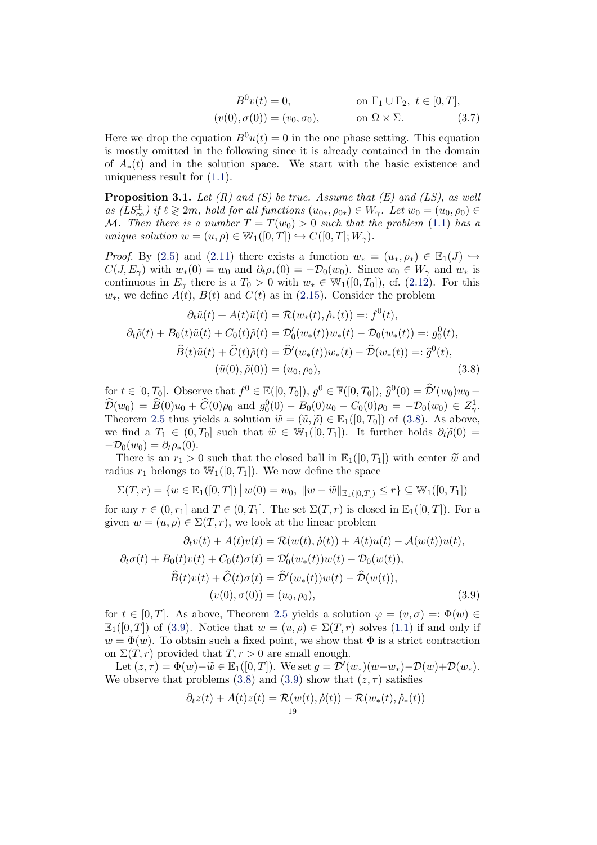<span id="page-18-2"></span>
$$
B^{0}v(t) = 0, \qquad \text{on } \Gamma_{1} \cup \Gamma_{2}, t \in [0, T],
$$
  

$$
(v(0), \sigma(0)) = (v_0, \sigma_0), \qquad \text{on } \Omega \times \Sigma.
$$
 (3.7)

Here we drop the equation  $B^0u(t) = 0$  in the one phase setting. This equation is mostly omitted in the following since it is already contained in the domain of  $A_*(t)$  and in the solution space. We start with the basic existence and uniqueness result for [\(1.1\)](#page-1-0).

<span id="page-18-3"></span>**Proposition 3.1.** Let  $(R)$  and  $(S)$  be true. Assume that  $(E)$  and  $(LS)$ , as well  $as \ (LS_{\infty}^{\pm}) \ if \ \ell \geqslant 2m, \ hold \ for \ all \ functions \ (u_{0*}, \rho_{0*}) \in W_{\gamma}.$  Let  $w_0 = (u_0, \rho_0) \in$ M. Then there is a number  $T = T(w_0) > 0$  such that the problem [\(1.1\)](#page-1-0) has a unique solution  $w = (u, \rho) \in \mathbb{W}_1([0, T]) \hookrightarrow C([0, T]; W_\gamma)$ .

*Proof.* By [\(2.5\)](#page-5-0) and [\(2.11\)](#page-6-2) there exists a function  $w_* = (u_*, \rho_*) \in \mathbb{E}_1(J) \hookrightarrow$  $C(J, E_\gamma)$  with  $w_*(0) = w_0$  and  $\partial_t \rho_*(0) = -\mathcal{D}_0(w_0)$ . Since  $w_0 \in W_\gamma$  and  $w_*$  is continuous in  $E_\gamma$  there is a  $T_0 > 0$  with  $w_* \in W_1([0, T_0])$ , cf. [\(2.12\)](#page-7-0). For this  $w_*,$  we define  $A(t)$ ,  $B(t)$  and  $C(t)$  as in [\(2.15\)](#page-10-0). Consider the problem

<span id="page-18-0"></span>
$$
\partial_t \tilde{u}(t) + A(t)\tilde{u}(t) = \mathcal{R}(w_*(t), \dot{\rho}_*(t)) =: f^0(t),
$$
  

$$
\partial_t \tilde{\rho}(t) + B_0(t)\tilde{u}(t) + C_0(t)\tilde{\rho}(t) = \mathcal{D}'_0(w_*(t))w_*(t) - \mathcal{D}_0(w_*(t)) =: g_0^0(t),
$$
  

$$
\widehat{B}(t)\tilde{u}(t) + \widehat{C}(t)\tilde{\rho}(t) = \widehat{\mathcal{D}}'(w_*(t))w_*(t) - \widehat{\mathcal{D}}(w_*(t)) =: \widehat{g}^0(t),
$$
  

$$
(\tilde{u}(0), \tilde{\rho}(0)) = (u_0, \rho_0),
$$
 (3.8)

for  $t \in [0, T_0]$ . Observe that  $f^0 \in \mathbb{E}([0, T_0])$ ,  $g^0 \in \mathbb{F}([0, T_0])$ ,  $\hat{g}^0(0) = \hat{\mathcal{D}}'(w_0)w_0 - \hat{\mathcal{D}}(w_0)w_0$  $\widehat{\mathcal{D}}(w_0) = \widehat{B}(0)u_0 + \widehat{C}(0)\rho_0$  and  $g_0^0(0) - B_0(0)u_0 - C_0(0)\rho_0 = -\mathcal{D}_0(w_0) \in Z^1_\gamma$ . Theorem [2.5](#page-14-0) thus yields a solution  $\widetilde{w} = (\widetilde{u}, \widetilde{\rho}) \in \mathbb{E}_1([0, T_0])$  of [\(3.8\)](#page-18-0). As above, we find a  $T_1 \in (0, T_0]$  such that  $\widetilde{w} \in W_1([0, T_1])$ . It further holds  $\partial_t \widetilde{\rho}(0) =$  $-\mathcal{D}_0(w_0) = \partial_t \rho_*(0).$ 

There is an  $r_1 > 0$  such that the closed ball in  $\mathbb{E}_1([0,T_1])$  with center  $\tilde{w}$  and radius  $r_1$  belongs to  $\mathbb{W}_1([0,T_1])$ . We now define the space

$$
\Sigma(T,r) = \{ w \in \mathbb{E}_1([0,T]) \, \big| \, w(0) = w_0, \, \|w - \widetilde{w}\|_{\mathbb{E}_1([0,T])} \le r \} \subseteq \mathbb{W}_1([0,T_1])
$$

for any  $r \in (0, r_1]$  and  $T \in (0, T_1]$ . The set  $\Sigma(T, r)$  is closed in  $\mathbb{E}_1([0, T])$ . For a given  $w = (u, \rho) \in \Sigma(T, r)$ , we look at the linear problem

$$
\partial_t v(t) + A(t)v(t) = \mathcal{R}(w(t), \dot{\rho}(t)) + A(t)u(t) - A(w(t))u(t),
$$
  

$$
\partial_t \sigma(t) + B_0(t)v(t) + C_0(t)\sigma(t) = \mathcal{D}'_0(w_*(t))w(t) - \mathcal{D}_0(w(t)),
$$
  

$$
\widehat{B}(t)v(t) + \widehat{C}(t)\sigma(t) = \widehat{\mathcal{D}}'(w_*(t))w(t) - \widehat{\mathcal{D}}(w(t)),
$$
  

$$
(v(0), \sigma(0)) = (u_0, \rho_0),
$$
 (3.9)

for  $t \in [0, T]$ . As above, Theorem [2.5](#page-14-0) yields a solution  $\varphi = (v, \sigma) =: \Phi(w) \in$  $\mathbb{E}_1([0,T])$  of [\(3.9\)](#page-18-1). Notice that  $w = (u, \rho) \in \Sigma(T, r)$  solves [\(1.1\)](#page-1-0) if and only if  $w = \Phi(w)$ . To obtain such a fixed point, we show that  $\Phi$  is a strict contraction on  $\Sigma(T, r)$  provided that  $T, r > 0$  are small enough.

Let  $(z, \tau) = \Phi(w) - \widetilde{w} \in \mathbb{E}_1([0, T])$ . We set  $g = \mathcal{D}'(w_*)(w-w_*) - \mathcal{D}(w) + \mathcal{D}(w_*)$ . We observe that problems [\(3.8\)](#page-18-0) and [\(3.9\)](#page-18-1) show that  $(z, \tau)$  satisfies

<span id="page-18-1"></span>
$$
\partial_t z(t) + A(t)z(t) = \mathcal{R}(w(t), \dot{\rho}(t)) - \mathcal{R}(w_*(t), \dot{\rho}_*(t))
$$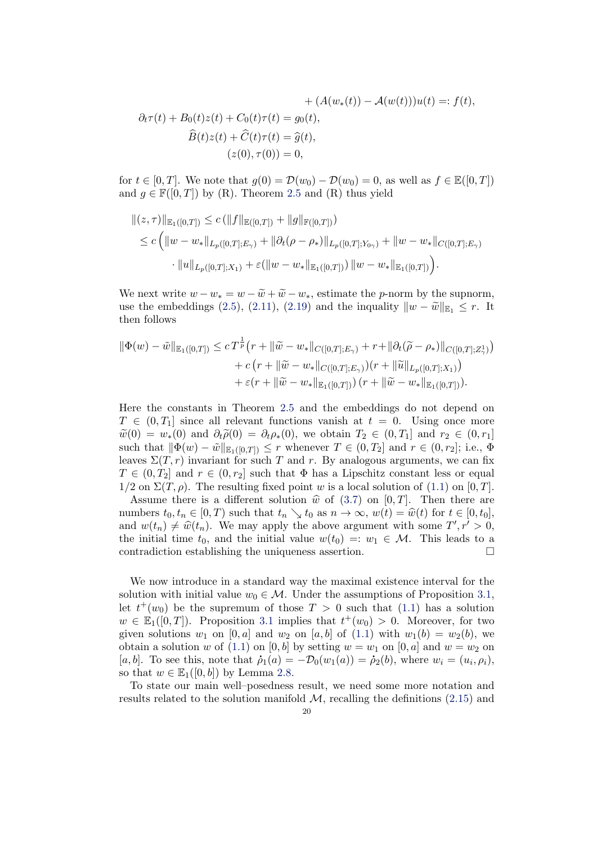$$
+ (A(w_*(t)) - A(w(t)))u(t) =: f(t),
$$
  
\n
$$
\partial_t \tau(t) + B_0(t)z(t) + C_0(t)\tau(t) = g_0(t),
$$
  
\n
$$
\widehat{B}(t)z(t) + \widehat{C}(t)\tau(t) = \widehat{g}(t),
$$
  
\n
$$
(z(0), \tau(0)) = 0,
$$

for  $t \in [0, T]$ . We note that  $g(0) = \mathcal{D}(w_0) - \mathcal{D}(w_0) = 0$ , as well as  $f \in \mathbb{E}([0, T])$ and  $q \in \mathbb{F}([0,T])$  by (R). Theorem [2.5](#page-14-0) and (R) thus yield

$$
\begin{aligned} ||(z,\tau)||_{\mathbb{E}_1([0,T])} &\leq c \left( \|f\|_{\mathbb{E}([0,T])} + \|g\|_{\mathbb{F}([0,T])} \right) \\ &\leq c \left( \|w - w_*\|_{L_p([0,T];E_\gamma)} + \|\partial_t(\rho - \rho_*)\|_{L_p([0,T];Y_{0\gamma})} + \|w - w_*\|_{C([0,T];E_\gamma)} \right) \\ &\cdot \|u\|_{L_p([0,T];X_1)} + \varepsilon (\|w - w_*\|_{\mathbb{E}_1([0,T])}) \, \|w - w_*\|_{\mathbb{E}_1([0,T])} \right). \end{aligned}
$$

We next write  $w - w_* = w - \tilde{w} + \tilde{w} - w_*$ , estimate the *p*-norm by the supnorm, use the embeddings [\(2.5\)](#page-5-0), [\(2.11\)](#page-6-2), [\(2.19\)](#page-11-2) and the inquality  $||w - \tilde{w}||_{\mathbb{E}_1} \leq r$ . It then follows

$$
\begin{split} \|\Phi(w) - \tilde{w}\|_{\mathbb{E}_1([0,T])} &\leq c \, T^{\frac{1}{p}} \big( r + \|\tilde{w} - w_*\|_{C([0,T];E_\gamma)} + r + \|\partial_t(\widetilde{\rho} - \rho_*)\|_{C([0,T];Z_\gamma^1)} \big) \\ &+ c \, \big( r + \|\widetilde{w} - w_*\|_{C([0,T];E_\gamma)}\big) \big( r + \|\widetilde{u}\|_{L_p([0,T];X_1)} \big) \\ &+ \varepsilon (r + \|\widetilde{w} - w_*\|_{\mathbb{E}_1([0,T])}) \, \big( r + \|\widetilde{w} - w_*\|_{\mathbb{E}_1([0,T])} \big). \end{split}
$$

Here the constants in Theorem [2.5](#page-14-0) and the embeddings do not depend on  $T \in (0, T_1]$  since all relevant functions vanish at  $t = 0$ . Using once more  $\widetilde{w}(0) = w_*(0)$  and  $\partial_t \widetilde{\rho}(0) = \partial_t \rho_*(0)$ , we obtain  $T_2 \in (0, T_1]$  and  $r_2 \in (0, r_1]$ such that  $\|\Phi(w) - \tilde{w}\|_{\mathbb{E}_1([0,T])} \leq r$  whenever  $T \in (0,T_2]$  and  $r \in (0,r_2]$ ; i.e.,  $\Phi$ leaves  $\Sigma(T, r)$  invariant for such T and r. By analogous arguments, we can fix  $T \in (0, T_2]$  and  $r \in (0, r_2]$  such that  $\Phi$  has a Lipschitz constant less or equal  $1/2$  on  $\Sigma(T, \rho)$ . The resulting fixed point w is a local solution of [\(1.1\)](#page-1-0) on [0, T].

Assume there is a different solution  $\hat{w}$  of [\(3.7\)](#page-18-2) on [0, T]. Then there are numbers  $t_0, t_n \in [0, T)$  such that  $t_n \searrow t_0$  as  $n \to \infty$ ,  $w(t) = \hat{w}(t)$  for  $t \in [0, t_0]$ , and  $w(t_n) \neq \hat{w}(t_n)$ . We may apply the above argument with some  $T', r' > 0$ ,<br>the initial time to and the initial value  $w(t_0) = w_t \in M$ . This leads to a the initial time  $t_0$ , and the initial value  $w(t_0) =: w_1 \in \mathcal{M}$ . This leads to a contradiction establishing the uniqueness assertion.

We now introduce in a standard way the maximal existence interval for the solution with initial value  $w_0 \in \mathcal{M}$ . Under the assumptions of Proposition [3.1,](#page-18-3) let  $t^+(w_0)$  be the supremum of those  $T > 0$  such that  $(1.1)$  has a solution  $w \in \mathbb{E}_1([0,T])$ . Proposition [3.1](#page-18-3) implies that  $t^+(w_0) > 0$ . Moreover, for two given solutions  $w_1$  on [0, a] and  $w_2$  on [a, b] of [\(1.1\)](#page-1-0) with  $w_1(b) = w_2(b)$ , we obtain a solution w of [\(1.1\)](#page-1-0) on [0, b] by setting  $w = w_1$  on [0, a] and  $w = w_2$  on [a, b]. To see this, note that  $\dot{\rho}_1(a) = -\mathcal{D}_0(w_1(a)) = \dot{\rho}_2(b)$ , where  $w_i = (u_i, \rho_i)$ , so that  $w \in \mathbb{E}_1([0,b])$  by Lemma [2.8.](#page-16-1)

To state our main well–posedness result, we need some more notation and results related to the solution manifold  $M$ , recalling the definitions  $(2.15)$  and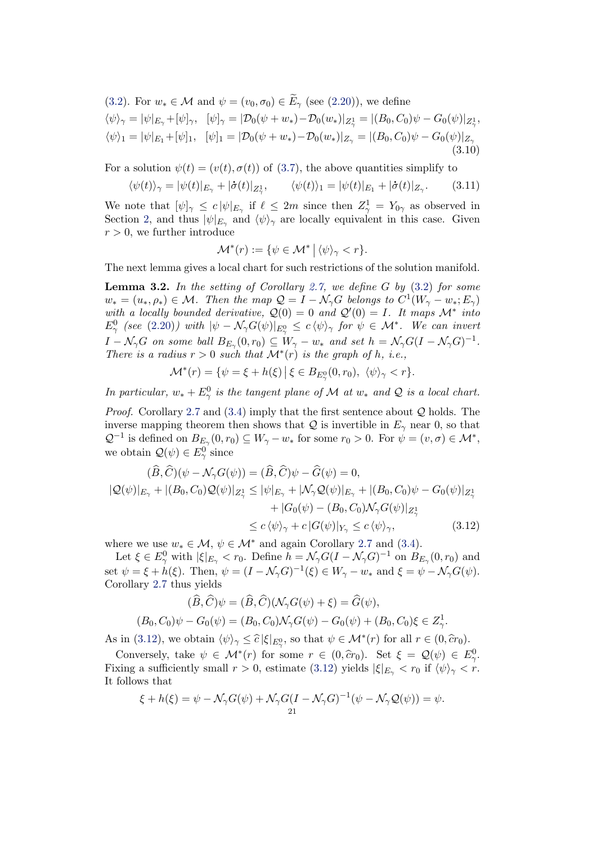<span id="page-20-2"></span>[\(3.2\)](#page-17-1). For  $w_* \in \mathcal{M}$  and  $\psi = (v_0, \sigma_0) \in \widetilde{E}_{\gamma}$  (see [\(2.20\)](#page-11-3)), we define  $\langle \psi \rangle_{\gamma} = |\psi|_{E_{\gamma}} + [\psi]_{\gamma}, \ \ [\psi]_{\gamma} = |\mathcal{D}_0(\psi + w_*) - \mathcal{D}_0(w_*)|_{Z^1_{\gamma}} = |(B_0, C_0)\psi - G_0(\psi)|_{Z^1_{\gamma}},$  $\langle \psi \rangle_1 = |\psi|_{E_1} + [\psi]_1, \quad [\psi]_1 = |\mathcal{D}_0(\psi + w_*) - \mathcal{D}_0(w_*)|_{Z_\gamma} = |(B_0, C_0)\psi - G_0(\psi)|_{Z_\gamma}$ (3.10)

For a solution  $\psi(t) = (v(t), \sigma(t))$  of [\(3.7\)](#page-18-2), the above quantities simplify to

<span id="page-20-3"></span>
$$
\langle \psi(t) \rangle_{\gamma} = |\psi(t)|_{E_{\gamma}} + |\dot{\sigma}(t)|_{Z_{\gamma}^1}, \qquad \langle \psi(t) \rangle_1 = |\psi(t)|_{E_1} + |\dot{\sigma}(t)|_{Z_{\gamma}}.
$$
 (3.11)

We note that  $[\psi]_{\gamma} \leq c |\psi|_{E_{\gamma}}$  if  $\ell \leq 2m$  since then  $Z_{\gamma}^1 = Y_{0\gamma}$  as observed in Section [2,](#page-3-0) and thus  $|\psi|_{E_{\gamma}}$  and  $\langle \psi \rangle_{\gamma}$  are locally equivalent in this case. Given  $r > 0$ , we further introduce

$$
\mathcal{M}^*(r) := \{ \psi \in \mathcal{M}^* \mid \langle \psi \rangle_{\gamma} < r \}.
$$

The next lemma gives a local chart for such restrictions of the solution manifold.

<span id="page-20-0"></span>**Lemma 3.2.** In the setting of Corollary [2.7,](#page-16-0) we define  $G$  by  $(3.2)$  for some  $w_* = (u_*, \rho_*) \in \mathcal{M}$ . Then the map  $\mathcal{Q} = I - \mathcal{N}_{\gamma}G$  belongs to  $C^1(W_{\gamma} - w_*; E_{\gamma})$ with a locally bounded derivative,  $Q(0) = 0$  and  $Q'(0) = I$ . It maps  $\mathcal{M}^*$  into  $E^0_\gamma$  (see [\(2.20\)](#page-11-3)) with  $|\psi - \mathcal{N}_\gamma G(\psi)|_{E^0_\gamma} \leq c \langle \psi \rangle_\gamma$  for  $\psi \in \mathcal{M}^*$ . We can invert  $I - \mathcal{N}_{\gamma}G$  on some ball  $B_{E_{\gamma}}(0,r_0) \subseteq W_{\gamma} - w_*$  and set  $h = \mathcal{N}_{\gamma}G(I - \mathcal{N}_{\gamma}G)^{-1}$ . There is a radius  $r > 0$  such that  $\mathcal{M}^*(r)$  is the graph of h, i.e.,

<span id="page-20-1"></span>
$$
\mathcal{M}^*(r) = \{ \psi = \xi + h(\xi) \, \big| \, \xi \in B_{E^0_\gamma}(0, r_0), \ \langle \psi \rangle_\gamma < r \}.
$$

In particular,  $w_* + E^0_\gamma$  is the tangent plane of M at  $w_*$  and Q is a local chart.

*Proof.* Corollary [2.7](#page-16-0) and  $(3.4)$  imply that the first sentence about  $Q$  holds. The inverse mapping theorem then shows that Q is invertible in  $E_{\gamma}$  near 0, so that  $\mathcal{Q}^{-1}$  is defined on  $B_{E_{\gamma}}(0,r_0) \subseteq W_{\gamma}-w_*$  for some  $r_0 > 0$ . For  $\psi = (v, \sigma) \in \mathcal{M}^*$ , we obtain  $\mathcal{Q}(\psi) \in E^0_\gamma$  since

$$
(\widehat{B}, \widehat{C})(\psi - \mathcal{N}_{\gamma}G(\psi)) = (\widehat{B}, \widehat{C})\psi - \widehat{G}(\psi) = 0,
$$
  
\n
$$
|\mathcal{Q}(\psi)|_{E_{\gamma}} + |(B_0, C_0)\mathcal{Q}(\psi)|_{Z_{\gamma}^1} \le |\psi|_{E_{\gamma}} + |\mathcal{N}_{\gamma}\mathcal{Q}(\psi)|_{E_{\gamma}} + |(B_0, C_0)\psi - G_0(\psi)|_{Z_{\gamma}^1} + |G_0(\psi) - (B_0, C_0)\mathcal{N}_{\gamma}G(\psi)|_{Z_{\gamma}^1}
$$
  
\n
$$
\le c \langle \psi \rangle_{\gamma} + c |G(\psi)|_{Y_{\gamma}} \le c \langle \psi \rangle_{\gamma},
$$
\n(3.12)

where we use  $w_* \in \mathcal{M}, \psi \in \mathcal{M}^*$  and again Corollary [2.7](#page-16-0) and [\(3.4\)](#page-17-2).

Let  $\xi \in E_{\gamma}^0$  with  $|\xi|_{E_{\gamma}} < r_0$ . Define  $h = \mathcal{N}_{\gamma} G (I - \mathcal{N}_{\gamma} G)^{-1}$  on  $B_{E_{\gamma}}(0, r_0)$  and set  $\psi = \xi + h(\xi)$ . Then,  $\psi = (I - \mathcal{N}_{\gamma}G)^{-1}(\xi) \in W_{\gamma} - w_{*}$  and  $\xi = \psi - \mathcal{N}_{\gamma}G(\psi)$ . Corollary [2.7](#page-16-0) thus yields

$$
(\widehat{B}, \widehat{C})\psi = (\widehat{B}, \widehat{C})(\mathcal{N}_{\gamma}G(\psi) + \xi) = \widehat{G}(\psi),
$$
  

$$
(B_0, C_0)\psi - G_0(\psi) = (B_0, C_0)\mathcal{N}_{\gamma}G(\psi) - G_0(\psi) + (B_0, C_0)\xi \in Z_{\gamma}^1.
$$

As in [\(3.12\)](#page-20-1), we obtain  $\langle \psi \rangle_{\gamma} \leq \hat{c} |\xi|_{E_{\gamma}^0}$ , so that  $\psi \in \mathcal{M}^*(r)$  for all  $r \in (0, \hat{c}r_0)$ .

Conversely, take  $\psi \in \mathcal{M}^*(r)$  for some  $r \in (0, \hat{c}r_0)$ . Set  $\xi = \mathcal{Q}(\psi) \in E^0$ , wing a sufficiently small  $r > 0$  estimate (2.12) violds  $|\xi| = \xi r_0$ , if  $\langle \psi \rangle \leq r$ . Fixing a sufficiently small  $r > 0$ , estimate [\(3.12\)](#page-20-1) yields  $|\xi|_{E_{\gamma}} < r_0$  if  $\langle \psi \rangle_{\gamma} < r$ . It follows that

$$
\xi + h(\xi) = \psi - \mathcal{N}_{\gamma} G(\psi) + \mathcal{N}_{\gamma} G(I - \mathcal{N}_{\gamma} G)^{-1} (\psi - \mathcal{N}_{\gamma} \mathcal{Q}(\psi)) = \psi.
$$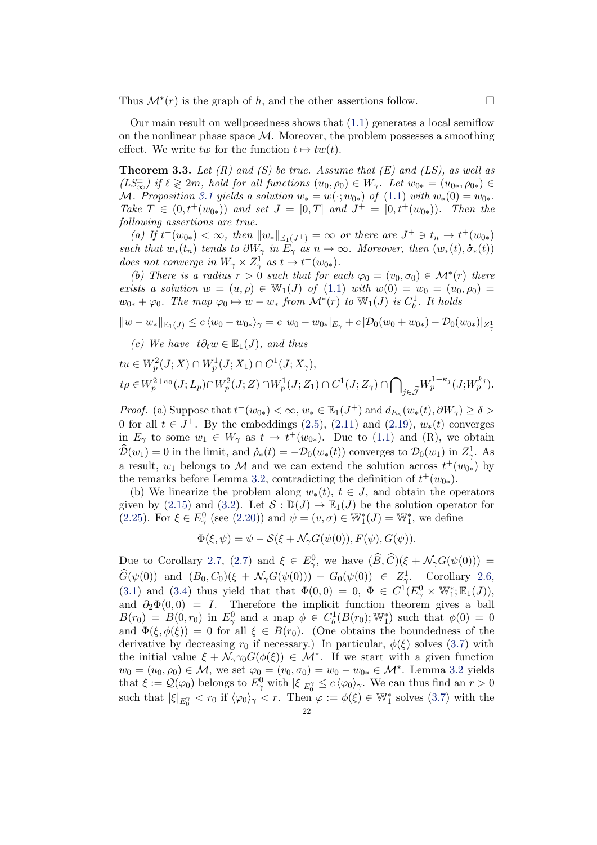Thus  $\mathcal{M}^*(r)$  is the graph of h, and the other assertions follow.

Our main result on wellposedness shows that [\(1.1\)](#page-1-0) generates a local semiflow on the nonlinear phase space  $\mathcal M$ . Moreover, the problem possesses a smoothing effect. We write tw for the function  $t \mapsto tw(t)$ .

<span id="page-21-0"></span>**Theorem 3.3.** Let  $(R)$  and  $(S)$  be true. Assume that  $(E)$  and  $(LS)$ , as well as  $(LS_{\infty}^{\pm})$  if  $\ell \geq 2m$ , hold for all functions  $(u_0, \rho_0) \in W_{\gamma}$ . Let  $w_{0*} = (u_{0*}, \rho_{0*}) \in$ M. Proposition [3.1](#page-18-3) yields a solution  $w_* = w(\cdot; w_{0*})$  of  $(1.1)$  with  $w_*(0) = w_{0*}$ . Take  $T \in (0, t^+(w_{0*}))$  and set  $J = [0, T]$  and  $J^+ = [0, t^+(w_{0*}))$ . Then the following assertions are true.

(a) If  $t^+(w_{0*}) < \infty$ , then  $||w_*||_{\mathbb{E}_1(J^+)} = \infty$  or there are  $J^+ \ni t_n \to t^+(w_{0*})$ such that  $w_*(t_n)$  tends to  $\partial W_\gamma$  in  $\tilde{E}_\gamma$  as  $n \to \infty$ . Moreover, then  $(w_*(t), \dot{\sigma}_*(t))$ does not converge in  $W_{\gamma} \times Z_{\gamma}^1$  as  $t \to t^+(w_{0*})$ .

(b) There is a radius  $r > 0$  such that for each  $\varphi_0 = (v_0, \sigma_0) \in \mathcal{M}^*(r)$  there exists a solution  $w = (u, \rho) \in W_1(J)$  of  $(1.1)$  with  $w(0) = w_0 = (u_0, \rho_0)$  $w_{0*} + \varphi_0$ . The map  $\varphi_0 \mapsto w - w_*$  from  $\mathcal{M}^*(r)$  to  $\mathbb{W}_1(J)$  is  $C_b^1$ . It holds

$$
||w - w_*||_{\mathbb{E}_1(J)} \le c \langle w_0 - w_{0*} \rangle_{\gamma} = c |w_0 - w_{0*}|_{E_{\gamma}} + c |\mathcal{D}_0(w_0 + w_{0*}) - \mathcal{D}_0(w_{0*})|_{Z_{\gamma}^1}
$$

(c) We have  $t\partial_t w \in \mathbb{E}_1(J)$ , and thus

$$
tu \in W_p^2(J; X) \cap W_p^1(J; X_1) \cap C^1(J; X_\gamma),
$$
  

$$
t\rho \in W_p^{2+\kappa_0}(J; L_p) \cap W_p^2(J; Z) \cap W_p^1(J; Z_1) \cap C^1(J; Z_\gamma) \cap \bigcap_{j \in \widetilde{\mathcal{J}}} W_p^{1+\kappa_j}(J; W_p^{k_j}).
$$

*Proof.* (a) Suppose that  $t^+(w_{0*}) < \infty$ ,  $w_* \in \mathbb{E}_1(J^+)$  and  $d_{E_\gamma}(w_*(t), \partial W_\gamma) \ge \delta >$ 0 for all  $t \in J^+$ . By the embeddings [\(2.5\)](#page-5-0), [\(2.11\)](#page-6-2) and [\(2.19\)](#page-11-2),  $w_*(t)$  converges in  $E_{\gamma}$  to some  $w_1 \in W_{\gamma}$  as  $t \to t^+(w_{0*})$ . Due to [\(1.1\)](#page-1-0) and (R), we obtain  $\widehat{\mathcal{D}}(w_1) = 0$  in the limit, and  $\dot{\rho}_*(t) = -\mathcal{D}_0(w_*(t))$  converges to  $\mathcal{D}_0(w_1)$  in  $Z^1_{\gamma}$ . a result,  $w_1$  belongs to M and we can extend the solution across  $t^+(w_{0*})$  by the remarks before Lemma [3.2,](#page-20-0) contradicting the definition of  $t^+(w_{0*})$ .

(b) We linearize the problem along  $w_*(t)$ ,  $t \in J$ , and obtain the operators given by [\(2.15\)](#page-10-0) and [\(3.2\)](#page-17-1). Let  $S : \mathbb{D}(J) \to \mathbb{E}_1(J)$  be the solution operator for [\(2.25\)](#page-15-1). For  $\xi \in E_{\gamma}^0$  (see [\(2.20\)](#page-11-3)) and  $\psi = (v, \sigma) \in \mathbb{W}_1^*(J) = \mathbb{W}_1^*$ , we define

$$
\Phi(\xi, \psi) = \psi - S(\xi + \mathcal{N}_{\gamma}G(\psi(0)), F(\psi), G(\psi)).
$$

Due to Corollary [2.7,](#page-16-0) [\(2.7\)](#page-5-1) and  $\xi \in E_{\gamma}^0$ , we have  $(\widehat{B}, \widehat{C})(\xi + \mathcal{N}_{\gamma}G(\psi(0))) =$  $\widehat{G}(\psi(0))$  and  $(B_0, C_0)(\xi + \mathcal{N}_{\gamma}G(\psi(0))) - G_0(\psi(0)) \in Z^1$ , Corollary [2.6,](#page-15-0) [\(3.1\)](#page-17-0) and [\(3.4\)](#page-17-2) thus yield that that  $\Phi(0,0) = 0, \ \Phi \in C^1(E^0_\gamma \times \mathbb{W}_1^*;\mathbb{E}_1(J)),$ and  $\partial_2\Phi(0,0) = I$ . Therefore the implicit function theorem gives a ball  $B(r_0) = B(0,r_0)$  in  $E_\gamma^0$  and a map  $\phi \in C_b^1(B(r_0); \mathbb{W}_1^*)$  such that  $\phi(0) = 0$ and  $\Phi(\xi, \phi(\xi)) = 0$  for all  $\xi \in B(r_0)$ . (One obtains the boundedness of the derivative by decreasing  $r_0$  if necessary.) In particular,  $\phi(\xi)$  solves [\(3.7\)](#page-18-2) with the initial value  $\xi + \mathcal{N}_{\gamma} \gamma_0 G(\phi(\xi)) \in \mathcal{M}^*$ . If we start with a given function  $w_0 = (u_0, \rho_0) \in \mathcal{M}$ , we set  $\varphi_0 = (v_0, \sigma_0) = w_0 - w_{0*} \in \mathcal{M}^*$ . Lemma [3.2](#page-20-0) yields that  $\xi := \mathcal{Q}(\varphi_0)$  belongs to  $E_\gamma^0$  with  $|\xi|_{E_0^\gamma} \leq c \langle \varphi_0 \rangle_\gamma$ . We can thus find an  $r > 0$ such that  $|\xi|_{E_0^{\gamma}} < r_0$  if  $\langle \varphi_0 \rangle_{\gamma} < r$ . Then  $\varphi := \phi(\xi) \in \mathbb{W}_1^*$  solves [\(3.7\)](#page-18-2) with the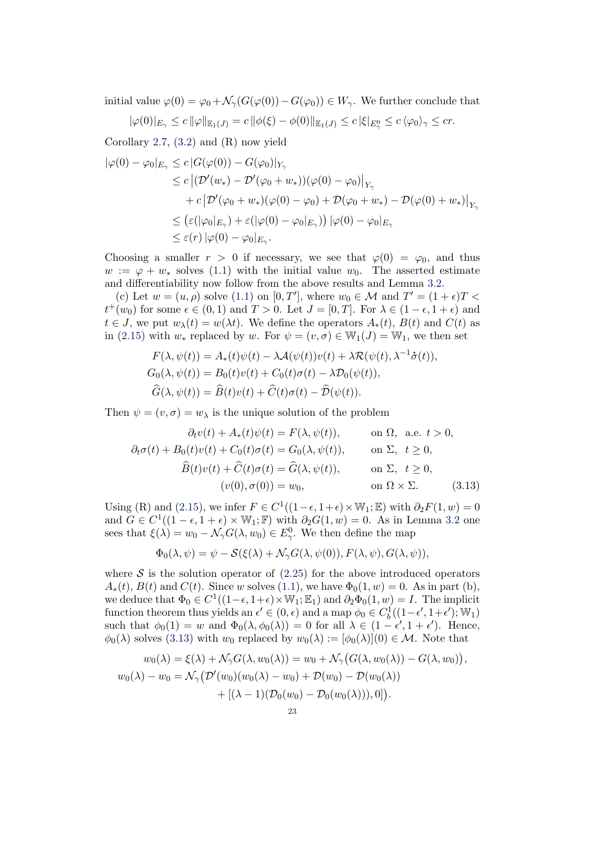initial value  $\varphi(0) = \varphi_0 + \mathcal{N}_{\gamma}(G(\varphi(0)) - G(\varphi_0)) \in W_{\gamma}$ . We further conclude that

$$
|\varphi(0)|_{E_{\gamma}} \leq c \, ||\varphi||_{\mathbb{E}_1(J)} = c \, ||\phi(\xi) - \phi(0)||_{\mathbb{E}_1(J)} \leq c \, |\xi|_{E_{\gamma}^0} \leq c \, \langle \varphi_0 \rangle_{\gamma} \leq cr.
$$

Corollary [2.7,](#page-16-0)  $(3.2)$  and  $(R)$  now yield

$$
\begin{aligned} |\varphi(0) - \varphi_0|_{E_\gamma} &\leq c \left| G(\varphi(0)) - G(\varphi_0) \right|_{Y_\gamma} \\ &\leq c \left| (\mathcal{D}'(w_*) - \mathcal{D}'(\varphi_0 + w_*)) (\varphi(0) - \varphi_0) \right|_{Y_\gamma} \\ &\quad + c \left| \mathcal{D}'(\varphi_0 + w_*) (\varphi(0) - \varphi_0) + \mathcal{D}(\varphi_0 + w_*) - \mathcal{D}(\varphi(0) + w_*) \right|_{Y_\gamma} \\ &\leq \left( \varepsilon (|\varphi_0|_{E_\gamma}) + \varepsilon (|\varphi(0) - \varphi_0|_{E_\gamma}) \right) |\varphi(0) - \varphi_0|_{E_\gamma} \\ &\leq \varepsilon(r) |\varphi(0) - \varphi_0|_{E_\gamma} .\end{aligned}
$$

Choosing a smaller  $r > 0$  if necessary, we see that  $\varphi(0) = \varphi_0$ , and thus  $w := \varphi + w_*$  solves [\(1.1\)](#page-1-0) with the initial value  $w_0$ . The asserted estimate and differentiability now follow from the above results and Lemma [3.2.](#page-20-0)

(c) Let  $w = (u, \rho)$  solve  $(1.1)$  on  $[0, T']$ , where  $w_0 \in \mathcal{M}$  and  $T' = (1 + \epsilon)T <$  $t^+(w_0)$  for some  $\epsilon \in (0,1)$  and  $T > 0$ . Let  $J = [0,T]$ . For  $\lambda \in (1-\epsilon, 1+\epsilon)$  and  $t \in J$ , we put  $w_{\lambda}(t) = w(\lambda t)$ . We define the operators  $A_*(t)$ ,  $B(t)$  and  $C(t)$  as in [\(2.15\)](#page-10-0) with  $w_*$  replaced by w. For  $\psi = (v, \sigma) \in W_1(J) = W_1$ , we then set

$$
F(\lambda, \psi(t)) = A_*(t)\psi(t) - \lambda \mathcal{A}(\psi(t))v(t) + \lambda \mathcal{R}(\psi(t), \lambda^{-1}\dot{\sigma}(t)),
$$
  
\n
$$
G_0(\lambda, \psi(t)) = B_0(t)v(t) + C_0(t)\sigma(t) - \lambda \mathcal{D}_0(\psi(t)),
$$
  
\n
$$
\widehat{G}(\lambda, \psi(t)) = \widehat{B}(t)v(t) + \widehat{C}(t)\sigma(t) - \widehat{\mathcal{D}}(\psi(t)).
$$

Then  $\psi = (v, \sigma) = w_\lambda$  is the unique solution of the problem

$$
\partial_t v(t) + A_*(t)\psi(t) = F(\lambda, \psi(t)), \qquad \text{on } \Omega, \text{ a.e. } t > 0,
$$
  

$$
\partial_t \sigma(t) + B_0(t)v(t) + C_0(t)\sigma(t) = G_0(\lambda, \psi(t)), \qquad \text{on } \Sigma, \quad t \ge 0,
$$
  

$$
\widehat{B}(t)v(t) + \widehat{C}(t)\sigma(t) = \widehat{G}(\lambda, \psi(t)), \qquad \text{on } \Sigma, \quad t \ge 0,
$$
  

$$
(v(0), \sigma(0)) = w_0, \qquad \text{on } \Omega \times \Sigma.
$$
 (3.13)

Using (R) and [\(2.15\)](#page-10-0), we infer  $F \in C^1((1-\epsilon, 1+\epsilon) \times \mathbb{W}_1; \mathbb{E})$  with  $\partial_2 F(1, w) = 0$ and  $G \in C^1((1 - \epsilon, 1 + \epsilon) \times \mathbb{W}_1; \mathbb{F})$  with  $\partial_2 G(1, w) = 0$ . As in Lemma [3.2](#page-20-0) one sees that  $\xi(\lambda) = w_0 - \mathcal{N}_{\gamma} G(\lambda, w_0) \in E_{\gamma}^0$ . We then define the map

<span id="page-22-0"></span>
$$
\Phi_0(\lambda, \psi) = \psi - S(\xi(\lambda) + \mathcal{N}_{\gamma}G(\lambda, \psi(0)), F(\lambda, \psi), G(\lambda, \psi)),
$$

where  $\mathcal S$  is the solution operator of  $(2.25)$  for the above introduced operators  $A_*(t)$ ,  $B(t)$  and  $C(t)$ . Since w solves [\(1.1\)](#page-1-0), we have  $\Phi_0(1, w) = 0$ . As in part (b), we deduce that  $\Phi_0 \in C^1((1-\epsilon, 1+\epsilon) \times \mathbb{W}_1; \mathbb{E}_1)$  and  $\partial_2 \Phi_0(1, w) = I$ . The implicit function theorem thus yields an  $\epsilon' \in (0, \epsilon)$  and a map  $\phi_0 \in C_b^1((1-\epsilon', 1+\epsilon'); \mathbb{W}_1)$ such that  $\phi_0(1) = w$  and  $\Phi_0(\lambda, \phi_0(\lambda)) = 0$  for all  $\lambda \in (1 - \epsilon', 1 + \epsilon')$ . Hence,  $\phi_0(\lambda)$  solves [\(3.13\)](#page-22-0) with  $w_0$  replaced by  $w_0(\lambda) := [\phi_0(\lambda)](0) \in \mathcal{M}$ . Note that

$$
w_0(\lambda) = \xi(\lambda) + \mathcal{N}_{\gamma}G(\lambda, w_0(\lambda)) = w_0 + \mathcal{N}_{\gamma}(G(\lambda, w_0(\lambda)) - G(\lambda, w_0)),
$$
  

$$
w_0(\lambda) - w_0 = \mathcal{N}_{\gamma}(\mathcal{D}'(w_0)(w_0(\lambda) - w_0) + \mathcal{D}(w_0) - \mathcal{D}(w_0(\lambda))) + [(\lambda - 1)(\mathcal{D}_0(w_0) - \mathcal{D}_0(w_0(\lambda))), 0]).
$$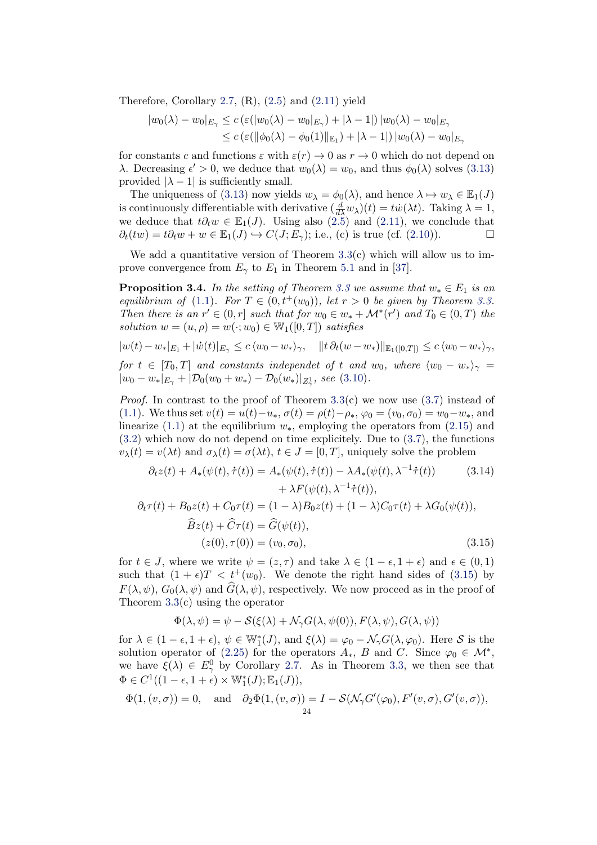Therefore, Corollary [2.7,](#page-16-0)  $(R)$ ,  $(2.5)$  and  $(2.11)$  yield

$$
|w_0(\lambda) - w_0|_{E_{\gamma}} \le c \left( \varepsilon(|w_0(\lambda) - w_0|_{E_{\gamma}}) + |\lambda - 1| \right) |w_0(\lambda) - w_0|_{E_{\gamma}} \le c \left( \varepsilon(||\phi_0(\lambda) - \phi_0(1)||_{E_1}) + |\lambda - 1| \right) |w_0(\lambda) - w_0|_{E_{\gamma}}
$$

for constants c and functions  $\varepsilon$  with  $\varepsilon(r) \to 0$  as  $r \to 0$  which do not depend on λ. Decreasing  $\epsilon' > 0$ , we deduce that  $w_0(\lambda) = w_0$ , and thus  $\phi_0(\lambda)$  solves [\(3.13\)](#page-22-0) provided  $|\lambda - 1|$  is sufficiently small.

The uniqueness of [\(3.13\)](#page-22-0) now yields  $w_{\lambda} = \phi_0(\lambda)$ , and hence  $\lambda \mapsto w_{\lambda} \in \mathbb{E}_1(J)$ is continuously differentiable with derivative  $(\frac{d}{d\lambda}w_\lambda)(t) = tw(\lambda t)$ . Taking  $\lambda = 1$ , we deduce that  $t\partial_t w \in \mathbb{E}_1(J)$ . Using also [\(2.5\)](#page-5-0) and [\(2.11\)](#page-6-2), we conclude that  $\partial_t(tw) = t\partial_t w + w \in \mathbb{E}_1(J) \hookrightarrow C(J; E_\gamma);$  i.e., (c) is true (cf. [\(2.10\)](#page-6-1)).

We add a quantitative version of Theorem  $3.3(c)$  $3.3(c)$  which will allow us to improve convergence from  $E_{\gamma}$  to  $E_1$  in Theorem [5.1](#page-36-0) and in [\[37\]](#page-42-0).

<span id="page-23-0"></span>**Proposition 3.4.** In the setting of Theorem [3.3](#page-21-0) we assume that  $w_* \in E_1$  is an equilibrium of [\(1.1\)](#page-1-0). For  $T \in (0, t^+(w_0))$ , let  $r > 0$  be given by Theorem [3.3.](#page-21-0) Then there is an  $r' \in (0,r]$  such that for  $w_0 \in w_* + \mathcal{M}^*(r')$  and  $T_0 \in (0,T)$  the solution  $w = (u, \rho) = w(\cdot; w_0) \in W_1([0, T])$  satisfies

$$
|w(t) - w_*|_{E_1} + |\dot{w}(t)|_{E_\gamma} \le c \langle w_0 - w_* \rangle_\gamma, \quad \|t \partial_t (w - w_*)\|_{\mathbb{E}_1([0,T])} \le c \langle w_0 - w_* \rangle_\gamma,
$$
  
for  $t \in [T, T]$  and construct independent of  $t$  and  $w_0$ , where  $\langle w_0, w_0 \rangle$ 

for  $t \in [T_0, T]$  and constants independet of t and  $w_0$ , where  $\langle w_0 - w_* \rangle_{\gamma} =$  $|w_0 - w_*|_{E_\gamma} + |\mathcal{D}_0(w_0 + w_*) - \mathcal{D}_0(w_*)|_{Z_\gamma^1}$ , see [\(3.10\)](#page-20-2).

*Proof.* In contrast to the proof of Theorem  $3.3(c)$  $3.3(c)$  we now use  $(3.7)$  instead of [\(1.1\)](#page-1-0). We thus set  $v(t) = u(t)-u_*$ ,  $\sigma(t) = \rho(t)-\rho_*$ ,  $\varphi_0 = (v_0, \sigma_0) = w_0-w_*$ , and linearize [\(1.1\)](#page-1-0) at the equilibrium  $w_*$ , employing the operators from [\(2.15\)](#page-10-0) and [\(3.2\)](#page-17-1) which now do not depend on time explicitely. Due to [\(3.7\)](#page-18-2), the functions  $v_{\lambda}(t) = v(\lambda t)$  and  $\sigma_{\lambda}(t) = \sigma(\lambda t)$ ,  $t \in J = [0, T]$ , uniquely solve the problem

$$
\partial_t z(t) + A_*(\psi(t), \dot{\tau}(t)) = A_*(\psi(t), \dot{\tau}(t)) - \lambda A_*(\psi(t), \lambda^{-1} \dot{\tau}(t)) \tag{3.14}
$$

$$
+ \lambda F(\psi(t), \lambda^{-1} \dot{\tau}(t)),
$$

$$
\partial_t \tau(t) + B_0 z(t) + C_0 \tau(t) = (1 - \lambda) B_0 z(t) + (1 - \lambda) C_0 \tau(t) + \lambda G_0(\psi(t)),
$$

$$
\hat{B} z(t) + \hat{C} \tau(t) = \hat{G}(\psi(t)),
$$

$$
(z(0), \tau(0)) = (v_0, \sigma_0), \tag{3.15}
$$

for  $t \in J$ , where we write  $\psi = (z, \tau)$  and take  $\lambda \in (1 - \epsilon, 1 + \epsilon)$  and  $\epsilon \in (0, 1)$ such that  $(1 + \epsilon)T < t^+(w_0)$ . We denote the right hand sides of [\(3.15\)](#page-23-1) by  $F(\lambda, \psi)$ ,  $G_0(\lambda, \psi)$  and  $\hat{G}(\lambda, \psi)$ , respectively. We now proceed as in the proof of Theorem [3.3\(](#page-21-0)c) using the operator

<span id="page-23-1"></span>
$$
\Phi(\lambda, \psi) = \psi - \mathcal{S}(\xi(\lambda) + \mathcal{N}_{\gamma}G(\lambda, \psi(0)), F(\lambda, \psi), G(\lambda, \psi))
$$

for  $\lambda \in (1 - \epsilon, 1 + \epsilon)$ ,  $\psi \in \mathbb{W}_1^*(J)$ , and  $\xi(\lambda) = \varphi_0 - \mathcal{N}_\gamma G(\lambda, \varphi_0)$ . Here S is the solution operator of [\(2.25\)](#page-15-1) for the operators  $A_*, B$  and C. Since  $\varphi_0 \in \mathcal{M}^*,$ we have  $\xi(\lambda) \in E_{\gamma}^0$  by Corollary [2.7.](#page-16-0) As in Theorem [3.3,](#page-21-0) we then see that  $\Phi \in C^1((1-\epsilon, 1+\epsilon) \times \mathbb{W}_1^*(J); \mathbb{E}_1(J)),$ 

$$
\Phi(1,(v,\sigma)) = 0, \text{ and } \partial_2 \Phi(1,(v,\sigma)) = I - \mathcal{S}(\mathcal{N}_\gamma G'(\varphi_0), F'(v,\sigma), G'(v,\sigma)),
$$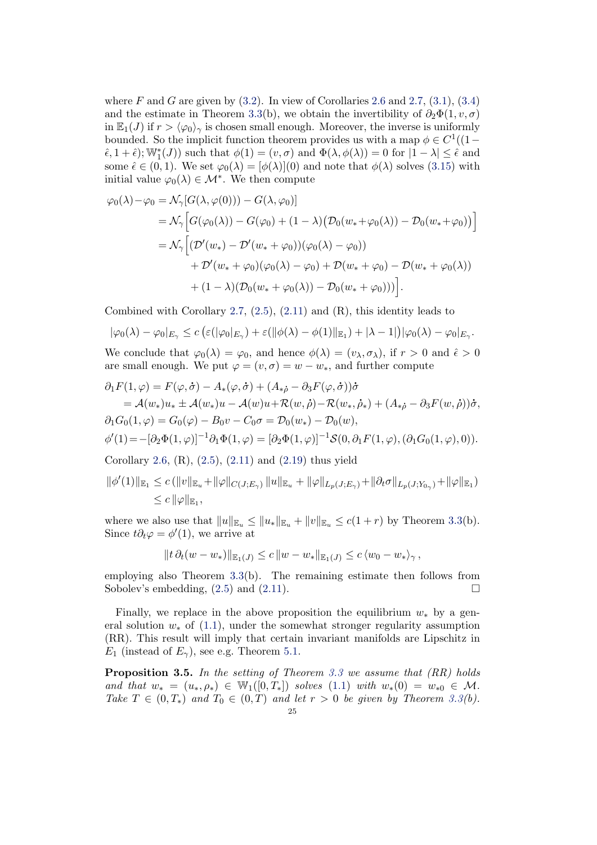where F and G are given by  $(3.2)$ . In view of Corollaries [2.6](#page-15-0) and [2.7,](#page-16-0)  $(3.1)$ ,  $(3.4)$ and the estimate in Theorem [3.3\(](#page-21-0)b), we obtain the invertibility of  $\partial_2\Phi(1, v, \sigma)$ in  $\mathbb{E}_1(J)$  if  $r > \langle \varphi_0 \rangle_{\gamma}$  is chosen small enough. Moreover, the inverse is uniformly bounded. So the implicit function theorem provides us with a map  $\phi \in C^1((1-\mathbb{C}))$  $(\hat{\epsilon}, 1 + \hat{\epsilon}); \mathbb{W}_1^*(J)$  such that  $\phi(1) = (v, \sigma)$  and  $\Phi(\lambda, \phi(\lambda)) = 0$  for  $|1 - \lambda| \leq \hat{\epsilon}$  and some  $\hat{\epsilon} \in (0,1)$ . We set  $\varphi_0(\lambda) = [\phi(\lambda)](0)$  and note that  $\phi(\lambda)$  solves [\(3.15\)](#page-23-1) with initial value  $\varphi_0(\lambda) \in \mathcal{M}^*$ . We then compute

$$
\varphi_0(\lambda) - \varphi_0 = \mathcal{N}_{\gamma}[G(\lambda, \varphi(0))) - G(\lambda, \varphi_0]
$$
  
\n
$$
= \mathcal{N}_{\gamma}[G(\varphi_0(\lambda)) - G(\varphi_0) + (1 - \lambda) \big( \mathcal{D}_0(w_* + \varphi_0(\lambda)) - \mathcal{D}_0(w_* + \varphi_0) \big) ]
$$
  
\n
$$
= \mathcal{N}_{\gamma} \Big[ (\mathcal{D}'(w_*) - \mathcal{D}'(w_* + \varphi_0)) (\varphi_0(\lambda) - \varphi_0) + \mathcal{D}(w_* + \varphi_0) - \mathcal{D}(w_* + \varphi_0(\lambda))
$$
  
\n
$$
+ \mathcal{D}'(w_* + \varphi_0) (\varphi_0(\lambda) - \varphi_0) + \mathcal{D}(w_* + \varphi_0) - \mathcal{D}(w_* + \varphi_0(\lambda))
$$
  
\n
$$
+ (1 - \lambda) (\mathcal{D}_0(w_* + \varphi_0(\lambda)) - \mathcal{D}_0(w_* + \varphi_0)) ) \Big].
$$

Combined with Corollary [2.7,](#page-16-0) [\(2.5\)](#page-5-0), [\(2.11\)](#page-6-2) and (R), this identity leads to

$$
|\varphi_0(\lambda) - \varphi_0|_{E_\gamma} \le c \left( \varepsilon(|\varphi_0|_{E_\gamma}) + \varepsilon(||\phi(\lambda) - \phi(1)||_{E_1}) + |\lambda - 1| \right) |\varphi_0(\lambda) - \varphi_0|_{E_\gamma}.
$$

We conclude that  $\varphi_0(\lambda) = \varphi_0$ , and hence  $\phi(\lambda) = (v_\lambda, \sigma_\lambda)$ , if  $r > 0$  and  $\hat{\epsilon} > 0$ are small enough. We put  $\varphi = (v, \sigma) = w - w_*$ , and further compute

$$
\partial_1 F(1,\varphi) = F(\varphi, \dot{\sigma}) - A_*(\varphi, \dot{\sigma}) + (A_{*\dot{\rho}} - \partial_3 F(\varphi, \dot{\sigma}))\dot{\sigma}
$$
  
\n=  $\mathcal{A}(w_*)u_* \pm \mathcal{A}(w_*)u - \mathcal{A}(w)u + \mathcal{R}(w, \dot{\rho}) - \mathcal{R}(w_*, \dot{\rho}_*) + (A_{*\dot{\rho}} - \partial_3 F(w, \dot{\rho}))\dot{\sigma},$   
\n $\partial_1 G_0(1,\varphi) = G_0(\varphi) - B_0v - C_0\sigma = \mathcal{D}_0(w_*) - \mathcal{D}_0(w),$   
\n $\phi'(1) = -[\partial_2 \Phi(1,\varphi)]^{-1} \partial_1 \Phi(1,\varphi) = [\partial_2 \Phi(1,\varphi)]^{-1} \mathcal{S}(0, \partial_1 F(1,\varphi), (\partial_1 G_0(1,\varphi), 0)).$   
\nCorollary 2.6, (R), (2.5), (2.11) and (2.19) thus yield

$$
\|\phi'(1)\|_{\mathbb{E}_1} \le c \left( \|v\|_{\mathbb{E}_u} + \|\varphi\|_{C(J;E_\gamma)} \|u\|_{\mathbb{E}_u} + \|\varphi\|_{L_p(J;E_\gamma)} + \|\partial_t \sigma\|_{L_p(J;Y_{0_\gamma})} + \|\varphi\|_{\mathbb{E}_1} \right)
$$
  

$$
\le c \|\varphi\|_{\mathbb{E}_1},
$$

where we also use that  $||u||_{\mathbb{E}_u} \leq ||u_*||_{\mathbb{E}_u} + ||v||_{\mathbb{E}_u} \leq c(1+r)$  by Theorem [3.3\(](#page-21-0)b). Since  $t\partial_t\varphi = \phi'(1)$ , we arrive at

$$
||t \, \partial_t (w - w_*)||_{\mathbb{E}_1(J)} \leq c \, ||w - w_*||_{\mathbb{E}_1(J)} \leq c \, \langle w_0 - w_* \rangle_{\gamma} \, ,
$$

employing also Theorem [3.3\(](#page-21-0)b). The remaining estimate then follows from Sobolev's embedding,  $(2.5)$  and  $(2.11)$ .

Finally, we replace in the above proposition the equilibrium  $w_*$  by a general solution  $w_*$  of [\(1.1\)](#page-1-0), under the somewhat stronger regularity assumption (RR). This result will imply that certain invariant manifolds are Lipschitz in  $E_1$  (instead of  $E_\gamma$ ), see e.g. Theorem [5.1.](#page-36-0)

<span id="page-24-0"></span>**Proposition 3.5.** In the setting of Theorem [3.3](#page-21-0) we assume that  $(RR)$  holds and that  $w_* = (u_*, \rho_*) \in \mathbb{W}_1([0,T_*])$  solves  $(1.1)$  with  $w_*(0) = w_{*0} \in \mathcal{M}$ . Take  $T \in (0, T_*)$  and  $T_0 \in (0, T)$  and let  $r > 0$  be given by Theorem [3.3\(](#page-21-0)b).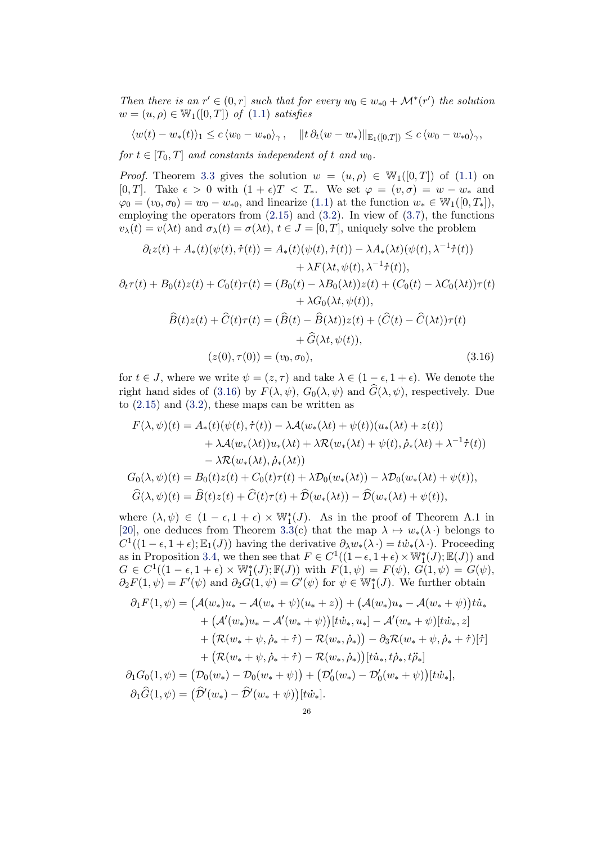Then there is an  $r' \in (0,r]$  such that for every  $w_0 \in w_{*0} + \mathcal{M}^*(r')$  the solution  $w = (u, \rho) \in \mathbb{W}_1([0, T])$  of  $(1.1)$  satisfies

$$
\langle w(t) - w_*(t) \rangle_1 \le c \langle w_0 - w_{*0} \rangle_{\gamma}, \quad \|t \partial_t (w - w_*)\|_{\mathbb{E}_1([0,T])} \le c \langle w_0 - w_{*0} \rangle_{\gamma},
$$

for  $t \in [T_0, T]$  and constants independent of t and  $w_0$ .

*Proof.* Theorem [3.3](#page-21-0) gives the solution  $w = (u, \rho) \in W_1([0, T])$  of [\(1.1\)](#page-1-0) on [0, T]. Take  $\epsilon > 0$  with  $(1 + \epsilon)T < T_*$ . We set  $\varphi = (v, \sigma) = w - w_*$  and  $\varphi_0 = (v_0, \sigma_0) = w_0 - w_{*0}$ , and linearize [\(1.1\)](#page-1-0) at the function  $w_* \in W_1([0, T_*])$ , employing the operators from  $(2.15)$  and  $(3.2)$ . In view of  $(3.7)$ , the functions  $v_{\lambda}(t) = v(\lambda t)$  and  $\sigma_{\lambda}(t) = \sigma(\lambda t)$ ,  $t \in J = [0, T]$ , uniquely solve the problem

$$
\partial_t z(t) + A_*(t)(\psi(t), \dot{\tau}(t)) = A_*(t)(\psi(t), \dot{\tau}(t)) - \lambda A_*(\lambda t)(\psi(t), \lambda^{-1} \dot{\tau}(t)) \n+ \lambda F(\lambda t, \psi(t), \lambda^{-1} \dot{\tau}(t)), \n\partial_t \tau(t) + B_0(t)z(t) + C_0(t)\tau(t) = (B_0(t) - \lambda B_0(\lambda t))z(t) + (C_0(t) - \lambda C_0(\lambda t))\tau(t) \n+ \lambda G_0(\lambda t, \psi(t)), \n\hat{B}(t)z(t) + \hat{C}(t)\tau(t) = (\hat{B}(t) - \hat{B}(\lambda t))z(t) + (\hat{C}(t) - \hat{C}(\lambda t))\tau(t) \n+ \hat{G}(\lambda t, \psi(t)), \n(z(0), \tau(0)) = (v_0, \sigma_0),
$$
\n(3.16)

for  $t \in J$ , where we write  $\psi = (z, \tau)$  and take  $\lambda \in (1 - \epsilon, 1 + \epsilon)$ . We denote the right hand sides of [\(3.16\)](#page-25-0) by  $F(\lambda, \psi)$ ,  $G_0(\lambda, \psi)$  and  $\hat{G}(\lambda, \psi)$ , respectively. Due to  $(2.15)$  and  $(3.2)$ , these maps can be written as

<span id="page-25-0"></span>
$$
F(\lambda, \psi)(t) = A_*(t)(\psi(t), \dot{\tau}(t)) - \lambda \mathcal{A}(w_*(\lambda t) + \psi(t))(u_*(\lambda t) + z(t))
$$
  
+  $\lambda \mathcal{A}(w_*(\lambda t))u_*(\lambda t) + \lambda \mathcal{R}(w_*(\lambda t) + \psi(t), \dot{\rho}_*(\lambda t) + \lambda^{-1} \dot{\tau}(t))$   
-  $\lambda \mathcal{R}(w_*(\lambda t), \dot{\rho}_*(\lambda t))$   

$$
G_0(\lambda, \psi)(t) = B_0(t)z(t) + C_0(t)\tau(t) + \lambda \mathcal{D}_0(w_*(\lambda t)) - \lambda \mathcal{D}_0(w_*(\lambda t) + \psi(t)),
$$
  

$$
\widehat{G}(\lambda, \psi)(t) = \widehat{B}(t)z(t) + \widehat{C}(t)\tau(t) + \widehat{\mathcal{D}}(w_*(\lambda t)) - \widehat{\mathcal{D}}(w_*(\lambda t) + \psi(t)),
$$

where  $(\lambda, \psi) \in (1 - \epsilon, 1 + \epsilon) \times \mathbb{W}_1^*(J)$ . As in the proof of Theorem A.1 in [\[20\]](#page-41-5), one deduces from Theorem [3.3\(](#page-21-0)c) that the map  $\lambda \mapsto w_*(\lambda \cdot)$  belongs to  $C^1((1-\epsilon, 1+\epsilon); \mathbb{E}_1(J))$  having the derivative  $\partial_\lambda w_*(\lambda \cdot) = t \dot{w}_*(\lambda \cdot)$ . Proceeding as in Proposition [3.4,](#page-23-0) we then see that  $F \in C^1((1-\epsilon, 1+\epsilon) \times \mathbb{W}_1^*(J); \mathbb{E}(J))$  and  $G \in C^1((1 - \epsilon, 1 + \epsilon) \times \mathbb{W}_1^*(J); \mathbb{F}(J))$  with  $F(1, \psi) = F(\psi), G(1, \psi) = G(\psi),$  $\partial_2 F(1,\psi) = F'(\psi)$  and  $\partial_2 G(1,\psi) = G'(\psi)$  for  $\psi \in \mathbb{W}_1^*(J)$ . We further obtain

$$
\partial_1 F(1, \psi) = (\mathcal{A}(w_*) u_* - \mathcal{A}(w_* + \psi)(u_* + z)) + (\mathcal{A}(w_*) u_* - \mathcal{A}(w_* + \psi)) t \dot{u}_* \n+ (\mathcal{A}'(w_*) u_* - \mathcal{A}'(w_* + \psi)) [t \dot{w}_*, u_*] - \mathcal{A}'(w_* + \psi)[t \dot{w}_*, z] \n+ (\mathcal{R}(w_* + \psi, \dot{\rho}_* + \dot{\tau}) - \mathcal{R}(w_*, \dot{\rho}_*)) - \partial_3 \mathcal{R}(w_* + \psi, \dot{\rho}_* + \dot{\tau}) [\dot{\tau}] \n+ (\mathcal{R}(w_* + \psi, \dot{\rho}_* + \dot{\tau}) - \mathcal{R}(w_*, \dot{\rho}_*)) [t \dot{u}_*, t \dot{\rho}_*, t \ddot{\rho}_*] \n\partial_1 G_0(1, \psi) = (\mathcal{D}_0(w_*) - \mathcal{D}_0(w_* + \psi)) + (\mathcal{D}'_0(w_*) - \mathcal{D}'_0(w_* + \psi)) [t \dot{w}_*], \n\partial_1 \widehat{G}(1, \psi) = (\widehat{\mathcal{D}}'(w_*) - \widehat{\mathcal{D}}'(w_* + \psi)) [t \dot{w}_*].
$$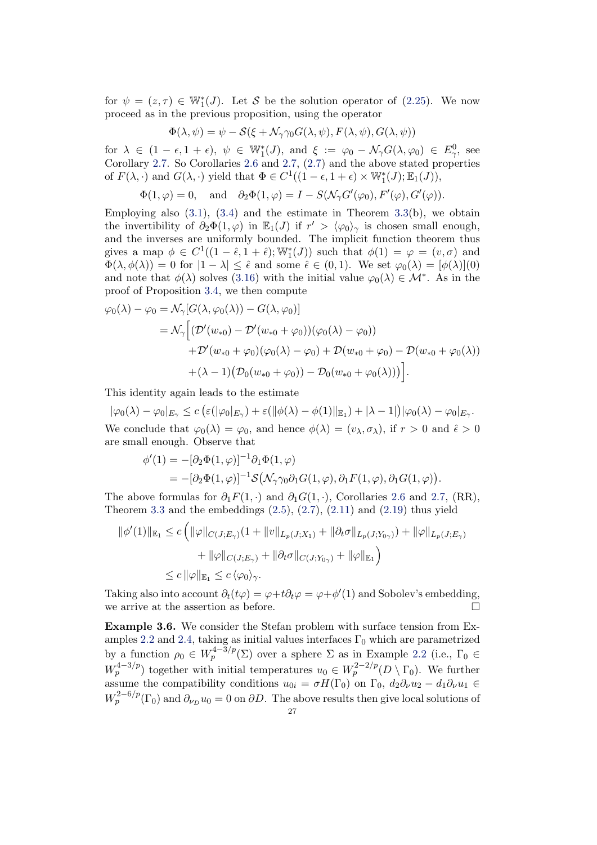for  $\psi = (z, \tau) \in \mathbb{W}_1^*(J)$ . Let S be the solution operator of [\(2.25\)](#page-15-1). We now proceed as in the previous proposition, using the operator

$$
\Phi(\lambda, \psi) = \psi - \mathcal{S}(\xi + \mathcal{N}_{\gamma\gamma 0} G(\lambda, \psi), F(\lambda, \psi), G(\lambda, \psi))
$$

for  $\lambda \in (1 - \epsilon, 1 + \epsilon), \ \psi \in \mathbb{W}_1^*(J)$ , and  $\xi := \varphi_0 - \mathcal{N}_\gamma G(\lambda, \varphi_0) \in E_\gamma^0$ , see Corollary [2.7.](#page-16-0) So Corollaries [2.6](#page-15-0) and [2.7,](#page-16-0) [\(2.7\)](#page-5-1) and the above stated properties of  $F(\lambda, \cdot)$  and  $G(\lambda, \cdot)$  yield that  $\Phi \in C^1((1 - \epsilon, 1 + \epsilon) \times \mathbb{W}_1^*(J); \mathbb{E}_1(J)),$ 

$$
\Phi(1,\varphi)=0,\quad\text{and}\quad \partial_2\Phi(1,\varphi)=I-S(\mathcal{N}_\gamma G'(\varphi_0),F'(\varphi),G'(\varphi)).
$$

Employing also  $(3.1)$ ,  $(3.4)$  and the estimate in Theorem  $3.3(b)$  $3.3(b)$ , we obtain the invertibility of  $\partial_2 \Phi(1, \varphi)$  in  $\mathbb{E}_1(J)$  if  $r' > \langle \varphi_0 \rangle_{\gamma}$  is chosen small enough, and the inverses are uniformly bounded. The implicit function theorem thus gives a map  $\phi \in C^1((1 - \hat{\epsilon}, 1 + \hat{\epsilon}); \mathbb{W}_1^*(J))$  such that  $\phi(1) = \varphi = (v, \sigma)$  and  $\Phi(\lambda, \phi(\lambda)) = 0$  for  $|1 - \lambda| \leq \hat{\epsilon}$  and some  $\hat{\epsilon} \in (0, 1)$ . We set  $\varphi_0(\lambda) = [\phi(\lambda)](0)$ and note that  $\phi(\lambda)$  solves [\(3.16\)](#page-25-0) with the initial value  $\varphi_0(\lambda) \in \mathcal{M}^*$ . As in the proof of Proposition [3.4,](#page-23-0) we then compute

$$
\varphi_0(\lambda) - \varphi_0 = \mathcal{N}_{\gamma}[G(\lambda, \varphi_0(\lambda)) - G(\lambda, \varphi_0)]
$$
  
=  $\mathcal{N}_{\gamma}[(\mathcal{D}'(w_{*0}) - \mathcal{D}'(w_{*0} + \varphi_0))(\varphi_0(\lambda) - \varphi_0))$   
+  $\mathcal{D}'(w_{*0} + \varphi_0)(\varphi_0(\lambda) - \varphi_0) + \mathcal{D}(w_{*0} + \varphi_0) - \mathcal{D}(w_{*0} + \varphi_0(\lambda))$   
+  $(\lambda - 1)(\mathcal{D}_0(w_{*0} + \varphi_0)) - \mathcal{D}_0(w_{*0} + \varphi_0(\lambda))).$ 

This identity again leads to the estimate

$$
|\varphi_0(\lambda) - \varphi_0|_{E_\gamma} \le c \left( \varepsilon(|\varphi_0|_{E_\gamma}) + \varepsilon(||\phi(\lambda) - \phi(1)||_{E_1}) + |\lambda - 1| \right) |\varphi_0(\lambda) - \varphi_0|_{E_\gamma}.
$$
  
We conclude that  $\varphi_0(\lambda) = \varphi_0$ , and hence  $\phi(\lambda) = (v_\lambda, \sigma_\lambda)$ , if  $r > 0$  and  $\hat{\epsilon} > 0$  are small enough. Observe that

$$
\begin{split} \phi'(1) &= -[\partial_2 \Phi(1,\varphi)]^{-1} \partial_1 \Phi(1,\varphi) \\ &= -[\partial_2 \Phi(1,\varphi)]^{-1} \mathcal{S} \big( \mathcal{N}_\gamma \gamma_0 \partial_1 G(1,\varphi), \partial_1 F(1,\varphi), \partial_1 G(1,\varphi) \big). \end{split}
$$

The above formulas for  $\partial_1 F(1, \cdot)$  and  $\partial_1 G(1, \cdot)$ , Corollaries [2.6](#page-15-0) and [2.7,](#page-16-0) (RR), Theorem [3.3](#page-21-0) and the embeddings  $(2.5)$ ,  $(2.7)$ ,  $(2.11)$  and  $(2.19)$  thus yield

$$
\|\phi'(1)\|_{\mathbb{E}_1} \le c \left( \|\varphi\|_{C(J;E_\gamma)} (1 + \|v\|_{L_p(J;X_1)} + \|\partial_t \sigma\|_{L_p(J;Y_{0\gamma})}) + \|\varphi\|_{L_p(J;E_\gamma)} + \|\varphi\|_{C(J;E_\gamma)} + \|\partial_t \sigma\|_{C(J;Y_{0\gamma})} + \|\varphi\|_{\mathbb{E}_1} \right)
$$
  

$$
\le c \|\varphi\|_{\mathbb{E}_1} \le c \langle \varphi_0 \rangle_{\gamma}.
$$

Taking also into account  $\partial_t(t\varphi) = \varphi + t\partial_t\varphi = \varphi + \phi'(1)$  and Sobolev's embedding, we arrive at the assertion as before.  $\Box$ 

Example 3.6. We consider the Stefan problem with surface tension from Ex-amples [2.2](#page-8-0) and [2.4,](#page-13-0) taking as initial values interfaces  $\Gamma_0$  which are parametrized by a function  $\rho_0 \in W^{4-3/p}_p(\Sigma)$  over a sphere  $\Sigma$  as in Example [2.2](#page-8-0) (i.e.,  $\Gamma_0 \in$  $W_p^{4-3/p}$ ) together with initial temperatures  $u_0 \in W_p^{2-2/p}(D \setminus \Gamma_0)$ . We further assume the compatibility conditions  $u_{0i} = \sigma H(\Gamma_0)$  on  $\Gamma_0$ ,  $d_2 \partial_\nu u_2 - d_1 \partial_\nu u_1 \in$  $W_p^{2-6/p}(\Gamma_0)$  and  $\partial_{\nu_D} u_0 = 0$  on  $\partial D$ . The above results then give local solutions of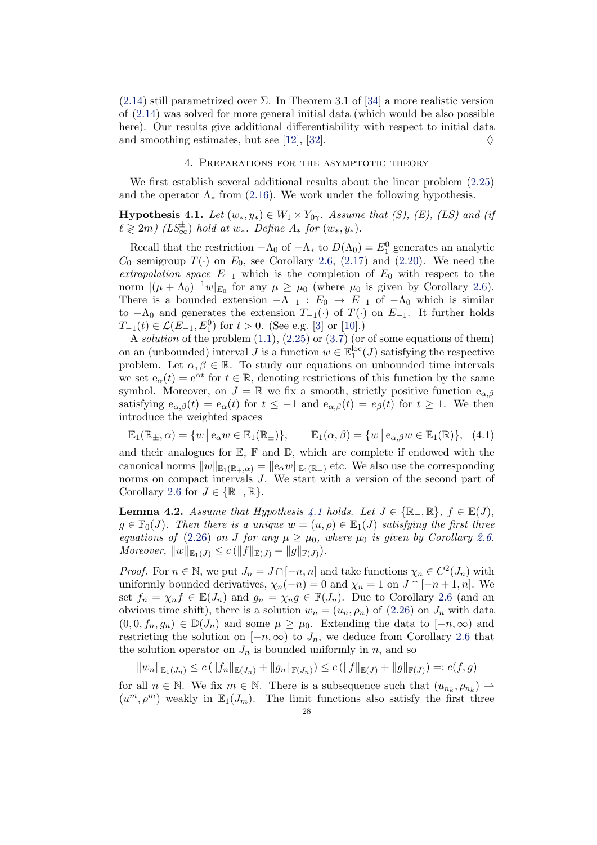[\(2.14\)](#page-9-0) still parametrized over  $\Sigma$ . In Theorem 3.1 of [\[34\]](#page-42-10) a more realistic version of [\(2.14\)](#page-9-0) was solved for more general initial data (which would be also possible here). Our results give additional differentiability with respect to initial data and smoothing estimates, but see [\[12\]](#page-41-7), [\[32\]](#page-42-11).  $\diamondsuit$ 

## 4. Preparations for the asymptotic theory

<span id="page-27-0"></span>We first establish several additional results about the linear problem [\(2.25\)](#page-15-1) and the operator  $\Lambda_*$  from [\(2.16\)](#page-10-1). We work under the following hypothesis.

<span id="page-27-1"></span>**Hypothesis 4.1.** Let  $(w_*, y_*) \in W_1 \times Y_{0\gamma}$ . Assume that (S), (E), (LS) and (if  $\ell \geqslant 2m)$  (LS<sup>±</sup><sub>∞</sub>) hold at w<sub>\*</sub>. Define  $A_*$  for  $(w_*, y_*)$ .

Recall that the restriction  $-\Lambda_0$  of  $-\Lambda_*$  to  $D(\Lambda_0) = E_1^0$  generates an analytic  $C_0$ –semigroup  $T(\cdot)$  on  $E_0$ , see Corollary [2.6,](#page-15-0) [\(2.17\)](#page-10-2) and [\(2.20\)](#page-11-3). We need the extrapolation space  $E_{-1}$  which is the completion of  $E_0$  with respect to the norm  $|(\mu + \Lambda_0)^{-1}w|_{E_0}$  for any  $\mu \ge \mu_0$  (where  $\mu_0$  is given by Corollary [2.6\)](#page-15-0). There is a bounded extension  $-\Lambda_{-1}$  :  $E_0 \to E_{-1}$  of  $-\Lambda_0$  which is similar to  $-\Lambda_0$  and generates the extension  $T_{-1}(\cdot)$  of  $T(\cdot)$  on  $E_{-1}$ . It further holds  $T_{-1}(t) \in \mathcal{L}(E_{-1}, E_1^0)$  for  $t > 0$ . (See e.g. [\[3\]](#page-41-15) or [\[10\]](#page-41-18).)

A solution of the problem  $(1.1)$ ,  $(2.25)$  or  $(3.7)$  (or of some equations of them) on an (unbounded) interval  $J$  is a function  $w \in \mathbb{E}^{\rm loc}_1(J)$  satisfying the respective problem. Let  $\alpha, \beta \in \mathbb{R}$ . To study our equations on unbounded time intervals we set  $e_{\alpha}(t) = e^{\alpha t}$  for  $t \in \mathbb{R}$ , denoting restrictions of this function by the same symbol. Moreover, on  $J = \mathbb{R}$  we fix a smooth, strictly positive function  $e_{\alpha,\beta}$ satisfying  $e_{\alpha,\beta}(t) = e_{\alpha}(t)$  for  $t \leq -1$  and  $e_{\alpha,\beta}(t) = e_{\beta}(t)$  for  $t \geq 1$ . We then introduce the weighted spaces

<span id="page-27-3"></span>
$$
\mathbb{E}_1(\mathbb{R}_\pm, \alpha) = \{ w \mid e_\alpha w \in \mathbb{E}_1(\mathbb{R}_\pm) \}, \qquad \mathbb{E}_1(\alpha, \beta) = \{ w \mid e_{\alpha, \beta} w \in \mathbb{E}_1(\mathbb{R}) \}, \tag{4.1}
$$

and their analogues for  $\mathbb{E}, \mathbb{F}$  and  $\mathbb{D},$  which are complete if endowed with the canonical norms  $||w||_{\mathbb{E}_1(\mathbb{R}_+,\alpha)} = ||e_\alpha w||_{\mathbb{E}_1(\mathbb{R}_+)}$  etc. We also use the corresponding norms on compact intervals J. We start with a version of the second part of Corollary [2.6](#page-15-0) for  $J \in \{ \mathbb{R}_{-}, \mathbb{R} \}.$ 

<span id="page-27-2"></span>**Lemma 4.2.** Assume that Hypothesis [4.1](#page-27-1) holds. Let  $J \in \{ \mathbb{R}_{-}, \mathbb{R} \}$ ,  $f \in \mathbb{E}(J)$ ,  $g \in \mathbb{F}_0(J)$ . Then there is a unique  $w = (u, \rho) \in \mathbb{E}_1(J)$  satisfying the first three equations of [\(2.26\)](#page-15-2) on J for any  $\mu \geq \mu_0$ , where  $\mu_0$  is given by Corollary [2.6.](#page-15-0) Moreover,  $||w||_{\mathbb{E}_1(J)} \le c (||f||_{\mathbb{E}(J)} + ||g||_{\mathbb{F}(J)}).$ 

*Proof.* For  $n \in \mathbb{N}$ , we put  $J_n = J \cap [-n, n]$  and take functions  $\chi_n \in C^2(J_n)$  with uniformly bounded derivatives,  $\chi_n(-n) = 0$  and  $\chi_n = 1$  on  $J \cap [-n+1, n]$ . We set  $f_n = \chi_n f \in \mathbb{E}(J_n)$  and  $g_n = \chi_n g \in \mathbb{F}(J_n)$ . Due to Corollary [2.6](#page-15-0) (and an obvious time shift), there is a solution  $w_n = (u_n, \rho_n)$  of [\(2.26\)](#page-15-2) on  $J_n$  with data  $(0, 0, f_n, g_n) \in \mathbb{D}(J_n)$  and some  $\mu \geq \mu_0$ . Extending the data to  $[-n, \infty)$  and restricting the solution on  $[-n,\infty)$  to  $J_n$ , we deduce from Corollary [2.6](#page-15-0) that the solution operator on  $J_n$  is bounded uniformly in n, and so

 $||w_n||_{\mathbb{E}_1(J_n)} \leq c (||f_n||_{\mathbb{E}(J_n)} + ||g_n||_{\mathbb{F}(J_n)}) \leq c (||f||_{\mathbb{E}(J)} + ||g||_{\mathbb{F}(J)}) =: c(f,g)$ 

for all  $n \in \mathbb{N}$ . We fix  $m \in \mathbb{N}$ . There is a subsequence such that  $(u_{n_k}, \rho_{n_k}) \to$  $(u^m, \rho^m)$  weakly in  $\mathbb{E}_1(J_m)$ . The limit functions also satisfy the first three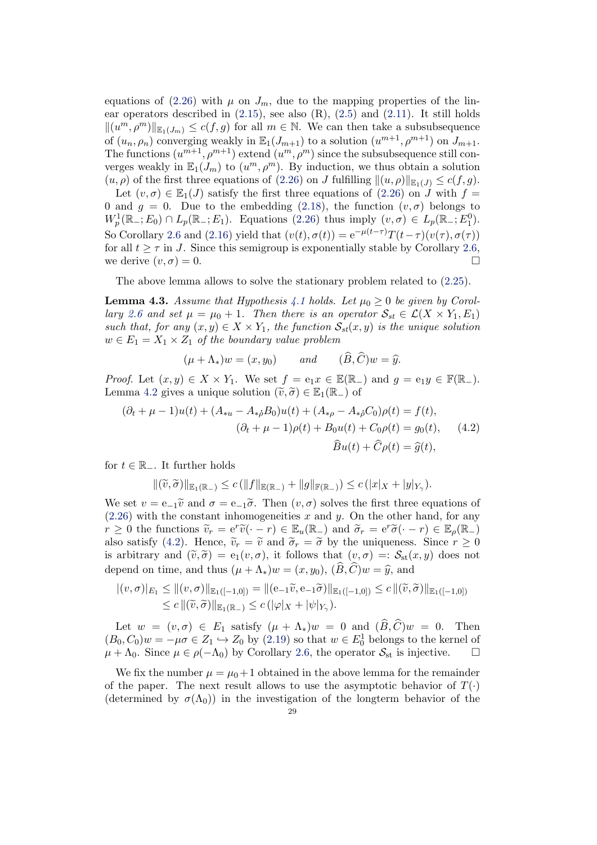equations of [\(2.26\)](#page-15-2) with  $\mu$  on  $J_m$ , due to the mapping properties of the linear operators described in  $(2.15)$ , see also  $(R)$ ,  $(2.5)$  and  $(2.11)$ . It still holds  $\|(u^m, \rho^m)\|_{\mathbb{E}_1(J_m)} \leq c(f, g)$  for all  $m \in \mathbb{N}$ . We can then take a subsubsequence of  $(u_n, \rho_n)$  converging weakly in  $\mathbb{E}_1(J_{m+1})$  to a solution  $(u^{m+1}, \rho^{m+1})$  on  $J_{m+1}$ . The functions  $(u^{m+1}, \rho^{m+1})$  extend  $(u^m, \rho^m)$  since the subsubsequence still converges weakly in  $\mathbb{E}_1(J_m)$  to  $(u^m, \rho^m)$ . By induction, we thus obtain a solution  $(u, \rho)$  of the first three equations of [\(2.26\)](#page-15-2) on J fulfilling  $\|(u, \rho)\|_{\mathbb{R}_1(J)} \leq c(f, g)$ .

Let  $(v, \sigma) \in \mathbb{E}_1(J)$  satisfy the first three equations of  $(2.26)$  on J with  $f =$ 0 and  $q = 0$ . Due to the embedding [\(2.18\)](#page-11-4), the function  $(v, \sigma)$  belongs to  $W_p^1(\mathbb{R}_-; E_0) \cap L_p(\mathbb{R}_-; E_1)$ . Equations [\(2.26\)](#page-15-2) thus imply  $(v, \sigma) \in L_p(\mathbb{R}_-; E_1^0)$ . So Corollary [2.6](#page-15-0) and [\(2.16\)](#page-10-1) yield that  $(v(t), \sigma(t)) = e^{-\mu(t-\tau)}T(t-\tau)(v(\tau), \sigma(\tau))$ for all  $t \geq \tau$  in J. Since this semigroup is exponentially stable by Corollary [2.6,](#page-15-0) we derive  $(v, \sigma) = 0$ .

The above lemma allows to solve the stationary problem related to [\(2.25\)](#page-15-1).

<span id="page-28-1"></span>**Lemma 4.3.** Assume that Hypothesis [4.1](#page-27-1) holds. Let  $\mu_0 \geq 0$  be given by Corol-lary [2.6](#page-15-0) and set  $\mu = \mu_0 + 1$ . Then there is an operator  $S_{st} \in \mathcal{L}(X \times Y_1, E_1)$ such that, for any  $(x, y) \in X \times Y_1$ , the function  $\mathcal{S}_{st}(x, y)$  is the unique solution  $w \in E_1 = X_1 \times Z_1$  of the boundary value problem

<span id="page-28-0"></span>
$$
(\mu + \Lambda_*)w = (x, y_0) \quad \text{and} \quad (\overline{B}, \overline{C})w = \widehat{y}.
$$

*Proof.* Let  $(x, y) \in X \times Y_1$ . We set  $f = e_1 x \in \mathbb{E}(\mathbb{R}_-)$  and  $g = e_1 y \in \mathbb{F}(\mathbb{R}_-)$ . Lemma [4.2](#page-27-2) gives a unique solution  $(\tilde{v}, \tilde{\sigma}) \in \mathbb{E}_1(\mathbb{R}_+)$  of

$$
(\partial_t + \mu - 1)u(t) + (A_{*u} - A_{*\rho}B_0)u(t) + (A_{*\rho} - A_{*\rho}C_0)\rho(t) = f(t),
$$
  

$$
(\partial_t + \mu - 1)\rho(t) + B_0u(t) + C_0\rho(t) = g_0(t), \qquad (4.2)
$$
  

$$
\widehat{B}u(t) + \widehat{C}\rho(t) = \widehat{g}(t),
$$

for  $t \in \mathbb{R}_-$ . It further holds

$$
\|(\widetilde{v},\widetilde{\sigma})\|_{\mathbb{E}_1(\mathbb{R}_-)} \leq c \left( \|f\|_{\mathbb{E}(\mathbb{R}_-)} + \|g\|_{\mathbb{F}(\mathbb{R}_-)} \right) \leq c \left( |x|_X + |y|_{Y_\gamma} \right).
$$

We set  $v = e_{-1}\tilde{v}$  and  $\sigma = e_{-1}\tilde{\sigma}$ . Then  $(v, \sigma)$  solves the first three equations of  $(2.26)$  with the constant inhomogeneities x and y. On the other hand, for any  $r \geq 0$  the functions  $\widetilde{v}_r = e^r \widetilde{v}(\cdot - r) \in \mathbb{E}_u(\mathbb{R}_+)$  and  $\widetilde{\sigma}_r = e^r \widetilde{\sigma}(\cdot - r) \in \mathbb{E}_\rho(\mathbb{R}_+)$ also satisfy [\(4.2\)](#page-28-0). Hence,  $\tilde{v}_r = \tilde{v}$  and  $\tilde{\sigma}_r = \tilde{\sigma}$  by the uniqueness. Since  $r \geq 0$ is arbitrary and  $(\tilde{v}, \tilde{\sigma}) = e_1(v, \sigma)$ , it follows that  $(v, \sigma) =: \mathcal{S}_{st}(x, y)$  does not depend on time, and thus  $(\mu + \Lambda_*)w = (x, y_0), (\widehat{B}, \widehat{C})w = \widehat{y}$ , and

$$
|(v, \sigma)|_{E_1} \leq ||(v, \sigma)||_{\mathbb{E}_1([-1,0])} = ||(e_{-1}\widetilde{v}, e_{-1}\widetilde{\sigma})||_{\mathbb{E}_1([-1,0])} \leq c ||(\widetilde{v}, \widetilde{\sigma})||_{\mathbb{E}_1([-1,0])}
$$
  

$$
\leq c ||(\widetilde{v}, \widetilde{\sigma})||_{\mathbb{E}_1(\mathbb{R}_-)} \leq c (|\varphi|_X + |\psi|_{Y_\gamma}).
$$

Let  $w = (v, \sigma) \in E_1$  satisfy  $(\mu + \Lambda_*)w = 0$  and  $(\widehat{B}, \widehat{C})w = 0$ . Then  $(B_0, C_0)w = -\mu\sigma \in Z_1 \hookrightarrow Z_0$  by  $(2.19)$  so that  $w \in E_0^1$  belongs to the kernel of  $\mu + \Lambda_0$ . Since  $\mu \in \rho(-\Lambda_0)$  by Corollary [2.6,](#page-15-0) the operator  $\mathcal{S}_{st}$  is injective.  $\Box$ 

We fix the number  $\mu = \mu_0 + 1$  obtained in the above lemma for the remainder of the paper. The next result allows to use the asymptotic behavior of  $T(\cdot)$ (determined by  $\sigma(\Lambda_0)$ ) in the investigation of the longterm behavior of the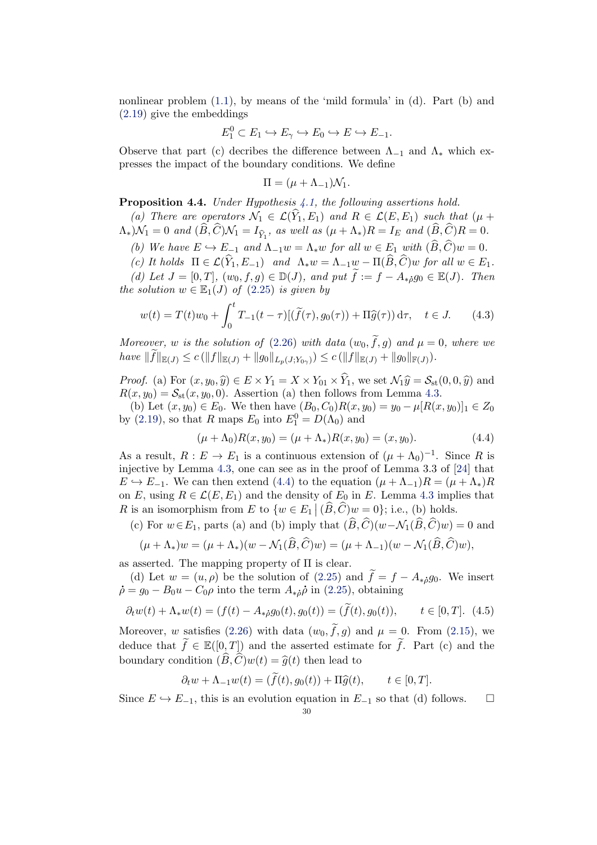nonlinear problem  $(1.1)$ , by means of the 'mild formula' in  $(d)$ . Part  $(b)$  and [\(2.19\)](#page-11-2) give the embeddings

$$
E_1^0 \subset E_1 \hookrightarrow E_\gamma \hookrightarrow E_0 \hookrightarrow E \hookrightarrow E_{-1}.
$$

Observe that part (c) decribes the difference between  $\Lambda_{-1}$  and  $\Lambda_{*}$  which expresses the impact of the boundary conditions. We define

$$
\Pi = (\mu + \Lambda_{-1})\mathcal{N}_1.
$$

<span id="page-29-2"></span>**Proposition 4.4.** Under Hypothesis  $4.1$ , the following assertions hold.

(a) There are operators  $\mathcal{N}_1 \in \mathcal{L}(\widehat{Y}_1, E_1)$  and  $R \in \mathcal{L}(E, E_1)$  such that  $(\mu +$  $\Lambda_*$ ) $\mathcal{N}_1 = 0$  and  $(B, C)\mathcal{N}_1 = I_{\widehat{Y}_1}$ , as well as  $(\mu + \Lambda_*)R = I_E$  and  $(B, C)R = 0$ .

(b) We have  $E \hookrightarrow E_{-1}$  and  $\Lambda_{-1}w = \Lambda_* w$  for all  $w \in E_1$  with  $(\widehat{B}, \widehat{C})w = 0$ .

(c) It holds  $\Pi \in \mathcal{L}(\widehat{Y}_1, E_{-1})$  and  $\Lambda_* w = \Lambda_{-1}w - \Pi(\widehat{B}, \widehat{C})w$  for all  $w \in E_1$ . (d) Let  $J = [0, T]$ ,  $(w_0, f, g) \in \mathbb{D}(J)$ , and put  $\widetilde{f} := f - A_{\ast} \delta q_0 \in \mathbb{E}(J)$ . Then the solution  $w \in \mathbb{E}_1(J)$  of  $(2.25)$  is given by

<span id="page-29-1"></span>
$$
w(t) = T(t)w_0 + \int_0^t T_{-1}(t-\tau)[(\tilde{f}(\tau), g_0(\tau)) + \Pi \hat{g}(\tau)) d\tau, \quad t \in J.
$$
 (4.3)

Moreover, w is the solution of [\(2.26\)](#page-15-2) with data  $(w_0, \tilde{f}, g)$  and  $\mu = 0$ , where we have  $||f||_{\mathbb{E}(J)} \leq c (||f||_{\mathbb{E}(J)} + ||g_0||_{L_p(J;Y_{0\gamma})}) \leq c (||f||_{\mathbb{E}(J)} + ||g_0||_{\mathbb{F}(J)}).$ 

*Proof.* (a) For  $(x, y_0, \hat{y}) \in E \times Y_1 = X \times Y_{01} \times \hat{Y}_1$ , we set  $\mathcal{N}_1 \hat{y} = \mathcal{S}_{st}(0, 0, \hat{y})$  and  $R(x, y_0) = S_{\rm st}(x, y_0, 0)$ . Assertion (a) then follows from Lemma [4.3.](#page-28-1)

(b) Let  $(x, y_0) \in E_0$ . We then have  $(B_0, C_0)R(x, y_0) = y_0 - \mu[R(x, y_0)]_1 \in Z_0$ by [\(2.19\)](#page-11-2), so that R maps  $E_0$  into  $E_1^0 = D(\Lambda_0)$  and

<span id="page-29-0"></span>
$$
(\mu + \Lambda_0)R(x, y_0) = (\mu + \Lambda_*)R(x, y_0) = (x, y_0). \tag{4.4}
$$

As a result,  $R: E \to E_1$  is a continuous extension of  $(\mu + \Lambda_0)^{-1}$ . Since R is injective by Lemma [4.3,](#page-28-1) one can see as in the proof of Lemma 3.3 of [\[24\]](#page-42-20) that  $E \hookrightarrow E_{-1}$ . We can then extend [\(4.4\)](#page-29-0) to the equation  $(\mu + \Lambda_{-1})R = (\mu + \Lambda_{*})R$ on E, using  $R \in \mathcal{L}(E, E_1)$  and the density of  $E_0$  in E. Lemma [4.3](#page-28-1) implies that R is an isomorphism from E to  $\{w \in E_1 \mid (\widehat{B}, \widehat{C})w = 0\}$ ; i.e., (b) holds.

(c) For  $w \in E_1$ , parts (a) and (b) imply that  $(\widehat{B}, \widehat{C})(w - \mathcal{N}_1(\widehat{B}, \widehat{C})w) = 0$  and

$$
(\mu + \Lambda_*)w = (\mu + \Lambda_*)(w - \mathcal{N}_1(\widehat{B}, \widehat{C})w) = (\mu + \Lambda_{-1})(w - \mathcal{N}_1(\widehat{B}, \widehat{C})w),
$$

as asserted. The mapping property of  $\Pi$  is clear.

(d) Let  $w = (u, \rho)$  be the solution of [\(2.25\)](#page-15-1) and  $\tilde{f} = f - A_{\tilde{u}} g_0$ . We insert  $\dot{\rho} = g_0 - B_0 u - C_0 \rho$  into the term  $A_{\dot{\phi}} \dot{\rho}$  in [\(2.25\)](#page-15-1), obtaining

$$
\partial_t w(t) + \Lambda_* w(t) = (f(t) - A_{*\hat{\rho}} g_0(t), g_0(t)) = (\tilde{f}(t), g_0(t)), \qquad t \in [0, T]. \tag{4.5}
$$

Moreover, w satisfies [\(2.26\)](#page-15-2) with data  $(w_0, \tilde{f}, g)$  and  $\mu = 0$ . From [\(2.15\)](#page-10-0), we deduce that  $f \in \mathbb{E}([0,T])$  and the asserted estimate for f. Part (c) and the boundary condition  $(\widehat{B}, \widehat{C})w(t) = \widehat{g}(t)$  then lead to

$$
\partial_t w + \Lambda_{-1} w(t) = (\tilde{f}(t), g_0(t)) + \Pi \tilde{g}(t), \qquad t \in [0, T].
$$

Since  $E \hookrightarrow E_{-1}$ , this is an evolution equation in  $E_{-1}$  so that (d) follows.  $\square$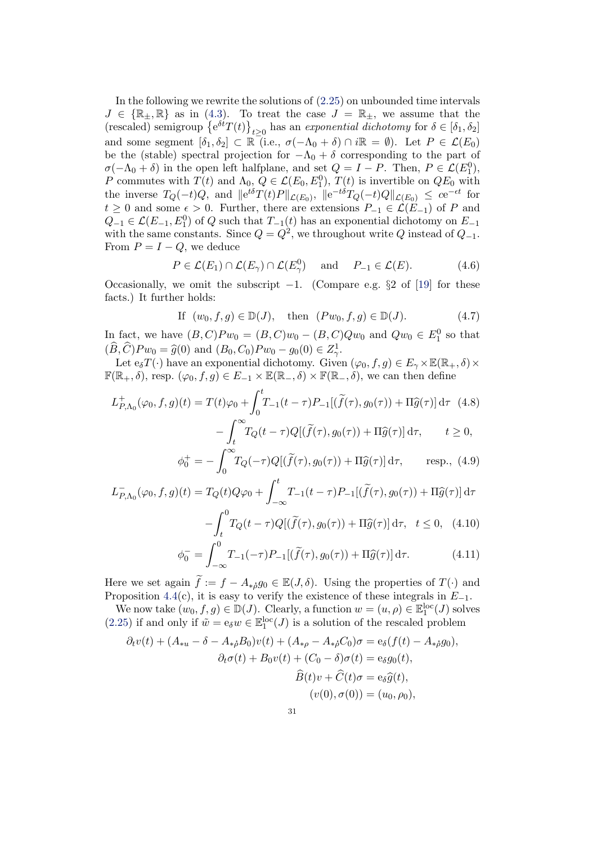In the following we rewrite the solutions of [\(2.25\)](#page-15-1) on unbounded time intervals  $J \in \{\mathbb{R}_{\pm}, \mathbb{R}\}$  as in [\(4.3\)](#page-29-1). To treat the case  $J = \mathbb{R}_{\pm}$ , we assume that the (rescaled) semigroup  $\{e^{\delta t}T(t)\}_{t\geq 0}$  has an exponential dichotomy for  $\delta \in [\delta_1, \delta_2]$ and some segment  $[\delta_1, \delta_2] \subset \mathbb{R}$  (i.e.,  $\sigma(-\Lambda_0 + \delta) \cap i\mathbb{R} = \emptyset$ ). Let  $P \in \mathcal{L}(E_0)$ be the (stable) spectral projection for  $-\Lambda_0 + \delta$  corresponding to the part of  $\sigma(-\Lambda_0 + \delta)$  in the open left halfplane, and set  $Q = I - P$ . Then,  $P \in \mathcal{L}(E_1^0)$ , P commutes with  $T(t)$  and  $\Lambda_{0}$ ,  $Q \in \mathcal{L}(E_0, E_1^0)$ ,  $T(t)$  is invertible on  $QE_0$  with the inverse  $T_Q(-t)Q$ , and  $||e^{t\delta}T(t)P||_{\mathcal{L}(E_0)}$ ,  $||e^{-t\delta}T_Q(-t)Q||_{\mathcal{L}(E_0)} \leq ce^{-\epsilon t}$  for  $t \geq 0$  and some  $\epsilon > 0$ . Further, there are extensions  $P_{-1} \in \mathcal{L}(E_{-1})$  of P and  $Q_{-1} \in \mathcal{L}(E_{-1}, E_1^0)$  of  $Q$  such that  $T_{-1}(t)$  has an exponential dichotomy on  $E_{-1}$ with the same constants. Since  $Q = Q^2$ , we throughout write Q instead of  $Q_{-1}$ . From  $P = I - Q$ , we deduce

<span id="page-30-4"></span>
$$
P \in \mathcal{L}(E_1) \cap \mathcal{L}(E_\gamma) \cap \mathcal{L}(E_\gamma^0) \quad \text{and} \quad P_{-1} \in \mathcal{L}(E). \tag{4.6}
$$

Occasionally, we omit the subscript  $-1$ . (Compare e.g. §2 of [\[19\]](#page-41-4) for these facts.) It further holds:

<span id="page-30-2"></span>If 
$$
(w_0, f, g) \in \mathbb{D}(J)
$$
, then  $(Pw_0, f, g) \in \mathbb{D}(J)$ . (4.7)

In fact, we have  $(B, C)Pw_0 = (B, C)w_0 - (B, C)Qw_0$  and  $Qw_0 \in E_1^0$  so that  $(\widehat{B}, \widehat{C})Pw_0 = \widehat{g}(0)$  and  $(B_0, C_0)Pw_0 - g_0(0) \in Z^1_{\gamma}$ .<br>Let  $\widehat{C}(\widehat{C})$  how an exponential dicherent Cives

Let  $e_{\delta}T(\cdot)$  have an exponential dichotomy. Given  $(\varphi_0, f, g) \in E_{\gamma} \times \mathbb{E}(\mathbb{R}_+, \delta) \times$  $\mathbb{F}(\mathbb{R}_+,\delta)$ , resp.  $(\varphi_0, f, g) \in E_{-1} \times \mathbb{E}(\mathbb{R}_-,\delta) \times \mathbb{F}(\mathbb{R}_-,\delta)$ , we can then define

$$
L_{P,\Lambda_0}^+(\varphi_0, f, g)(t) = T(t)\varphi_0 + \int_0^t T_{-1}(t-\tau)P_{-1}[(\tilde{f}(\tau), g_0(\tau)) + \Pi \hat{g}(\tau)] d\tau \quad (4.8)
$$

$$
- \int_t^\infty T_Q(t-\tau)Q[(\tilde{f}(\tau), g_0(\tau)) + \Pi \hat{g}(\tau)] d\tau, \qquad t \ge 0,
$$

<span id="page-30-1"></span><span id="page-30-0"></span>
$$
\phi_0^+ = -\int_0^\infty T_Q(-\tau)Q[(\widetilde{f}(\tau), g_0(\tau)) + \Pi \widehat{g}(\tau)] d\tau, \quad \text{resp., (4.9)}
$$

$$
L_{P,\Lambda_0}^-(\varphi_0, f, g)(t) = T_Q(t)Q\varphi_0 + \int_{-\infty}^t T_{-1}(t-\tau)P_{-1}[(\tilde{f}(\tau), g_0(\tau)) + \Pi \hat{g}(\tau)] d\tau
$$

$$
-\int_t^0 T_Q(t-\tau)Q[(\tilde{f}(\tau), g_0(\tau)) + \Pi \hat{g}(\tau)] d\tau, \quad t \le 0, \quad (4.10)
$$

<span id="page-30-3"></span>
$$
\phi_0^- = \int_{-\infty}^0 T_{-1}(-\tau) P_{-1}[(\tilde{f}(\tau), g_0(\tau)) + \Pi \hat{g}(\tau)] d\tau.
$$
 (4.11)

Here we set again  $\tilde{f} := f - A_{\ast} \rho g_0 \in \mathbb{E}(J, \delta)$ . Using the properties of  $T(\cdot)$  and Proposition [4.4\(](#page-29-2)c), it is easy to verify the existence of these integrals in  $E_{-1}$ .

We now take  $(w_0, f, g) \in \mathbb{D}(J)$ . Clearly, a function  $w = (u, \rho) \in \mathbb{E}_1^{\text{loc}}(J)$  solves [\(2.25\)](#page-15-1) if and only if  $\tilde{w} = e_{\delta} w \in \mathbb{E}^{\text{loc}}_1(J)$  is a solution of the rescaled problem

$$
\partial_t v(t) + (A_{*u} - \delta - A_{*\dot{\rho}}B_0)v(t) + (A_{*\rho} - A_{*\dot{\rho}}C_0)\sigma = e_{\delta}(f(t) - A_{*\dot{\rho}}g_0),
$$
  

$$
\partial_t \sigma(t) + B_0v(t) + (C_0 - \delta)\sigma(t) = e_{\delta}g_0(t),
$$
  

$$
\widehat{B}(t)v + \widehat{C}(t)\sigma = e_{\delta}\widehat{g}(t),
$$
  

$$
(v(0), \sigma(0)) = (u_0, \rho_0),
$$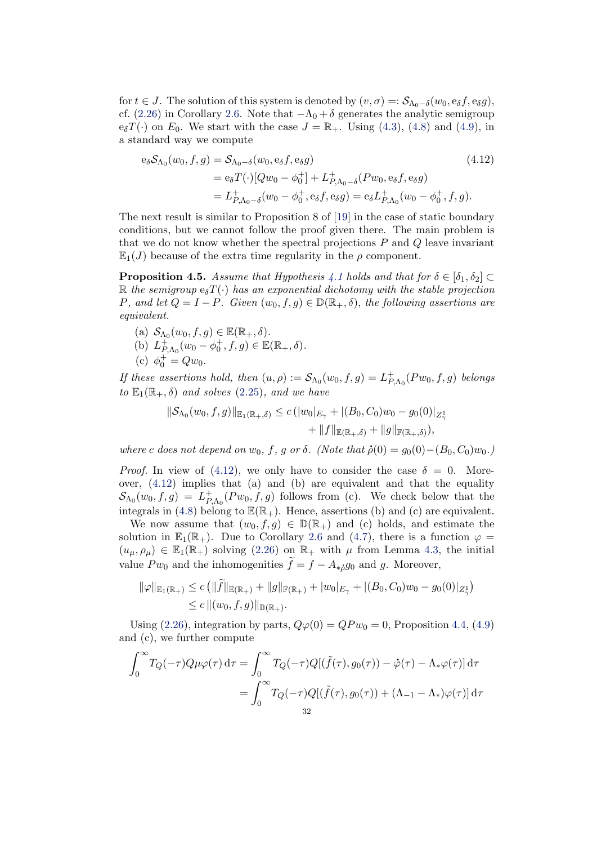for  $t \in J$ . The solution of this system is denoted by  $(v, \sigma) =: \mathcal{S}_{\Lambda_0 - \delta}(w_0, e_{\delta}f, e_{\delta}g)$ , cf. [\(2.26\)](#page-15-2) in Corollary [2.6.](#page-15-0) Note that  $-\Lambda_0 + \delta$  generates the analytic semigroup  $e_{\delta}T(\cdot)$  on  $E_0$ . We start with the case  $J = \mathbb{R}_+$ . Using [\(4.3\)](#page-29-1), [\(4.8\)](#page-30-0) and [\(4.9\)](#page-30-1), in a standard way we compute

<span id="page-31-1"></span>
$$
e_{\delta}S_{\Lambda_0}(w_0, f, g) = S_{\Lambda_0 - \delta}(w_0, e_{\delta}f, e_{\delta}g)
$$
\n
$$
= e_{\delta}T(\cdot)[Qw_0 - \phi_0^+] + L_{P, \Lambda_0 - \delta}^+(Pw_0, e_{\delta}f, e_{\delta}g)
$$
\n
$$
= L_{P, \Lambda_0 - \delta}^+(w_0 - \phi_0^+, e_{\delta}f, e_{\delta}g) = e_{\delta}L_{P, \Lambda_0}^+(w_0 - \phi_0^+, f, g).
$$
\n(4.12)

The next result is similar to Proposition 8 of [\[19\]](#page-41-4) in the case of static boundary conditions, but we cannot follow the proof given there. The main problem is that we do not know whether the spectral projections  $P$  and  $Q$  leave invariant  $\mathbb{E}_1(J)$  because of the extra time regularity in the  $\rho$  component.

<span id="page-31-0"></span>**Proposition 4.5.** Assume that Hypothesis [4.1](#page-27-1) holds and that for  $\delta \in [\delta_1, \delta_2]$ R the semigroup  $e_{\delta}T(\cdot)$  has an exponential dichotomy with the stable projection P, and let  $Q = I - P$ . Given  $(w_0, f, g) \in \mathbb{D}(\mathbb{R}_+, \delta)$ , the following assertions are equivalent.

(a) 
$$
S_{\Lambda_0}(w_0, f, g) \in \mathbb{E}(\mathbb{R}_+, \delta)
$$
.

- (b)  $L_P^+$  $P_{, \Lambda_0}^+(w_0 - \phi_0^+, f, g) \in \mathbb{E}(\mathbb{R}_+, \delta).$
- (c)  $\phi_0^+ = Q w_0$ .

If these assertions hold, then  $(u, \rho) := \mathcal{S}_{\Lambda_0}(w_0, f, g) = L_P^+$  $E_{P,\Lambda_0}^+(Pw_0,f,g)$  belongs to  $\mathbb{E}_1(\mathbb{R}_+, \delta)$  and solves [\(2.25\)](#page-15-1), and we have

$$
\|\mathcal{S}_{\Lambda_0}(w_0, f, g)\|_{\mathbb{E}_1(\mathbb{R}_+, \delta)} \le c \left( |w_0|_{E_\gamma} + |(B_0, C_0)w_0 - g_0(0)|_{Z_\gamma^1} + \|f\|_{\mathbb{E}(\mathbb{R}_+, \delta)} + \|g\|_{\mathbb{F}(\mathbb{R}_+, \delta)} \right),
$$

where c does not depend on  $w_0$ , f, g or  $\delta$ . (Note that  $\dot{\rho}(0) = g_0(0) - (B_0, C_0)w_0$ .)

*Proof.* In view of [\(4.12\)](#page-31-1), we only have to consider the case  $\delta = 0$ . Moreover, [\(4.12\)](#page-31-1) implies that (a) and (b) are equivalent and that the equality  $\mathcal{S}_{\Lambda_{0}}(w_{0},f,g) \ =\ L_{P}^{+}$  $P_{P,\Lambda_0}(P_{w_0},f,g)$  follows from (c). We check below that the integrals in [\(4.8\)](#page-30-0) belong to  $\mathbb{E}(\mathbb{R}_+)$ . Hence, assertions (b) and (c) are equivalent.

We now assume that  $(w_0, f, g) \in \mathbb{D}(\mathbb{R}_+)$  and (c) holds, and estimate the solution in  $\mathbb{E}_1(\mathbb{R}_+)$ . Due to Corollary [2.6](#page-15-0) and [\(4.7\)](#page-30-2), there is a function  $\varphi =$  $(u_{\mu}, \rho_{\mu}) \in \mathbb{E}_1(\mathbb{R}_+)$  solving [\(2.26\)](#page-15-2) on  $\mathbb{R}_+$  with  $\mu$  from Lemma [4.3,](#page-28-1) the initial value  $P w_0$  and the inhomogenities  $\widetilde{f} = f - A_{\ast \beta} g_0$  and g. Moreover,

$$
\|\varphi\|_{\mathbb{E}_1(\mathbb{R}_+)} \le c \left( \|\widetilde{f}\|_{\mathbb{E}(\mathbb{R}_+)} + \|g\|_{\mathbb{F}(\mathbb{R}_+)} + |w_0|_{E_\gamma} + |(B_0, C_0)w_0 - g_0(0)|_{Z_\gamma^1}\right) \le c \|(w_0, f, g)\|_{\mathbb{D}(\mathbb{R}_+)}.
$$

Using [\(2.26\)](#page-15-2), integration by parts,  $Q\varphi(0) = QPw_0 = 0$ , Proposition [4.4,](#page-29-2) [\(4.9\)](#page-30-1) and (c), we further compute

$$
\int_0^\infty T_Q(-\tau)Q\mu\varphi(\tau) d\tau = \int_0^\infty T_Q(-\tau)Q[(\tilde{f}(\tau), g_0(\tau)) - \dot{\varphi}(\tau) - \Lambda_*\varphi(\tau)] d\tau
$$

$$
= \int_0^\infty T_Q(-\tau)Q[(\tilde{f}(\tau), g_0(\tau)) + (\Lambda_{-1} - \Lambda_*)\varphi(\tau)] d\tau
$$
32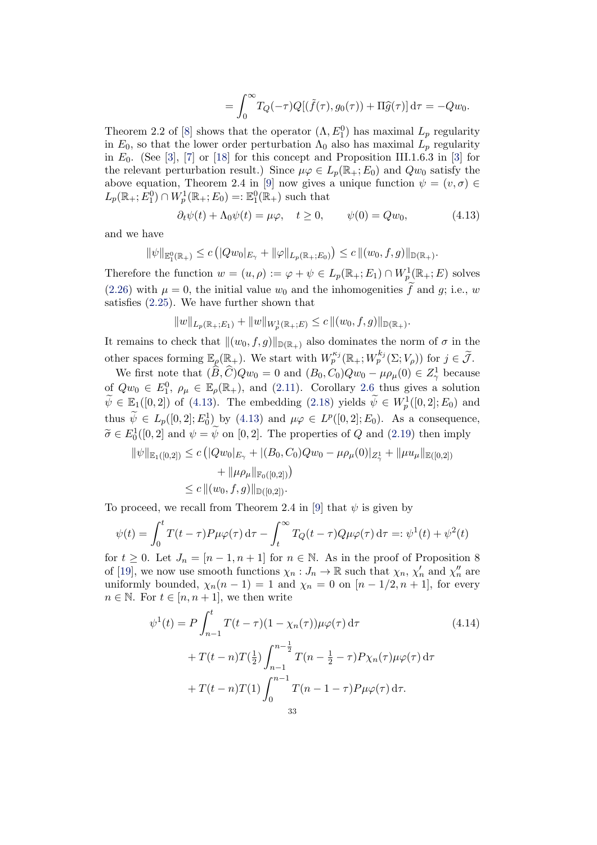<span id="page-32-0"></span>
$$
= \int_0^\infty T_Q(-\tau)Q[(\tilde{f}(\tau), g_0(\tau)) + \Pi \hat{g}(\tau)] d\tau = -Qw_0.
$$

Theorem 2.2 of [\[8\]](#page-41-10) shows that the operator  $(\Lambda, E_1^0)$  has maximal  $L_p$  regularity in  $E_0$ , so that the lower order perturbation  $\Lambda_0$  also has maximal  $L_p$  regularity in  $E_0$ . (See [\[3\]](#page-41-15), [\[7\]](#page-41-16) or [\[18\]](#page-41-19) for this concept and Proposition III.1.6.3 in [3] for the relevant perturbation result.) Since  $\mu\varphi \in L_n(\mathbb{R}_+; E_0)$  and  $Qw_0$  satisfy the above equation, Theorem 2.4 in [\[9\]](#page-41-20) now gives a unique function  $\psi = (v, \sigma) \in$  $L_p(\mathbb{R}_+; E_1^0) \cap W_p^1(\mathbb{R}_+; E_0) =: \mathbb{E}^0_1(\mathbb{R}_+)$  such that

$$
\partial_t \psi(t) + \Lambda_0 \psi(t) = \mu \varphi, \quad t \ge 0, \qquad \psi(0) = Q w_0,\tag{4.13}
$$

and we have

$$
\|\psi\|_{\mathbb{E}^0_1(\mathbb{R}_+)} \le c \left( |Qw_0|_{E_\gamma} + \|\varphi\|_{L_p(\mathbb{R}_+; E_0)} \right) \le c \left( |(w_0, f, g)|_{\mathbb{D}(\mathbb{R}_+)} \right).
$$

Therefore the function  $w = (u, \rho) := \varphi + \psi \in L_p(\mathbb{R}_+; E_1) \cap W^1_p(\mathbb{R}_+; E)$  solves [\(2.26\)](#page-15-2) with  $\mu = 0$ , the initial value  $w_0$  and the inhomogenities  $\tilde{f}$  and  $g$ ; i.e., w satisfies [\(2.25\)](#page-15-1). We have further shown that

$$
||w||_{L_p(\mathbb{R}_+;E_1)} + ||w||_{W_p^1(\mathbb{R}_+;E)} \le c ||(w_0, f, g)||_{\mathbb{D}(\mathbb{R}_+)}.
$$

It remains to check that  $\|(w_0, f, g)\|_{\mathbb{D}(\mathbb{R}_+)}$  also dominates the norm of  $\sigma$  in the other spaces forming  $\mathbb{E}_{\rho}(\mathbb{R}_{+})$ . We start with  $W_p^{\kappa_j}(\mathbb{R}_{+}; W_p^{k_j}(\Sigma; V_{\rho}))$  for  $j \in \widetilde{\mathcal{J}}$ .

We first note that  $(\widehat{B}, \widehat{C})Qw_0 = 0$  and  $(B_0, C_0)Qw_0 - \mu \rho_\mu(0) \in Z_\gamma^1$  because of  $Qw_0 \in E_1^0$ ,  $\rho_\mu \in \mathbb{E}_{\rho}(\mathbb{R}_+)$ , and [\(2.11\)](#page-6-2). Corollary [2.6](#page-15-0) thus gives a solution  $\widetilde{\psi} \in \mathbb{E}_1([0,2])$  of [\(4.13\)](#page-32-0). The embedding [\(2.18\)](#page-11-4) yields  $\widetilde{\psi} \in W^1_p([0,2];E_0)$  and thus  $\widetilde{\psi} \in L_p([0,2]; E_0^1)$  by [\(4.13\)](#page-32-0) and  $\mu \varphi \in L^p([0,2]; E_0)$ . As a consequence,  $\widetilde{\sigma} \in E_0^1([0, 2] \text{ and } \psi = \widetilde{\psi} \text{ on } [0, 2].$  The properties of Q and [\(2.19\)](#page-11-2) then imply

$$
\begin{aligned} \|\psi\|_{\mathbb{E}_1([0,2])} &\leq c \left( |Qw_0|_{E_\gamma} + |(B_0, C_0)Qw_0 - \mu \rho_\mu(0)|_{Z_\gamma^1} + \|\mu u_\mu\|_{\mathbb{E}([0,2])} \right) \\ &\quad + \|\mu \rho_\mu\|_{\mathbb{F}_0([0,2])} \right) \\ &\leq c \left( |(w_0, f, g)|_{\mathbb{D}([0,2])} \right). \end{aligned}
$$

To proceed, we recall from Theorem 2.4 in [\[9\]](#page-41-20) that  $\psi$  is given by

$$
\psi(t) = \int_0^t T(t-\tau) P\mu\varphi(\tau) d\tau - \int_t^\infty T_Q(t-\tau) Q\mu\varphi(\tau) d\tau =: \psi^1(t) + \psi^2(t)
$$

for  $t \geq 0$ . Let  $J_n = [n-1, n+1]$  for  $n \in \mathbb{N}$ . As in the proof of Proposition 8 of [\[19\]](#page-41-4), we now use smooth functions  $\chi_n: J_n \to \mathbb{R}$  such that  $\chi_n$ ,  $\chi'_n$  and  $\chi''_n$  are uniformly bounded,  $\chi_n(n-1) = 1$  and  $\chi_n = 0$  on  $[n-1/2, n+1]$ , for every  $n \in \mathbb{N}$ . For  $t \in [n, n+1]$ , we then write

$$
\psi^{1}(t) = P \int_{n-1}^{t} T(t-\tau)(1-\chi_{n}(\tau))\mu\varphi(\tau) d\tau
$$
\n
$$
+ T(t-n)T(\frac{1}{2}) \int_{n-1}^{n-\frac{1}{2}} T(n-\frac{1}{2}-\tau)P\chi_{n}(\tau)\mu\varphi(\tau) d\tau
$$
\n
$$
+ T(t-n)T(1) \int_{0}^{n-1} T(n-1-\tau)P\mu\varphi(\tau) d\tau.
$$
\n(4.14)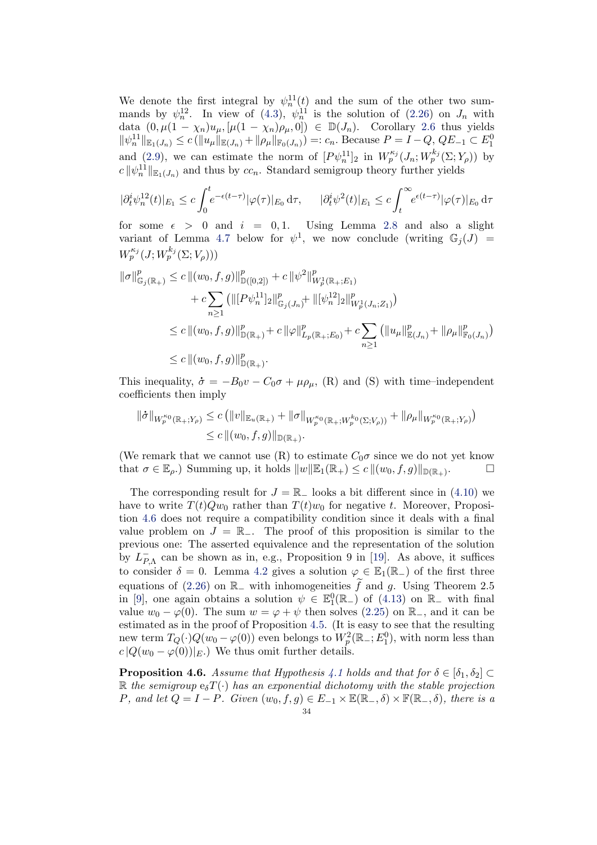We denote the first integral by  $\psi_n^{11}(t)$  and the sum of the other two summands by  $\psi_n^{\{1\}}$ . In view of [\(4.3\)](#page-29-1),  $\psi_n^{\{1\}}$  is the solution of [\(2.26\)](#page-15-2) on  $J_n$  with data  $(0, \mu(1 - \chi_n)u_\mu, [\mu(1 - \chi_n)\rho_\mu, 0]) \in \mathbb{D}(J_n)$ . Corollary [2.6](#page-15-0) thus yields  $\|\psi_n^{11}\|_{\mathbb{E}_1(J_n)} \le c \left( \|u_\mu\|_{\mathbb{E}(J_n)} + \|\rho_\mu\|_{\mathbb{F}_0(J_n)} \right) =: c_n$ . Because  $P = I - Q$ ,  $QE_{-1} \subset E_1^0$ and [\(2.9\)](#page-6-3), we can estimate the norm of  $[P\psi_n^{11}]_2$  in  $W_p^{\kappa_j}(J_n; W_p^{k_j}(\Sigma; Y_\rho))$  by  $c \|\psi_n^{11}\|_{\mathbb{E}_1(J_n)}$  and thus by  $cc_n$ . Standard semigroup theory further yields

$$
|\partial_t^i \psi_n^{12}(t)|_{E_1} \le c \int_0^t e^{-\epsilon(t-\tau)} |\varphi(\tau)|_{E_0} d\tau, \qquad |\partial_t^i \psi^2(t)|_{E_1} \le c \int_t^\infty e^{\epsilon(t-\tau)} |\varphi(\tau)|_{E_0} d\tau
$$

for some  $\epsilon > 0$  and  $i = 0, 1$ . Using Lemma [2.8](#page-16-1) and also a slight variant of Lemma [4.7](#page-34-0) below for  $\psi^1$ , we now conclude (writing  $\mathbb{G}_j(J)$  =  $W_p^{\kappa_j}(J; W_p^{k_j}(\Sigma; V_\rho)))$ 

$$
\begin{aligned} \|\sigma\|_{\mathbb{G}_{j}(\mathbb{R}_{+})}^{p} &\leq c \|(w_{0},f,g)\|_{\mathbb{D}([0,2])}^{p} + c \|\psi^{2}\|_{W_{p}^{1}(\mathbb{R}_{+};E_{1})}^{p} \\ &+ c \sum_{n\geq 1} \left(\|[P\psi_{n}^{11}]_{2}\|_{\mathbb{G}_{j}(J_{n})}^{p} + \|[\psi_{n}^{12}]_{2}\|_{W_{p}^{1}(J_{n};Z_{1})}^{p}\right) \\ &\leq c \|(w_{0},f,g)\|_{\mathbb{D}(\mathbb{R}_{+})}^{p} + c \|\varphi\|_{L_{p}(\mathbb{R}_{+};E_{0})}^{p} + c \sum_{n\geq 1} \left(\|u_{\mu}\|_{\mathbb{E}(J_{n})}^{p} + \|\rho_{\mu}\|_{\mathbb{F}_{0}(J_{n})}^{p}\right) \\ &\leq c \|(w_{0},f,g)\|_{\mathbb{D}(\mathbb{R}_{+})}^{p} .\end{aligned}
$$

This inequality,  $\dot{\sigma} = -B_0v - C_0\sigma + \mu \rho_\mu$ , (R) and (S) with time–independent coefficients then imply

$$
\begin{aligned} \|\dot{\sigma}\|_{W_p^{\kappa_0}(\mathbb{R}_+;Y_\rho)} &\leq c \left( \|v\|_{\mathbb{E}_u(\mathbb{R}_+)} + \|\sigma\|_{W_p^{\kappa_0}(\mathbb{R}_+;W_p^{k_0}(\Sigma;V_\rho))} + \|\rho_\mu\|_{W_p^{\kappa_0}(\mathbb{R}_+;Y_\rho)} \right) \\ &\leq c \left( \|(w_0,f,g)\|_{\mathbb{D}(\mathbb{R}_+)} .\right) \end{aligned}
$$

(We remark that we cannot use  $(R)$  to estimate  $C_0\sigma$  since we do not yet know that  $\sigma \in \mathbb{E}_{\rho}$ .) Summing up, it holds  $||w||\mathbb{E}_{1}(\mathbb{R}_{+}) \leq c ||(w_{0}, f, g)||_{\mathbb{D}(\mathbb{R}_{+})}$ .  $\Box$ 

The corresponding result for  $J = \mathbb{R}_-$  looks a bit different since in [\(4.10\)](#page-30-3) we have to write  $T(t)Qw_0$  rather than  $T(t)w_0$  for negative t. Moreover, Proposition [4.6](#page-33-0) does not require a compatibility condition since it deals with a final value problem on  $J = \mathbb{R}_-$ . The proof of this proposition is similar to the previous one: The asserted equivalence and the representation of the solution by  $L_P^ P_{P,\Lambda}$  can be shown as in, e.g., Proposition 9 in [\[19\]](#page-41-4). As above, it suffices to consider  $\delta = 0$ . Lemma [4.2](#page-27-2) gives a solution  $\varphi \in \mathbb{E}_1(\mathbb{R}_-)$  of the first three equations of [\(2.26\)](#page-15-2) on  $\mathbb{R}_-$  with inhomogeneities  $\widetilde{f}$  and g. Using Theorem 2.5 in [\[9\]](#page-41-20), one again obtains a solution  $\psi \in \mathbb{E}^0_1(\mathbb{R}_-)$  of [\(4.13\)](#page-32-0) on  $\mathbb{R}_-$  with final value  $w_0 - \varphi(0)$ . The sum  $w = \varphi + \psi$  then solves [\(2.25\)](#page-15-1) on  $\mathbb{R}_-$ , and it can be estimated as in the proof of Proposition [4.5.](#page-31-0) (It is easy to see that the resulting new term  $T_Q(\cdot)Q(w_0-\varphi(0))$  even belongs to  $W_p^2(\mathbb{R}_-; E_1^0)$ , with norm less than  $c |Q(w_0 - \varphi(0))|_E$ . We thus omit further details.

<span id="page-33-0"></span>**Proposition 4.6.** Assume that Hypothesis [4.1](#page-27-1) holds and that for  $\delta \in [\delta_1, \delta_2]$  $\mathbb R$  the semigroup  $e_{\delta}T(\cdot)$  has an exponential dichotomy with the stable projection P, and let  $Q = I - P$ . Given  $(w_0, f, g) \in E_{-1} \times \mathbb{E}(\mathbb{R}_-, \delta) \times \mathbb{F}(\mathbb{R}_-, \delta)$ , there is a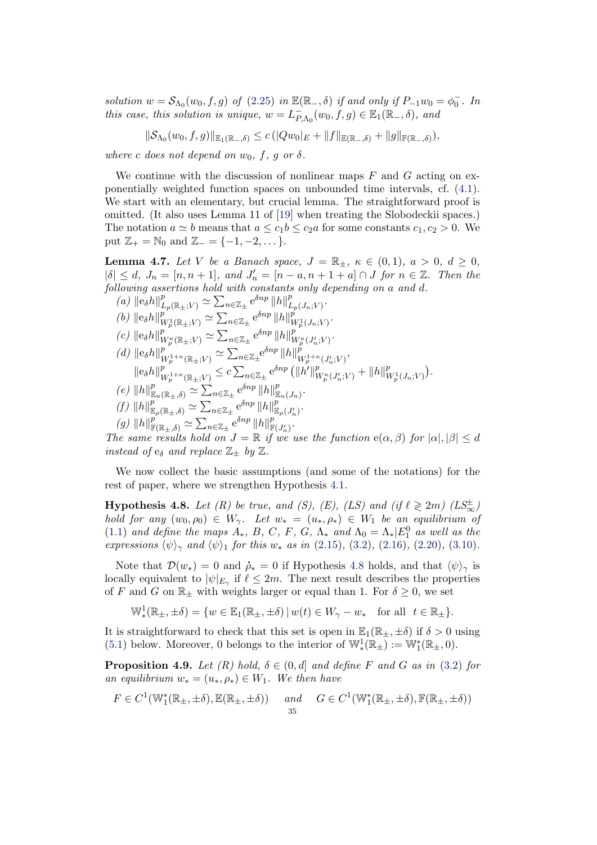solution  $w = S_{\Lambda_0}(w_0, f, g)$  of [\(2.25\)](#page-15-1) in  $\mathbb{E}(\mathbb{R}_-, \delta)$  if and only if  $P_{-1}w_0 = \phi_0^-$ . In this case, this solution is unique,  $w = L_P^ P_{, \Lambda_0}(w_0, f, g) \in \mathbb{E}_1(\mathbb{R}_-, \delta)$ , and

$$
\|\mathcal{S}_{\Lambda_0}(w_0,f,g)\|_{\mathbb{E}_1(\mathbb{R}_-,\delta)} \leq c \left( |Qw_0|_E + \|f\|_{\mathbb{E}(\mathbb{R}_-,\delta)} + \|g\|_{\mathbb{F}(\mathbb{R}_-,\delta)} \right),
$$

where c does not depend on  $w_0$ , f, g or  $\delta$ .

We continue with the discussion of nonlinear maps  $F$  and  $G$  acting on exponentially weighted function spaces on unbounded time intervals, cf. [\(4.1\)](#page-27-3). We start with an elementary, but crucial lemma. The straightforward proof is omitted. (It also uses Lemma 11 of [\[19\]](#page-41-4) when treating the Slobodeckii spaces.) The notation  $a \simeq b$  means that  $a \leq c_1 b \leq c_2 a$  for some constants  $c_1, c_2 > 0$ . We put  $\mathbb{Z}_+ = \mathbb{N}_0$  and  $\mathbb{Z}_- = \{-1, -2, \dots\}.$ 

<span id="page-34-0"></span>**Lemma 4.7.** Let V be a Banach space,  $J = \mathbb{R}_+$ ,  $\kappa \in (0,1)$ ,  $a > 0$ ,  $d \ge 0$ ,  $|\delta| \leq d$ ,  $J_n = [n, n + 1]$ , and  $J'_n = [n - a, n + 1 + a] \cap J$  for  $n \in \mathbb{Z}$ . Then the following assertions hold with constants only depending on a and d.

- (a)  $\|\mathbf{e}_{\delta}h\|_{L_p(\mathbb{R}_{\pm};V)}^p \simeq \sum_{n\in\mathbb{Z}_{\pm}} \mathbf{e}^{\delta np} \|h\|_{L_p}^p$  $_{L_{p}(J_{n};V)}^{p}.$ (*b*)  $\|\mathbf{e}_{\delta}h\|_{V}^{p}$  $\frac{p}{W_p^1(\mathbb{R}_\pm;V)} \simeq \sum_{n\in\mathbb{Z}_\pm} \mathrm{e}^{\delta np}\, \|h\|_V^p$  $_{W_p^1(J_n;V)}^{p}$ . (c)  $\|\mathbf{e}_{\delta}h\|_{V}^{p}$  $w_p^p({\mathbb{R}}_{\pm};V) \simeq \sum_{n\in \mathbb{Z}_{\pm}} e^{\delta np} ||h||_V^p$  $\frac{p}{W^\kappa_p(J'_n;V)}$  .
- (d)  $\|\mathbf{e}_{\delta}h\|_{W^{1+\kappa}(\mathbb{R}_+,V)}^p \simeq \sum_{n\in\mathbb{Z}_+}^{n\in\mathbb{Z}_+} \mathbf{e}^{\delta np} \|h\|_W^p$  $\frac{p}{W^{1+\kappa}_p(\mathbb{R}_\pm;V)} \simeq \sum_{n\in\mathbb{Z}_\pm}\!\mathrm{e}^{\delta np}\left\|h\right\|_V^{\hat{p}}$  $W_p^{1+\kappa}(J'_n;V)$ '  $\left\Vert \mathbf{e}_{\delta}h\right\Vert _{\mathbf{L}}^{p}$  $\frac{p}{W^{1+\kappa}_p(\mathbb{R}_\pm;V)} \leq c \sum_{n \in \mathbb{Z}_\pm} \mathrm{e}^{\delta n p} \left( \|\dot{h'} \|_V^p \right)$  $\frac{p}{W^\kappa_p(J'_n;V)} + \|h\|^p_V$  $_{W_p^1(J_n;V)}^p$ . (e)  $||h||_{\mathbb{E}_u(\mathbb{R}_+,\delta)}^p \simeq \sum_{n\in\mathbb{Z}_+} e^{\delta np} ||h||_{\mathbb{E}_u(J_n)}^p.$
- $(f) \|h\|_{\mathbb{E}_{\rho}(\mathbb{R}_+,\delta)}^p \simeq \sum_{n\in\mathbb{Z}_+} e^{\delta np} \|h\|_{\mathbb{E}_{\rho}(J'_n)}^p.$
- 

 $(g) \|h\|_{\mathbb{F}(\mathbb{R}_{\pm},\delta)}^p \simeq \sum_{n\in\mathbb{Z}_{\pm}} e^{\delta np} \|h\|_{\mathbb{F}(J'_n)}^p.$ 

The same results hold on  $J = \mathbb{R}$  if we use the function  $e(\alpha, \beta)$  for  $|\alpha|, |\beta| \leq d$ instead of  $e_{\delta}$  and replace  $\mathbb{Z}_{\pm}$  by  $\mathbb{Z}$ .

We now collect the basic assumptions (and some of the notations) for the rest of paper, where we strengthen Hypothesis [4.1.](#page-27-1)

<span id="page-34-1"></span>**Hypothesis 4.8.** Let (R) be true, and (S), (E), (LS) and (if  $\ell \geq 2m$ ) (LS $_{\infty}^{\pm}$ ) hold for any  $(w_0, \rho_0) \in W_\gamma$ . Let  $w_* = (u_*, \rho_*) \in W_1$  be an equilibrium of [\(1.1\)](#page-1-0) and define the maps  $A_*$ , B, C, F, G,  $\Lambda_*$  and  $\Lambda_0 = \Lambda_* |E_1^0$  as well as the expressions  $\langle \psi \rangle_{\gamma}$  and  $\langle \psi \rangle_{1}$  for this  $w_{*}$  as in [\(2.15\)](#page-10-0), [\(3.2\)](#page-17-1), [\(2.16\)](#page-10-1), [\(2.20\)](#page-11-3), [\(3.10\)](#page-20-2).

Note that  $\mathcal{D}(w_*) = 0$  and  $\dot{\rho}_* = 0$  if Hypothesis [4.8](#page-34-1) holds, and that  $\langle \psi \rangle_{\gamma}$  is locally equivalent to  $|\psi|_{E_\gamma}$  if  $\ell \leq 2m$ . The next result describes the properties of F and G on  $\mathbb{R}_\pm$  with weights larger or equal than 1. For  $\delta \geq 0$ , we set

 $\mathbb{W}_*^1(\mathbb{R}_{\pm}, \pm \delta) = \{w \in \mathbb{E}_1(\mathbb{R}_{\pm}, \pm \delta) \, | \, w(t) \in W_\gamma - w_* \text{ for all } t \in \mathbb{R}_{\pm} \}.$ 

It is straightforward to check that this set is open in  $\mathbb{E}_1(\mathbb{R}_+, \pm \delta)$  if  $\delta > 0$  using [\(5.1\)](#page-35-0) below. Moreover, 0 belongs to the interior of  $\mathbb{W}^1_*(\mathbb{R}_\pm) := \mathbb{W}^*_1(\mathbb{R}_\pm, 0)$ .

<span id="page-34-2"></span>**Proposition 4.9.** Let  $(R)$  hold,  $\delta \in (0, d]$  and define F and G as in [\(3.2\)](#page-17-1) for an equilibrium  $w_* = (u_*, \rho_*) \in W_1$ . We then have

$$
F \in C^1(\mathbb{W}_1^*(\mathbb{R}_\pm, \pm \delta), \mathbb{E}(\mathbb{R}_\pm, \pm \delta)) \quad \text{and} \quad G \in C^1(\mathbb{W}_1^*(\mathbb{R}_\pm, \pm \delta), \mathbb{F}(\mathbb{R}_\pm, \pm \delta))
$$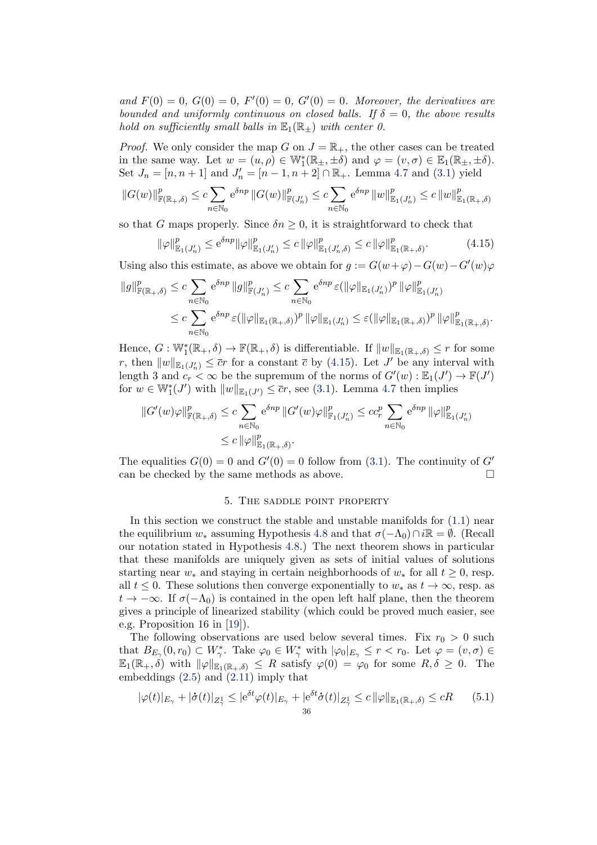and  $F(0) = 0$ ,  $G(0) = 0$ ,  $F'(0) = 0$ ,  $G'(0) = 0$ . Moreover, the derivatives are bounded and uniformly continuous on closed balls. If  $\delta = 0$ , the above results hold on sufficiently small balls in  $\mathbb{E}_1(\mathbb{R}_+)$  with center 0.

*Proof.* We only consider the map G on  $J = \mathbb{R}_+$ , the other cases can be treated in the same way. Let  $w = (u, \rho) \in \mathbb{W}_1^*(\mathbb{R}_\pm, \pm \delta)$  and  $\varphi = (v, \sigma) \in \mathbb{E}_1(\mathbb{R}_\pm, \pm \delta)$ . Set  $J_n = [n, n+1]$  and  $J'_n = [n-1, n+2] \cap \mathbb{R}_+$ . Lemma [4.7](#page-34-0) and [\(3.1\)](#page-17-0) yield

$$
||G(w)||_{\mathbb{F}(\mathbb{R}_{+},\delta)}^{p} \leq c \sum_{n \in \mathbb{N}_{0}} e^{\delta n p} ||G(w)||_{\mathbb{F}(J'_{n})}^{p} \leq c \sum_{n \in \mathbb{N}_{0}} e^{\delta n p} ||w||_{\mathbb{E}_{1}(J'_{n})}^{p} \leq c ||w||_{\mathbb{E}_{1}(\mathbb{R}_{+},\delta)}^{p}
$$

so that G maps properly. Since  $\delta n \geq 0$ , it is straightforward to check that

<span id="page-35-1"></span>
$$
\|\varphi\|_{\mathbb{E}_1(J'_n)}^p \le e^{\delta np} \|\varphi\|_{\mathbb{E}_1(J'_n)}^p \le c \|\varphi\|_{\mathbb{E}_1(J'_n,\delta)}^p \le c \|\varphi\|_{\mathbb{E}_1(\mathbb{R}_+,\delta)}^p. \tag{4.15}
$$

Using also this estimate, as above we obtain for  $g := G(w + \varphi) - G(w) - G'(w)\varphi$ 

$$
\begin{split} \|g\|_{\mathbb{F}(\mathbb{R}_+,\delta)}^p &\leq c \sum_{n\in\mathbb{N}_0} \mathrm{e}^{\delta np} \, \|g\|_{\mathbb{F}(J_n')}^p \leq c \sum_{n\in\mathbb{N}_0} \mathrm{e}^{\delta np} \, \varepsilon (\|\varphi\|_{\mathbb{E}_1(J_n')})^p \, \|\varphi\|_{\mathbb{E}_1(J_n')}^p \\ &\leq c \sum_{n\in\mathbb{N}_0} \mathrm{e}^{\delta np} \, \varepsilon (\|\varphi\|_{\mathbb{E}_1(\mathbb{R}_+,\delta)})^p \, \|\varphi\|_{\mathbb{E}_1(J_n')} \leq \varepsilon (\|\varphi\|_{\mathbb{E}_1(\mathbb{R}_+,\delta)})^p \, \|\varphi\|_{\mathbb{E}_1(\mathbb{R}_+,\delta)}^p. \end{split}
$$

Hence,  $G: \mathbb{W}_1^*(\mathbb{R}_+, \delta) \to \mathbb{F}(\mathbb{R}_+, \delta)$  is differentiable. If  $||w||_{\mathbb{E}_1(\mathbb{R}_+, \delta)} \leq r$  for some r, then  $||w||_{\mathbb{E}_1(J'_n)} \leq \overline{c}r$  for a constant  $\overline{c}$  by [\(4.15\)](#page-35-1). Let J' be any interval with length 3 and  $c_r < \infty$  be the supremum of the norms of  $G'(w) : \mathbb{E}_1(J') \to \mathbb{F}(J')$ for  $w \in \mathbb{W}_1^*(J')$  with  $||w||_{\mathbb{E}_1(J')} \leq \overline{c}r$ , see [\(3.1\)](#page-17-0). Lemma [4.7](#page-34-0) then implies

$$
||G'(w)\varphi||_{\mathbb{F}(\mathbb{R}_+,\delta)}^p \leq c \sum_{n \in \mathbb{N}_0} e^{\delta np} ||G'(w)\varphi||_{\mathbb{F}_1(J'_n)}^p \leq c c_r^p \sum_{n \in \mathbb{N}_0} e^{\delta np} ||\varphi||_{\mathbb{E}_1(J'_n)}^p
$$
  

$$
\leq c ||\varphi||_{\mathbb{E}_1(\mathbb{R}_+,\delta)}^p.
$$

The equalities  $G(0) = 0$  and  $G'(0) = 0$  follow from [\(3.1\)](#page-17-0). The continuity of  $G'$ can be checked by the same methods as above.  $\Box$ 

#### 5. The saddle point property

In this section we construct the stable and unstable manifolds for [\(1.1\)](#page-1-0) near the equilibrium  $w_*$  assuming Hypothesis [4.8](#page-34-1) and that  $\sigma(-\Lambda_0) \cap i\mathbb{R} = \emptyset$ . (Recall our notation stated in Hypothesis [4.8.](#page-34-1)) The next theorem shows in particular that these manifolds are uniquely given as sets of initial values of solutions starting near  $w_*$  and staying in certain neighborhoods of  $w_*$  for all  $t \geq 0$ , resp. all  $t \leq 0$ . These solutions then converge exponentially to  $w_*$  as  $t \to \infty$ , resp. as  $t \to -\infty$ . If  $\sigma(-\Lambda_0)$  is contained in the open left half plane, then the theorem gives a principle of linearized stability (which could be proved much easier, see e.g. Proposition 16 in [\[19\]](#page-41-4)).

The following observations are used below several times. Fix  $r_0 > 0$  such that  $B_{E_\gamma}(0,r_0) \subset W_\gamma^*$ . Take  $\varphi_0 \in W_\gamma^*$  with  $|\varphi_0|_{E_\gamma} \leq r < r_0$ . Let  $\varphi = (v, \sigma) \in$  $\mathbb{E}_1(\mathbb{R}_+, \delta)$  with  $\|\varphi\|_{\mathbb{E}_1(\mathbb{R}_+, \delta)} \leq R$  satisfy  $\varphi(0) = \varphi_0$  for some  $R, \delta \geq 0$ . The embeddings  $(2.5)$  and  $(2.11)$  imply that

<span id="page-35-0"></span>
$$
|\varphi(t)|_{E_{\gamma}} + |\dot{\sigma}(t)|_{Z_{\gamma}^1} \le |e^{\delta t} \varphi(t)|_{E_{\gamma}} + |e^{\delta t} \dot{\sigma}(t)|_{Z_{\gamma}^1} \le c \|\varphi\|_{\mathbb{E}_1(\mathbb{R}_+,\delta)} \le cR \qquad (5.1)
$$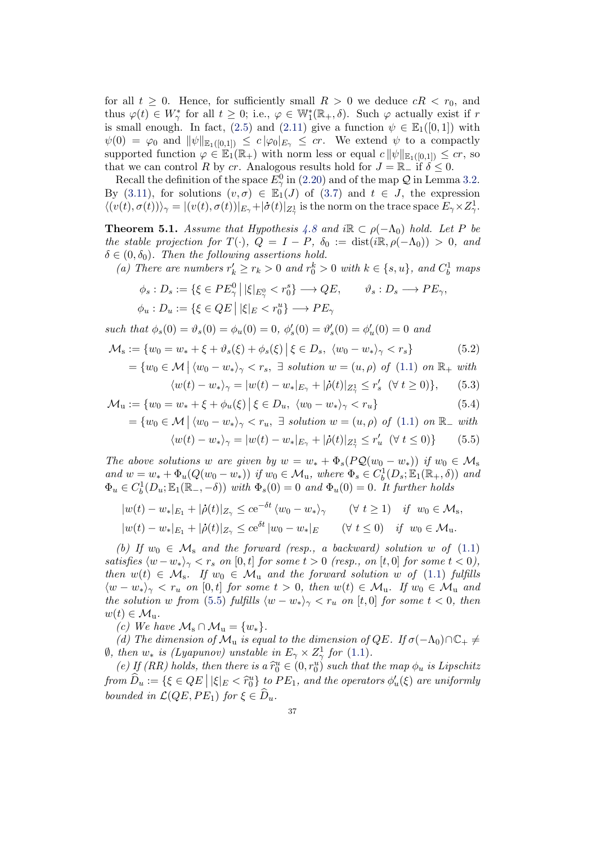for all  $t \geq 0$ . Hence, for sufficiently small  $R > 0$  we deduce  $cR < r_0$ , and thus  $\varphi(t) \in W^*_{\gamma}$  for all  $t \geq 0$ ; i.e.,  $\varphi \in \mathbb{W}^*_{1}(\mathbb{R}_{+}, \delta)$ . Such  $\varphi$  actually exist if r is small enough. In fact, [\(2.5\)](#page-5-0) and [\(2.11\)](#page-6-2) give a function  $\psi \in \mathbb{E}_1([0,1])$  with  $\psi(0) = \varphi_0$  and  $\|\psi\|_{\mathbb{E}_1([0,1])} \leq c \|\varphi_0\|_{E_\gamma} \leq cr$ . We extend  $\psi$  to a compactly supported function  $\varphi \in \mathbb{E}_1(\mathbb{R}_+)$  with norm less or equal  $c \|\psi\|_{\mathbb{E}_1([0,1])} \leq c_r$ , so that we can control R by cr. Analogous results hold for  $J = \mathbb{R}_-$  if  $\delta \leq 0$ .

Recall the definition of the space  $E_{\gamma}^{0}$  in [\(2.20\)](#page-11-3) and of the map  $\mathcal Q$  in Lemma [3.2.](#page-20-0) By [\(3.11\)](#page-20-3), for solutions  $(v, \sigma) \in \mathbb{E}_1'(J)$  of [\(3.7\)](#page-18-2) and  $t \in J$ , the expression  $\langle (v(t), \sigma(t)) \rangle_{\gamma} = |(v(t), \sigma(t))|_{E_{\gamma}} + |\dot{\sigma}(t)|_{Z_{\gamma}^1}$  is the norm on the trace space  $E_{\gamma} \times Z_{\gamma}^1$ .

<span id="page-36-0"></span>**Theorem 5.1.** Assume that Hypothesis [4.8](#page-34-1) and i $\mathbb{R} \subset \rho(-\Lambda_0)$  hold. Let P be the stable projection for  $T(\cdot)$ ,  $Q = I - P$ ,  $\delta_0 := \text{dist}(i\mathbb{R}, \rho(-\Lambda_0)) > 0$ , and  $\delta \in (0, \delta_0)$ . Then the following assertions hold.

(a) There are numbers  $r'_k \ge r_k > 0$  and  $r_0^k > 0$  with  $k \in \{s, u\}$ , and  $C_b^1$  maps

$$
\phi_s : D_s := \{ \xi \in PE_\gamma^0 \mid |\xi|_{E_\gamma^0} < r_0^s \} \longrightarrow QE, \qquad \vartheta_s : D_s \longrightarrow PE_\gamma,
$$
\n
$$
\phi_u : D_u := \{ \xi \in QE \mid |\xi|_E < r_0^u \} \longrightarrow PE_\gamma
$$

such that  $\phi_s(0) = \vartheta_s(0) = \phi_u(0) = 0, \ \phi_s'(0) = \vartheta_s'(0) = \phi_u'(0) = 0$  and

$$
\mathcal{M}_s := \{ w_0 = w_* + \xi + \vartheta_s(\xi) + \phi_s(\xi) | \xi \in D_s, \ \langle w_0 - w_* \rangle_\gamma < r_s \} \tag{5.2}
$$

$$
= \{w_0 \in \mathcal{M} \mid \langle w_0 - w_* \rangle_{\gamma} < r_s, \exists \ solution \ w = (u, \rho) \ of \ (1.1) \ on \ \mathbb{R}_+ \ with
$$

<span id="page-36-2"></span>
$$
\langle w(t) - w_* \rangle_{\gamma} = |w(t) - w_*|_{E_{\gamma}} + |\dot{\rho}(t)|_{Z_{\gamma}} \le r'_s \ \ (\forall \ t \ge 0) \}, \qquad (5.3)
$$

$$
\mathcal{M}_u := \{ w_0 = w_* + \xi + \phi_u(\xi) \, \middle| \, \xi \in D_u, \, \langle w_0 - w_* \rangle_\gamma < r_u \} \tag{5.4}
$$

 $=\{w_0 \in \mathcal{M} \mid \langle w_0 - w_* \rangle_{\gamma} < r_u, \exists \ solution \ w = (u, \rho) \ of \ (1.1) \ on \ \mathbb{R}_{-} \ with$  $=\{w_0 \in \mathcal{M} \mid \langle w_0 - w_* \rangle_{\gamma} < r_u, \exists \ solution \ w = (u, \rho) \ of \ (1.1) \ on \ \mathbb{R}_{-} \ with$  $=\{w_0 \in \mathcal{M} \mid \langle w_0 - w_* \rangle_{\gamma} < r_u, \exists \ solution \ w = (u, \rho) \ of \ (1.1) \ on \ \mathbb{R}_{-} \ with$ 

<span id="page-36-4"></span><span id="page-36-3"></span><span id="page-36-1"></span>
$$
\langle w(t) - w_* \rangle_{\gamma} = |w(t) - w_*|_{E_{\gamma}} + |\dot{\rho}(t)|_{Z_{\gamma}} \le r_u' \ (\forall \ t \le 0) \}
$$
 (5.5)

The above solutions w are given by  $w = w_* + \Phi_s(PQ(w_0 - w_*))$  if  $w_0 \in M_s$ and  $w = w_* + \Phi_u(Q(w_0 - w_*))$  if  $w_0 \in M_u$ , where  $\Phi_s \in C_b^1(D_s; \mathbb{E}_1(\mathbb{R}_+, \delta))$  and  $\Phi_u \in C_b^1(D_u; \mathbb{E}_1(\mathbb{R}_-, -\delta))$  with  $\Phi_s(0) = 0$  and  $\Phi_u(0) = 0$ . It further holds

$$
|w(t) - w_*|_{E_1} + |\dot{\rho}(t)|_{Z_\gamma} \le c e^{-\delta t} \langle w_0 - w_* \rangle_\gamma \qquad (\forall t \ge 1) \quad \text{if} \quad w_0 \in \mathcal{M}_s,
$$
  

$$
|w(t) - w_*|_{E_1} + |\dot{\rho}(t)|_{Z_\gamma} \le c e^{\delta t} |w_0 - w_*|_E \qquad (\forall t \le 0) \quad \text{if} \quad w_0 \in \mathcal{M}_u.
$$

(b) If  $w_0 \in \mathcal{M}_s$  and the forward (resp., a backward) solution w of [\(1.1\)](#page-1-0) satisfies  $\langle w-w_*\rangle_{\gamma} < r_s$  on [0, t] for some  $t > 0$  (resp., on [t, 0] for some  $t < 0$ ), then  $w(t) \in \mathcal{M}_s$ . If  $w_0 \in \mathcal{M}_u$  and the forward solution w of [\(1.1\)](#page-1-0) fulfills  $\langle w - w_* \rangle_{\gamma} < r_u$  on [0, t] for some  $t > 0$ , then  $w(t) \in M_u$ . If  $w_0 \in M_u$  and the solution w from [\(5.5\)](#page-36-1) fulfills  $\langle w - w_* \rangle_{\gamma} < r_u$  on [t, 0] for some  $t < 0$ , then  $w(t) \in \mathcal{M}_{\mathrm{u}}$ .

(c) We have  $\mathcal{M}_s \cap \mathcal{M}_u = \{w_*\}.$ 

(d) The dimension of  $\mathcal{M}_u$  is equal to the dimension of  $QE$ . If  $\sigma(-\Lambda_0)\cap\mathbb{C}_+\neq\mathbb{C}$  $\emptyset$ , then  $w_*$  is (Lyapunov) unstable in  $E_\gamma \times Z_\gamma^1$  for [\(1.1\)](#page-1-0).

(e) If (RR) holds, then there is a  $\tilde{r}_0^u \in (0, r_0^u)$  such that the map  $\phi_u$  is Lipschitz<br>up  $\hat{D}$  =  $(0, \hat{C} \cap E | \hat{L}|) \leq \hat{c}_u^u$  to  $DF$  and the mapping of (c) are writing by from  $\widehat{D}_u := \{ \xi \in QE \mid |\xi|_E < \widehat{r}_0^u \}$  to  $PE_1$ , and the operators  $\phi'_u(\xi)$  are uniformly bounded in  $\mathcal{L}(QE, PE_1)$  for  $\xi \in \widehat{D}_u$ .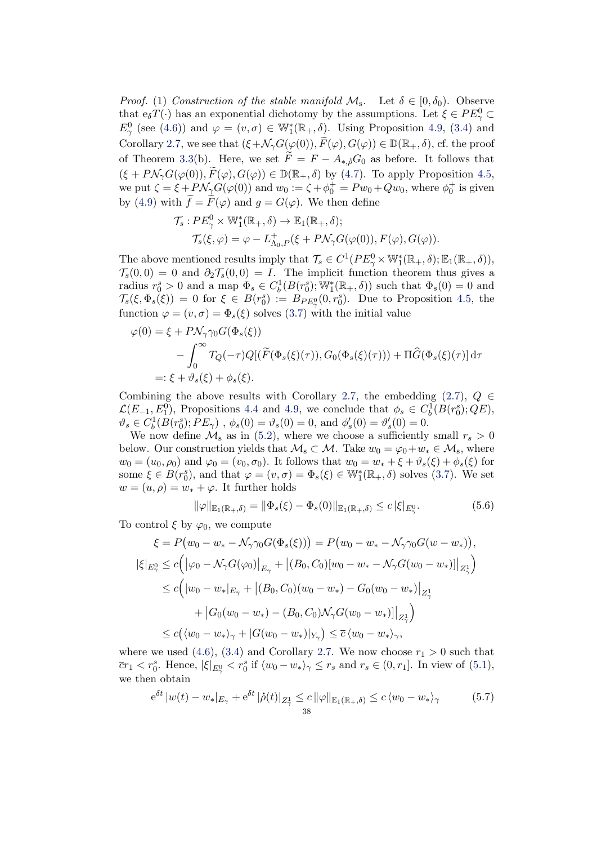*Proof.* (1) Construction of the stable manifold  $\mathcal{M}_s$ . Let  $\delta \in [0, \delta_0)$ . Observe that  $e_{\delta}T(\cdot)$  has an exponential dichotomy by the assumptions. Let  $\xi \in PE_{\gamma}^0 \subset$  $E^0_\gamma$  (see [\(4.6\)](#page-30-4)) and  $\varphi = (v, \sigma) \in \mathbb{W}_1^*(\mathbb{R}_+, \delta)$ . Using Proposition [4.9,](#page-34-2) [\(3.4\)](#page-17-2) and Corollary [2.7,](#page-16-0) we see that  $(\xi+\mathcal{N}_{\gamma}G(\varphi(0)), \widetilde{F}(\varphi), G(\varphi)) \in \mathbb{D}(\mathbb{R}_+, \delta)$ , cf. the proof of Theorem [3.3\(](#page-21-0)b). Here, we set  $\tilde{F} = F - A_{*,0} G_0$  as before. It follows that  $(\xi + P \mathcal{N}_{\gamma} G(\varphi(0)), \widetilde{F}(\varphi), G(\varphi)) \in \mathbb{D}(\mathbb{R}_+, \delta)$  by [\(4.7\)](#page-30-2). To apply Proposition [4.5,](#page-31-0) we put  $\zeta = \xi + P \mathcal{N}_{\gamma} G(\varphi(0))$  and  $w_0 := \zeta + \phi_0^+ = P w_0 + Q w_0$ , where  $\phi_0^+$  is given by [\(4.9\)](#page-30-1) with  $\hat{f} = \hat{F}(\varphi)$  and  $g = G(\varphi)$ . We then define

$$
\mathcal{T}_s: PE^0_\gamma \times \mathbb{W}_1^*(\mathbb{R}_+, \delta) \to \mathbb{E}_1(\mathbb{R}_+, \delta);
$$
  

$$
\mathcal{T}_s(\xi, \varphi) = \varphi - L^+_{\Lambda_0, P}(\xi + P\mathcal{N}_\gamma G(\varphi(0)), F(\varphi), G(\varphi)).
$$

The above mentioned results imply that  $\mathcal{T}_s \in C^1(PE^0_\gamma \times \mathbb{W}_1^*(\mathbb{R}_+,\delta); \mathbb{E}_1(\mathbb{R}_+,\delta)),$  $\mathcal{T}_s(0,0) = 0$  and  $\partial_2 \mathcal{T}_s(0,0) = I$ . The implicit function theorem thus gives a radius  $r_0^s > 0$  and a map  $\Phi_s \in C_b^1(B(r_0^s); \mathbb{W}_1^*(\mathbb{R}_+,\delta))$  such that  $\Phi_s(0) = 0$  and  $\mathcal{T}_s(\xi, \Phi_s(\xi)) = 0$  for  $\xi \in B(r_0^s) := B_{PE_{\gamma}}(0, r_0^s)$ . Due to Proposition [4.5,](#page-31-0) the function  $\varphi = (v, \sigma) = \Phi_s(\xi)$  solves [\(3.7\)](#page-18-2) with the initial value

$$
\varphi(0) = \xi + P\mathcal{N}_{\gamma}\gamma_0 G(\Phi_s(\xi))
$$
  
 
$$
- \int_0^{\infty} T_Q(-\tau) Q[(\widetilde{F}(\Phi_s(\xi)(\tau)), G_0(\Phi_s(\xi)(\tau))) + \Pi \widehat{G}(\Phi_s(\xi)(\tau))] d\tau
$$
  
 
$$
=:\xi + \vartheta_s(\xi) + \phi_s(\xi).
$$

Combining the above results with Corollary [2.7,](#page-16-0) the embedding [\(2.7\)](#page-5-1),  $Q \in$  $\mathcal{L}(E_{-1}, E_1^0)$ , Propositions [4.4](#page-29-2) and [4.9,](#page-34-2) we conclude that  $\phi_s \in C_b^1(B(r_0^s); QE)$ ,  $\vartheta_s \in C_b^1(B(r_0^s); PE_\gamma)$ ,  $\phi_s(0) = \vartheta_s(0) = 0$ , and  $\phi_s'(0) = \vartheta_s'(0) = 0$ .

We now define  $\mathcal{M}_s$  as in [\(5.2\)](#page-36-2), where we choose a sufficiently small  $r_s > 0$ below. Our construction yields that  $\mathcal{M}_s \subset \mathcal{M}$ . Take  $w_0 = \varphi_0 + w_* \in \mathcal{M}_s$ , where  $w_0 = (u_0, \rho_0)$  and  $\varphi_0 = (v_0, \sigma_0)$ . It follows that  $w_0 = w_* + \xi + \vartheta_s(\xi) + \varphi_s(\xi)$  for some  $\xi \in B(r_0^s)$ , and that  $\varphi = (v, \sigma) = \Phi_s(\xi) \in \mathbb{W}_1^*(\mathbb{R}_+, \delta)$  solves [\(3.7\)](#page-18-2). We set  $w = (u, \rho) = w_* + \varphi$ . It further holds

<span id="page-37-0"></span>
$$
\|\varphi\|_{\mathbb{E}_1(\mathbb{R}_+,\delta)} = \|\Phi_s(\xi) - \Phi_s(0)\|_{\mathbb{E}_1(\mathbb{R}_+,\delta)} \le c\,|\xi|_{E^0_\gamma}.\tag{5.6}
$$

To control  $\xi$  by  $\varphi_0$ , we compute

$$
\xi = P(w_0 - w_* - \mathcal{N}_{\gamma} \gamma_0 G(\Phi_s(\xi))) = P(w_0 - w_* - \mathcal{N}_{\gamma} \gamma_0 G(w - w_*)),
$$
  

$$
|\xi|_{E_{\gamma}^0} \le c \Big( |\varphi_0 - \mathcal{N}_{\gamma} G(\varphi_0)|_{E_{\gamma}} + |(B_0, C_0)[w_0 - w_* - \mathcal{N}_{\gamma} G(w_0 - w_*)]|_{Z_{\gamma}^1} \Big)
$$
  

$$
\le c \Big( |w_0 - w_*|_{E_{\gamma}} + |(B_0, C_0)(w_0 - w_*) - G_0(w_0 - w_*)|_{Z_{\gamma}^1} + |G_0(w_0 - w_*) - (B_0, C_0)\mathcal{N}_{\gamma} G(w_0 - w_*)]|_{Z_{\gamma}^1} \Big)
$$
  

$$
\le c \Big( \langle w_0 - w_* \rangle_{\gamma} + |G(w_0 - w_*)|_{Y_{\gamma}} \Big) \le \overline{c} \, \langle w_0 - w_* \rangle_{\gamma},
$$

where we used [\(4.6\)](#page-30-4), [\(3.4\)](#page-17-2) and Corollary [2.7.](#page-16-0) We now choose  $r_1 > 0$  such that  $\overline{c}r_1 < r_0^s$ . Hence,  $|\xi|_{E^0_\gamma} < r_0^s$  if  $\langle w_0 - w_* \rangle_\gamma \leq r_s$  and  $r_s \in (0, r_1]$ . In view of  $(5.1)$ , we then obtain

<span id="page-37-1"></span>
$$
e^{\delta t} |w(t) - w_*|_{E_\gamma} + e^{\delta t} |\dot{\rho}(t)|_{Z^1_\gamma} \leq c ||\varphi||_{\mathbb{E}_1(\mathbb{R}_+, \delta)} \leq c \langle w_0 - w_* \rangle_\gamma
$$
 (5.7)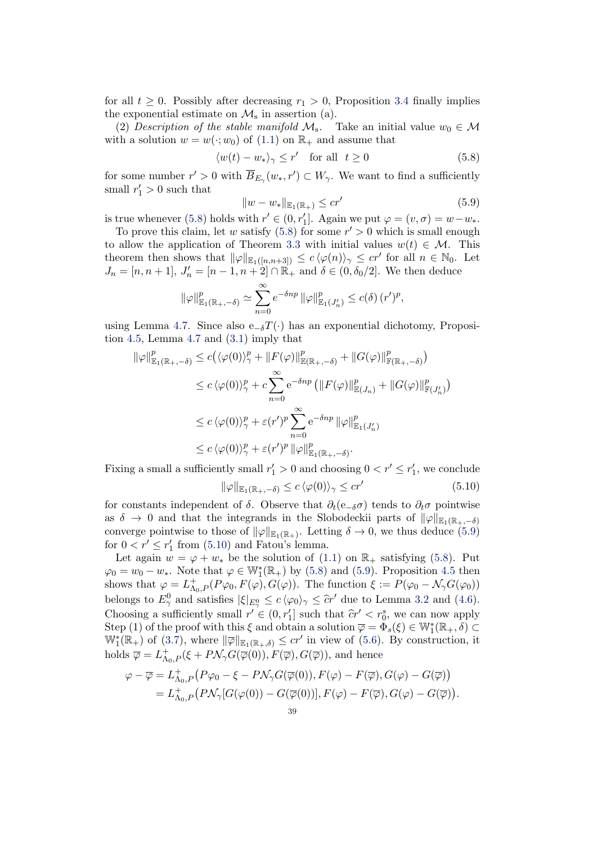for all  $t \geq 0$ . Possibly after decreasing  $r_1 > 0$ , Proposition [3.4](#page-23-0) finally implies the exponential estimate on  $\mathcal{M}_s$  in assertion (a).

(2) Description of the stable manifold  $\mathcal{M}_s$ . Take an initial value  $w_0 \in \mathcal{M}$ with a solution  $w = w(:, w_0)$  of [\(1.1\)](#page-1-0) on  $\mathbb{R}_+$  and assume that

<span id="page-38-0"></span>
$$
\langle w(t) - w_* \rangle_{\gamma} \le r' \quad \text{for all} \ \ t \ge 0 \tag{5.8}
$$

for some number  $r' > 0$  with  $\overline{B}_{E_{\gamma}}(w_*, r') \subset W_{\gamma}$ . We want to find a sufficiently small  $r'_1 > 0$  such that

<span id="page-38-1"></span>
$$
||w - w_*||_{\mathbb{E}_1(\mathbb{R}_+)} \leq c r'
$$
\n(5.9)

is true whenever [\(5.8\)](#page-38-0) holds with  $r' \in (0, r'_1]$ . Again we put  $\varphi = (v, \sigma) = w - w_*$ .

To prove this claim, let w satisfy [\(5.8\)](#page-38-0) for some  $r' > 0$  which is small enough to allow the application of Theorem [3.3](#page-21-0) with initial values  $w(t) \in \mathcal{M}$ . This theorem then shows that  $\|\varphi\|_{\mathbb{E}_1([n,n+3])} \leq c \langle \varphi(n) \rangle_{\gamma} \leq c r'$  for all  $n \in \mathbb{N}_0$ . Let  $J_n = [n, n+1], J'_n = [n-1, n+2] \cap \mathbb{R}_+$  and  $\delta \in (0, \delta_0/2]$ . We then deduce

$$
\|\varphi\|_{\mathbb{E}_1(\mathbb{R}_+,-\delta)}^p \simeq \sum_{n=0}^{\infty} e^{-\delta np} \|\varphi\|_{\mathbb{E}_1(J'_n)}^p \leq c(\delta) \, (r')^p,
$$

using Lemma [4.7.](#page-34-0) Since also e<sub>−δ</sub> $T(\cdot)$  has an exponential dichotomy, Proposition [4.5,](#page-31-0) Lemma [4.7](#page-34-0) and [\(3.1\)](#page-17-0) imply that

$$
\|\varphi\|_{\mathbb{E}_1(\mathbb{R}_+,-\delta)}^p \le c(\langle \varphi(0)\rangle_\gamma^p + \|F(\varphi)\|_{\mathbb{E}(\mathbb{R}_+,-\delta)}^p + \|G(\varphi)\|_{\mathbb{F}(\mathbb{R}_+,-\delta)}^p)
$$
  
\n
$$
\le c \langle \varphi(0)\rangle_\gamma^p + c \sum_{n=0}^\infty e^{-\delta np} \left(\|F(\varphi)\|_{\mathbb{E}(J_n)}^p + \|G(\varphi)\|_{\mathbb{F}(J'_n)}^p\right)
$$
  
\n
$$
\le c \langle \varphi(0)\rangle_\gamma^p + \varepsilon(r')^p \sum_{n=0}^\infty e^{-\delta np} \|\varphi\|_{\mathbb{E}_1(J'_n)}^p
$$
  
\n
$$
\le c \langle \varphi(0)\rangle_\gamma^p + \varepsilon(r')^p \|\varphi\|_{\mathbb{E}_1(\mathbb{R}_+,-\delta)}^p.
$$

<span id="page-38-2"></span>Fixing a small a sufficiently small  $r'_1 > 0$  and choosing  $0 < r' \leq r'_1$ , we conclude  $\|\varphi\|_{\mathbb{E}_1(\mathbb{R}_+,-\delta)} \leq c \, \langle \varphi(0) \rangle_{\gamma} \leq c r'$ (5.10) for constants independent of  $\delta$ . Observe that  $\partial_t(e_{-\delta}\sigma)$  tends to  $\partial_t\sigma$  pointwise

as  $\delta \to 0$  and that the integrands in the Slobodeckii parts of  $\|\varphi\|_{\mathbb{E}_1(\mathbb{R}_+,-\delta)}$ converge pointwise to those of  $\|\varphi\|_{\mathbb{E}_1(\mathbb{R}_+)}$ . Letting  $\delta \to 0$ , we thus deduce [\(5.9\)](#page-38-1) for  $0 < r' \le r'_1$  from [\(5.10\)](#page-38-2) and Fatou's lemma.

Let again  $w = \varphi + w_*$  be the solution of [\(1.1\)](#page-1-0) on  $\mathbb{R}_+$  satisfying [\(5.8\)](#page-38-0). Put  $\varphi_0 = w_0 - w_*$ . Note that  $\varphi \in \mathbb{W}_1^*(\mathbb{R}_+)$  by [\(5.8\)](#page-38-0) and [\(5.9\)](#page-38-1). Proposition [4.5](#page-31-0) then shows that  $\varphi = L_{\Lambda_0,P}^+(P\varphi_0, F(\varphi), G(\varphi))$ . The function  $\xi := P(\varphi_0 - \mathcal{N}_\gamma G(\varphi_0))$ belongs to  $E_{\gamma}^0$  and satisfies  $|\xi|_{E_{\gamma}^0} \leq c \langle \varphi_0 \rangle_{\gamma} \leq \hat{c} r'$  due to Lemma [3.2](#page-20-0) and [\(4.6\)](#page-30-4). Choosing a sufficiently small  $r' \in (0, r'_1]$  such that  $\hat{c}r' < r_0^s$ , we can now apply  $\text{Sten}(1)$  of the proof with this  $\xi$  and obtain a solution  $\overline{c} = \Phi(\xi) \subset \mathbb{W}^*(\mathbb{R} \setminus \mathcal{S})$ Step (1) of the proof with this  $\xi$  and obtain a solution  $\overline{\varphi} = \Phi_s(\xi) \in \mathbb{W}_1^*(\mathbb{R}_+, \delta) \subset$  $\mathbb{W}_{1}^{*}(\mathbb{R}_{+})$  of [\(3.7\)](#page-18-2), where  $\|\overline{\varphi}\|_{\mathbb{E}_{1}(\mathbb{R}_{+},\delta)} \leq c r'$  in view of [\(5.6\)](#page-37-0). By construction, it holds  $\overline{\varphi} = L_{\Lambda_0,P}^+(\xi + P\mathcal{N}_\gamma G(\overline{\varphi}(0)), F(\overline{\varphi}), G(\overline{\varphi}))$ , and hence

$$
\varphi - \overline{\varphi} = L_{\Lambda_0, P}^+ \big( P \varphi_0 - \xi - P \mathcal{N}_\gamma G(\overline{\varphi}(0)), F(\varphi) - F(\overline{\varphi}), G(\varphi) - G(\overline{\varphi}) \big) = L_{\Lambda_0, P}^+ \big( P \mathcal{N}_\gamma [G(\varphi(0)) - G(\overline{\varphi}(0))], F(\varphi) - F(\overline{\varphi}), G(\varphi) - G(\overline{\varphi}) \big).
$$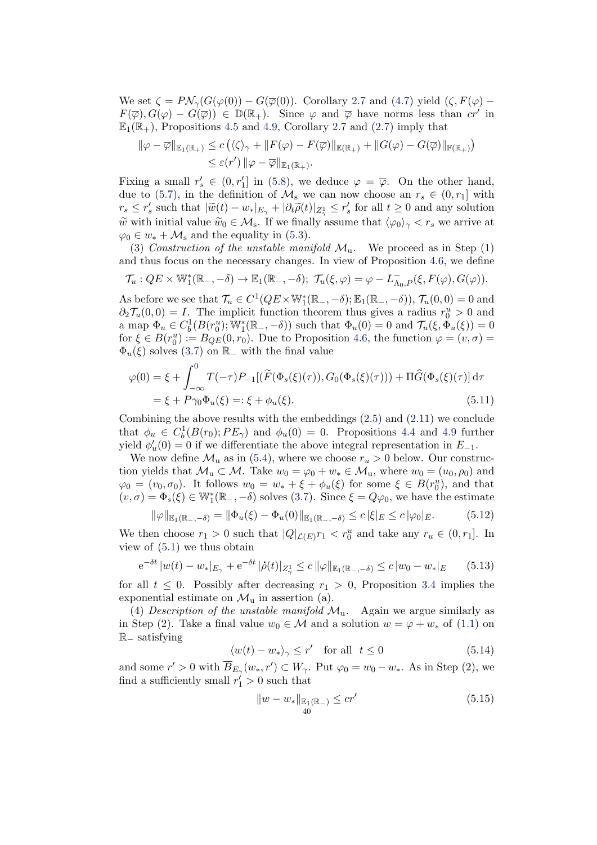We set  $\zeta = P \mathcal{N}_{\gamma}(G(\varphi(0)) - G(\overline{\varphi}(0))$ . Corollary [2.7](#page-16-0) and [\(4.7\)](#page-30-2) yield  $(\zeta, F(\varphi) F(\overline{\varphi}), G(\varphi) - G(\overline{\varphi})) \in \mathbb{D}(\mathbb{R}_+).$  Since  $\varphi$  and  $\overline{\varphi}$  have norms less than  $cr'$  in  $\mathbb{E}_1(\mathbb{R}_+)$ , Propositions [4.5](#page-31-0) and [4.9,](#page-34-2) Corollary [2.7](#page-16-0) and [\(2.7\)](#page-5-1) imply that

$$
\|\varphi - \overline{\varphi}\|_{\mathbb{E}_1(\mathbb{R}_+)} \le c \left( \langle \zeta \rangle_{\gamma} + \|F(\varphi) - F(\overline{\varphi})\|_{\mathbb{E}(\mathbb{R}_+)} + \|G(\varphi) - G(\overline{\varphi})\|_{\mathbb{F}(\mathbb{R}_+)} \right) \le \varepsilon(r') \|\varphi - \overline{\varphi}\|_{\mathbb{E}_1(\mathbb{R}_+)}.
$$

Fixing a small  $r'_{s} \in (0, r'_{1}]$  in [\(5.8\)](#page-38-0), we deduce  $\varphi = \overline{\varphi}$ . On the other hand, due to [\(5.7\)](#page-37-1), in the definition of  $\mathcal{M}_s$  we can now choose an  $r_s \in (0, r_1]$  with  $r_s \leq r'_s$  such that  $|\widetilde{w}(t) - w_*|_{E_\gamma} + |\partial_t \widetilde{\rho}(t)|_{Z_\gamma^1} \leq r'_s$  for all  $t \geq 0$  and any solution  $\tilde{w}$  with initial value  $\tilde{w}_0 \in \mathcal{M}_s$ . If we finally assume that  $\langle \varphi_0 \rangle_{\gamma} < r_s$  we arrive at  $\varphi_0 \in w_* + \mathcal{M}_s$  and the equality in [\(5.3\)](#page-36-3).

(3) Construction of the unstable manifold  $\mathcal{M}_{u}$ . We proceed as in Step (1) and thus focus on the necessary changes. In view of Proposition [4.6,](#page-33-0) we define

$$
\mathcal{T}_u: QE \times \mathbb{W}_1^*(\mathbb{R}_-, -\delta) \to \mathbb{E}_1(\mathbb{R}_-, -\delta); \ \mathcal{T}_u(\xi, \varphi) = \varphi - L_{\Lambda_0, P}^-(\xi, F(\varphi), G(\varphi)).
$$

As before we see that  $\mathcal{T}_u \in C^1(QE \times \mathbb{W}_1^*(\mathbb{R}_-, -\delta); \mathbb{E}_1(\mathbb{R}_-, -\delta)), \mathcal{T}_u(0,0) = 0$  and  $\partial_2 \mathcal{T}_u(0,0) = I$ . The implicit function theorem thus gives a radius  $r_0^u > 0$  and a map  $\Phi_u \in C_b^1(B(r_0^u); \mathbb{W}_1^*(\mathbb{R}_-, -\delta))$  such that  $\Phi_u(0) = 0$  and  $\mathcal{T}_u(\xi, \Phi_u(\xi)) = 0$ for  $\xi \in B(r_0^u) := B_{QE}(0, r_0)$ . Due to Proposition [4.6,](#page-33-0) the function  $\varphi = (v, \sigma)$  $\Phi_u(\xi)$  solves [\(3.7\)](#page-18-2) on R<sub>−</sub> with the final value

$$
\varphi(0) = \xi + \int_{-\infty}^{0} T(-\tau) P_{-1}[(\widetilde{F}(\Phi_s(\xi)(\tau)), G_0(\Phi_s(\xi)(\tau))) + \Pi \widehat{G}(\Phi_s(\xi)(\tau))] d\tau \n= \xi + P\gamma_0 \Phi_u(\xi) =: \xi + \phi_u(\xi).
$$
\n(5.11)

Combining the above results with the embeddings  $(2.5)$  and  $(2.11)$  we conclude that  $\phi_u \in C_b^1(B(r_0); PE_\gamma)$  and  $\phi_u(0) = 0$ . Propositions [4.4](#page-29-2) and [4.9](#page-34-2) further yield  $\phi'_u(0) = 0$  if we differentiate the above integral representation in  $E_{-1}$ .

We now define  $\mathcal{M}_u$  as in [\(5.4\)](#page-36-4), where we choose  $r_u > 0$  below. Our construction yields that  $\mathcal{M}_u \subset \mathcal{M}$ . Take  $w_0 = \varphi_0 + w_* \in \mathcal{M}_u$ , where  $w_0 = (u_0, \rho_0)$  and  $\varphi_0 = (v_0, \sigma_0)$ . It follows  $w_0 = w_* + \xi + \phi_u(\xi)$  for some  $\xi \in B(r_0^u)$ , and that  $(v, \sigma) = \Phi_s(\xi) \in \mathbb{W}_1^*(\mathbb{R}_-, -\delta)$  solves [\(3.7\)](#page-18-2). Since  $\xi = Q\varphi_0$ , we have the estimate

<span id="page-39-2"></span>
$$
\|\varphi\|_{\mathbb{E}_1(\mathbb{R}_-,-\delta)} = \|\Phi_u(\xi) - \Phi_u(0)\|_{\mathbb{E}_1(\mathbb{R}_-,-\delta)} \le c |\xi|_E \le c |\varphi_0|_E. \tag{5.12}
$$

We then choose  $r_1 > 0$  such that  $|Q|_{\mathcal{L}(E)} r_1 < r_0^u$  and take any  $r_u \in (0, r_1]$ . In view of  $(5.1)$  we thus obtain

<span id="page-39-3"></span>
$$
e^{-\delta t} |w(t) - w_*|_{E_\gamma} + e^{-\delta t} |\dot{\rho}(t)|_{Z_\gamma^1} \le c \|\varphi\|_{\mathbb{E}_1(\mathbb{R}_-, -\delta)} \le c |w_0 - w_*|_E \tag{5.13}
$$

for all  $t \leq 0$ . Possibly after decreasing  $r_1 > 0$ , Proposition [3.4](#page-23-0) implies the exponential estimate on  $\mathcal{M}_{\mathfrak{u}}$  in assertion (a).

(4) Description of the unstable manifold  $\mathcal{M}_{u}$ . Again we argue similarly as in Step (2). Take a final value  $w_0 \in \mathcal{M}$  and a solution  $w = \varphi + w_*$  of [\(1.1\)](#page-1-0) on R<sup>−</sup> satisfying

<span id="page-39-0"></span>
$$
\langle w(t) - w_* \rangle_{\gamma} \le r' \quad \text{for all} \ \ t \le 0 \tag{5.14}
$$

and some  $r' > 0$  with  $\overline{B}_{E_{\gamma}}(w_*, r') \subset W_{\gamma}$ . Put  $\varphi_0 = w_0 - w_*$ . As in Step (2), we find a sufficiently small  $r'_1 > 0$  such that

<span id="page-39-1"></span>
$$
||w - w_*||_{\mathbb{E}_1(\mathbb{R}_-)} \leq cr'
$$
\n(5.15)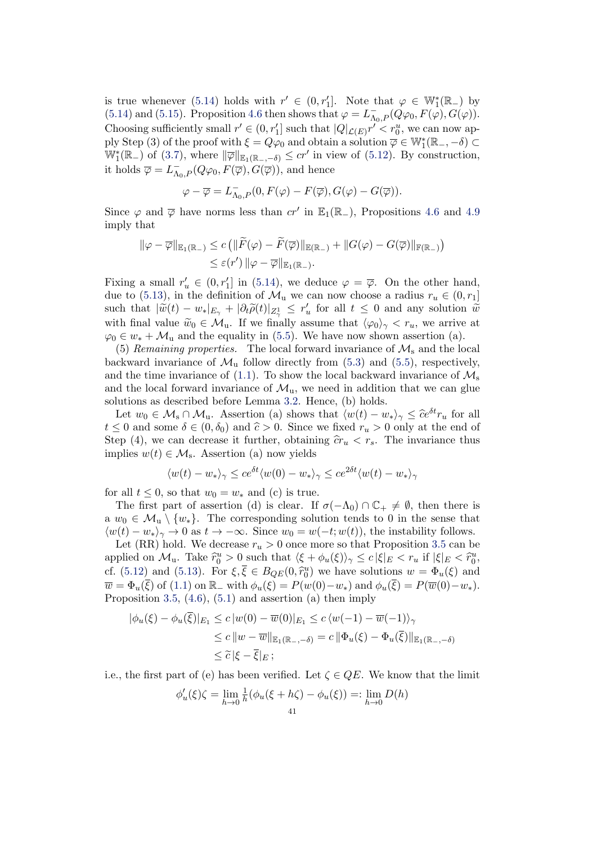is true whenever [\(5.14\)](#page-39-0) holds with  $r' \in (0, r'_1]$ . Note that  $\varphi \in \mathbb{W}_1^*(\mathbb{R}_+)$  by [\(5.14\)](#page-39-0) and [\(5.15\)](#page-39-1). Proposition [4.6](#page-33-0) then shows that  $\varphi = L_{\Lambda_0,P}^-(Q\varphi_0, F(\varphi), G(\varphi))$ . Choosing sufficiently small  $r' \in (0, r'_1]$  such that  $|Q|_{\mathcal{L}(E)} r' \leq r_0^u$ , we can now apply Step (3) of the proof with  $\xi = Q\varphi_0$  and obtain a solution  $\overline{\varphi} \in \mathbb{W}_1^*(\mathbb{R}_-, -\delta) \subset$  $\mathbb{W}_1^*(\mathbb{R}_-)$  of [\(3.7\)](#page-18-2), where  $\|\overline{\varphi}\|_{\mathbb{E}_1(\mathbb{R}_-, -\delta)} \leq c r'$  in view of [\(5.12\)](#page-39-2). By construction, it holds  $\overline{\varphi} = L^{-}_{\Lambda_0, P}(Q\varphi_0, F(\overline{\varphi}), G(\overline{\varphi}))$ , and hence

$$
\varphi-\overline{\varphi}=L_{\Lambda_0,P}^-(0,F(\varphi)-F(\overline{\varphi}),G(\varphi)-G(\overline{\varphi})).
$$

Since  $\varphi$  and  $\overline{\varphi}$  have norms less than  $cr'$  in  $\mathbb{E}_1(\mathbb{R}_-)$ , Propositions [4.6](#page-33-0) and [4.9](#page-34-2) imply that

$$
\|\varphi - \overline{\varphi}\|_{\mathbb{E}_1(\mathbb{R}_-)} \le c \left( \|\widetilde{F}(\varphi) - \widetilde{F}(\overline{\varphi})\|_{\mathbb{E}(\mathbb{R}_-)} + \|G(\varphi) - G(\overline{\varphi})\|_{\mathbb{F}(\mathbb{R}_-)} \right)
$$
  

$$
\le \varepsilon(r') \|\varphi - \overline{\varphi}\|_{\mathbb{E}_1(\mathbb{R}_-)}.
$$

Fixing a small  $r'_u \in (0, r'_1]$  in [\(5.14\)](#page-39-0), we deduce  $\varphi = \overline{\varphi}$ . On the other hand, due to [\(5.13\)](#page-39-3), in the definition of  $\mathcal{M}_{u}$  we can now choose a radius  $r_{u} \in (0, r_{1}]$ such that  $|\widetilde{w}(t) - w_*|_{E_\gamma} + |\partial_t \widetilde{\rho}(t)|_{Z_\gamma^1} \le r_u'$  for all  $t \le 0$  and any solution  $\widetilde{w}$ with final value  $\widetilde{w}_0 \in \mathcal{M}_u$ . If we finally assume that  $\langle \varphi_0 \rangle_{\gamma} < r_u$ , we arrive at  $\varphi_0 \in w_* + \mathcal{M}_u$  and the equality in [\(5.5\)](#page-36-1). We have now shown assertion (a).

(5) Remaining properties. The local forward invariance of  $\mathcal{M}_s$  and the local backward invariance of  $\mathcal{M}_{\text{u}}$  follow directly from [\(5.3\)](#page-36-3) and [\(5.5\)](#page-36-1), respectively, and the time invariance of [\(1.1\)](#page-1-0). To show the local backward invariance of  $\mathcal{M}_s$ and the local forward invariance of  $\mathcal{M}_{u}$ , we need in addition that we can glue solutions as described before Lemma [3.2.](#page-20-0) Hence, (b) holds.

Let  $w_0 \in \mathcal{M}_s \cap \mathcal{M}_u$ . Assertion (a) shows that  $\langle w(t) - w_* \rangle_{\gamma} \leq \hat{c}e^{\delta t}r_u$  for all  $t \leq 0$  and some  $\delta \in (0, \delta_0)$  and  $\hat{c} > 0$ . Since we fixed  $r_u > 0$  only at the end of Step (4), we can decrease it further, obtaining  $\hat{c}r_u < r_s$ . The invariance thus implies  $w(t) \in \mathcal{M}_s$ . Assertion (a) now yields

$$
\langle w(t) - w_* \rangle_{\gamma} \le c e^{\delta t} \langle w(0) - w_* \rangle_{\gamma} \le c e^{2\delta t} \langle w(t) - w_* \rangle_{\gamma}
$$

for all  $t \leq 0$ , so that  $w_0 = w_*$  and (c) is true.

The first part of assertion (d) is clear. If  $\sigma(-\Lambda_0) \cap \mathbb{C}_+ \neq \emptyset$ , then there is a  $w_0 \in \mathcal{M}_u \setminus \{w_*\}.$  The corresponding solution tends to 0 in the sense that  $\langle w(t) - w_* \rangle_{\gamma} \to 0$  as  $t \to -\infty$ . Since  $w_0 = w(-t; w(t))$ , the instability follows.

Let (RR) hold. We decrease  $r_u > 0$  once more so that Proposition [3.5](#page-24-0) can be applied on  $\mathcal{M}_u$ . Take  $\hat{r}_0^u > 0$  such that  $\langle \xi + \phi_u(\xi) \rangle_{\gamma} \leq c |\xi|_E < r_u$  if  $|\xi|_E < \hat{r}_0^u$ ,<br>of (5.12) and (5.12). For  $\zeta \in \mathcal{F}$  (0.  $\hat{\zeta}_u^u$ ) we have solutions  $\zeta_u = \Phi_u(\zeta)$  and cf. [\(5.12\)](#page-39-2) and [\(5.13\)](#page-39-3). For  $\xi, \overline{\xi} \in B_{QE}(0, \hat{r}_0^u)$  we have solutions  $w = \Phi_u(\xi)$  and<br>  $\overline{\xi} = \Phi_u(\overline{\xi})$  of (1.1) on  $\mathbb{R}$ , with  $\phi_s(\xi) = D(u(0), u_0)$  and  $\phi_s(\overline{\xi}) = D(\overline{u}(0), u_0)$  $\overline{w} = \Phi_u(\overline{\xi})$  of [\(1.1\)](#page-1-0) on  $\mathbb{R}_-$  with  $\phi_u(\xi) = P(w(0)-w_*)$  and  $\phi_u(\overline{\xi}) = P(\overline{w}(0)-w_*)$ . Proposition [3.5,](#page-24-0)  $(4.6)$ ,  $(5.1)$  and assertion  $(a)$  then imply

$$
|\phi_u(\xi) - \phi_u(\overline{\xi})|_{E_1} \le c |w(0) - \overline{w}(0)|_{E_1} \le c \langle w(-1) - \overline{w}(-1) \rangle_{\gamma}
$$
  
\n
$$
\le c ||w - \overline{w}||_{\mathbb{E}_1(\mathbb{R}_-, -\delta)} = c ||\Phi_u(\xi) - \Phi_u(\overline{\xi})||_{\mathbb{E}_1(\mathbb{R}_-, -\delta)}
$$
  
\n
$$
\le \widetilde{c} |\xi - \overline{\xi}|_{E};
$$

i.e., the first part of (e) has been verified. Let  $\zeta \in QE$ . We know that the limit

$$
\phi'_u(\xi)\zeta = \lim_{h \to 0} \frac{1}{h} (\phi_u(\xi + h\zeta) - \phi_u(\xi)) =: \lim_{h \to 0} D(h)
$$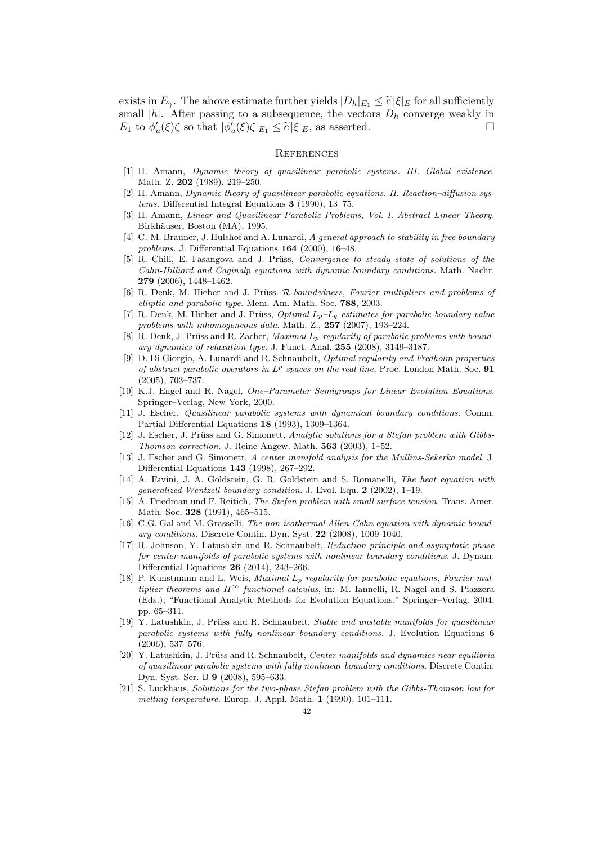exists in  $E_{\gamma}$ . The above estimate further yields  $|D_h|_{E_1} \leq \tilde{c} |\xi|_E$  for all sufficiently small |h|. After passing to a subsequence, the vectors  $D_h$  converge weakly in  $E_1$  to  $\phi'_u(\xi)\zeta$  so that  $|\phi'_u(\xi)\zeta|_{E_1} \leq \tilde{c} |\xi|_E$ , as asserted.

## **REFERENCES**

- <span id="page-41-0"></span>[1] H. Amann, Dynamic theory of quasilinear parabolic systems. III. Global existence. Math. Z. 202 (1989), 219–250.
- <span id="page-41-1"></span>[2] H. Amann, Dynamic theory of quasilinear parabolic equations. II. Reaction–diffusion systems. Differential Integral Equations 3 (1990), 13–75.
- <span id="page-41-15"></span>[3] H. Amann, Linear and Quasilinear Parabolic Problems, Vol. I. Abstract Linear Theory. Birkhäuser, Boston (MA), 1995.
- <span id="page-41-6"></span>[4] C.-M. Brauner, J. Hulshof and A. Lunardi, A general approach to stability in free boundary problems. J. Differential Equations 164 (2000), 16–48.
- <span id="page-41-11"></span>[5] R. Chill, E. Fasangova and J. Prüss, Convergence to steady state of solutions of the Cahn-Hilliard and Caginalp equations with dynamic boundary conditions. Math. Nachr. 279 (2006), 1448–1462.
- <span id="page-41-17"></span>[6] R. Denk, M. Hieber and J. Prüss. R-boundedness. Fourier multipliers and problems of elliptic and parabolic type. Mem. Am. Math. Soc. 788, 2003.
- <span id="page-41-16"></span>R. Denk, M. Hieber and J. Prüss, Optimal  $L_p-L_q$  estimates for parabolic boundary value problems with inhomogeneous data. Math. Z., 257 (2007), 193–224.
- <span id="page-41-10"></span>[8] R. Denk, J. Prüss and R. Zacher, *Maximal*  $L_p$ *-regularity of parabolic problems with bound*ary dynamics of relaxation type. J. Funct. Anal. 255 (2008), 3149–3187.
- <span id="page-41-20"></span>[9] D. Di Giorgio, A. Lunardi and R. Schnaubelt, Optimal regularity and Fredholm properties of abstract parabolic operators in  $L^p$  spaces on the real line. Proc. London Math. Soc. 91 (2005), 703–737.
- <span id="page-41-18"></span>[10] K.J. Engel and R. Nagel, One–Parameter Semigroups for Linear Evolution Equations. Springer–Verlag, New York, 2000.
- <span id="page-41-12"></span>[11] J. Escher, Quasilinear parabolic systems with dynamical boundary conditions. Comm. Partial Differential Equations 18 (1993), 1309–1364.
- <span id="page-41-7"></span>[12] J. Escher, J. Prüss and G. Simonett, Analytic solutions for a Stefan problem with Gibbs-Thomson correction. J. Reine Angew. Math. 563 (2003), 1–52.
- <span id="page-41-2"></span>[13] J. Escher and G. Simonett, A center manifold analysis for the Mullins-Sekerka model. J. Differential Equations 143 (1998), 267–292.
- <span id="page-41-13"></span>[14] A. Favini, J. A. Goldstein, G. R. Goldstein and S. Romanelli, The heat equation with generalized Wentzell boundary condition. J. Evol. Equ. 2 (2002), 1–19.
- <span id="page-41-8"></span>[15] A. Friedman und F. Reitich, The Stefan problem with small surface tension. Trans. Amer. Math. Soc. 328 (1991), 465–515.
- <span id="page-41-14"></span>[16] C.G. Gal and M. Grasselli, The non-isothermal Allen-Cahn equation with dynamic boundary conditions. Discrete Contin. Dyn. Syst. 22 (2008), 1009-1040.
- <span id="page-41-3"></span>[17] R. Johnson, Y. Latushkin and R. Schnaubelt, Reduction principle and asymptotic phase for center manifolds of parabolic systems with nonlinear boundary conditions. J. Dynam. Differential Equations 26 (2014), 243–266.
- <span id="page-41-19"></span>[18] P. Kunstmann and L. Weis, Maximal  $L_p$  regularity for parabolic equations, Fourier multiplier theorems and  $H^{\infty}$  functional calculus, in: M. Iannelli, R. Nagel and S. Piazzera (Eds.), "Functional Analytic Methods for Evolution Equations," Springer–Verlag, 2004, pp. 65–311.
- <span id="page-41-4"></span>[19] Y. Latushkin, J. Prüss and R. Schnaubelt, Stable and unstable manifolds for quasilinear parabolic systems with fully nonlinear boundary conditions. J. Evolution Equations 6 (2006), 537–576.
- <span id="page-41-5"></span>[20] Y. Latushkin, J. Prüss and R. Schnaubelt, Center manifolds and dynamics near equilibria of quasilinear parabolic systems with fully nonlinear boundary conditions. Discrete Contin. Dyn. Syst. Ser. B 9 (2008), 595–633.
- <span id="page-41-9"></span>[21] S. Luckhaus, Solutions for the two-phase Stefan problem with the Gibbs-Thomson law for melting temperature. Europ. J. Appl. Math. 1 (1990), 101–111.